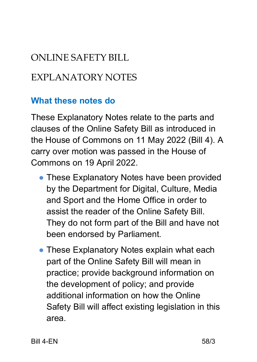# ONLINE SAFETY BILL

### EXPLANATORY NOTES

#### **What these notes do**

These Explanatory Notes relate to the parts and clauses of the Online Safety Bill as introduced in the House of Commons on 11 May 2022 (Bill 4). A carry over motion was passed in the House of Commons on 19 April 2022.

- These Explanatory Notes have been provided by the Department for Digital, Culture, Media and Sport and the Home Office in order to assist the reader of the Online Safety Bill. They do not form part of the Bill and have not been endorsed by Parliament.
- These Explanatory Notes explain what each part of the Online Safety Bill will mean in practice; provide background information on the development of policy; and provide additional information on how the Online Safety Bill will affect existing legislation in this area.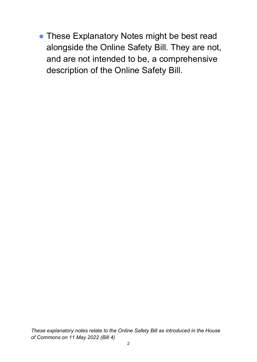• These Explanatory Notes might be best read alongside the Online Safety Bill. They are not, and are not intended to be, a comprehensive description of the Online Safety Bill.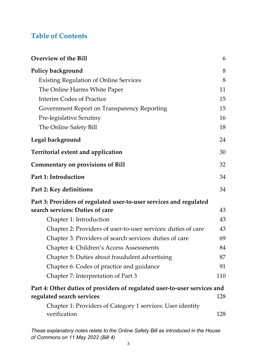#### **Table of Contents**

| <b>Overview of the Bill</b>                                                | 6   |
|----------------------------------------------------------------------------|-----|
| Policy background                                                          | 8   |
| <b>Existing Regulation of Online Services</b>                              | 8   |
| The Online Harms White Paper                                               | 11  |
| <b>Interim Codes of Practice</b>                                           | 15  |
| Government Report on Transparency Reporting                                | 15  |
| <b>Pre-legislative Scrutiny</b>                                            | 16  |
| The Online Safety Bill                                                     | 18  |
| Legal background                                                           | 24  |
| <b>Territorial extent and application</b>                                  | 30  |
| <b>Commentary on provisions of Bill</b>                                    | 32  |
| Part 1: Introduction                                                       | 34  |
| Part 2: Key definitions                                                    | 34  |
| Part 3: Providers of regulated user-to-user services and regulated         |     |
| search services: Duties of care                                            | 43  |
| Chapter 1: Introduction                                                    | 43  |
| Chapter 2: Providers of user-to-user services: duties of care              |     |
| Chapter 3: Providers of search services: duties of care                    |     |
| Chapter 4: Children's Access Assessments                                   |     |
| Chapter 5: Duties about fraudulent advertising                             | 87  |
| Chapter 6: Codes of practice and guidance                                  | 91  |
| Chapter 7: Interpretation of Part 3                                        | 110 |
| Part 4: Other duties of providers of regulated user-to-user services and   |     |
| regulated search services                                                  | 128 |
| Chapter 1: Providers of Category 1 services: User identity<br>verification | 128 |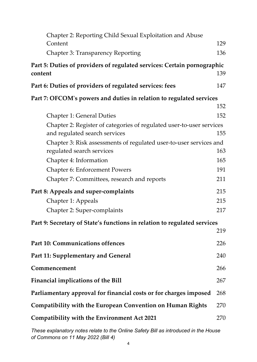| Chapter 2: Reporting Child Sexual Exploitation and Abuse<br>Content                                   | 129 |
|-------------------------------------------------------------------------------------------------------|-----|
| <b>Chapter 3: Transparency Reporting</b>                                                              | 136 |
| Part 5: Duties of providers of regulated services: Certain pornographic<br>content                    | 139 |
| Part 6: Duties of providers of regulated services: fees                                               | 147 |
| Part 7: OFCOM's powers and duties in relation to regulated services                                   |     |
|                                                                                                       | 152 |
| <b>Chapter 1: General Duties</b>                                                                      | 152 |
| Chapter 2: Register of categories of regulated user-to-user services<br>and regulated search services | 155 |
| Chapter 3: Risk assessments of regulated user-to-user services and                                    |     |
| regulated search services                                                                             | 163 |
| Chapter 4: Information                                                                                | 165 |
| <b>Chapter 6: Enforcement Powers</b>                                                                  | 191 |
| Chapter 7: Committees, research and reports                                                           | 211 |
| Part 8: Appeals and super-complaints                                                                  | 215 |
| Chapter 1: Appeals                                                                                    | 215 |
| Chapter 2: Super-complaints                                                                           | 217 |
| Part 9: Secretary of State's functions in relation to regulated services                              |     |
|                                                                                                       | 219 |
| Part 10: Communications offences                                                                      | 226 |
| Part 11: Supplementary and General                                                                    | 240 |
| Commencement                                                                                          | 266 |
| <b>Financial implications of the Bill</b>                                                             | 267 |
| Parliamentary approval for financial costs or for charges imposed                                     | 268 |
| <b>Compatibility with the European Convention on Human Rights</b>                                     | 270 |
| Compatibility with the Environment Act 2021                                                           | 270 |
|                                                                                                       |     |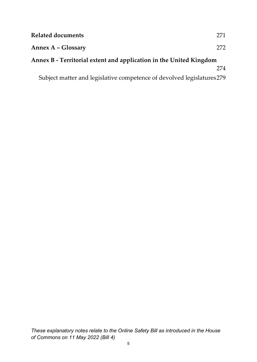| <b>Related documents</b>                                               | 271 |
|------------------------------------------------------------------------|-----|
| Annex A – Glossary                                                     | 272 |
| Annex B - Territorial extent and application in the United Kingdom     |     |
|                                                                        | 274 |
| Subject matter and legislative competence of devolved legislatures 279 |     |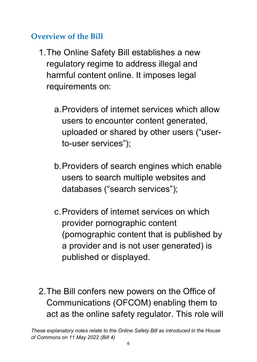#### <span id="page-5-0"></span>**Overview of the Bill**

- 1.The Online Safety Bill establishes a new regulatory regime to address illegal and harmful content online. It imposes legal requirements on:
	- a.Providers of internet services which allow users to encounter content generated, uploaded or shared by other users ("userto-user services");
	- b.Providers of search engines which enable users to search multiple websites and databases ("search services");
	- c.Providers of internet services on which provider pornographic content (pornographic content that is published by a provider and is not user generated) is published or displayed.
- 2.The Bill confers new powers on the Office of Communications (OFCOM) enabling them to act as the online safety regulator. This role will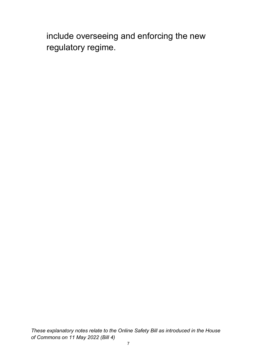include overseeing and enforcing the new regulatory regime.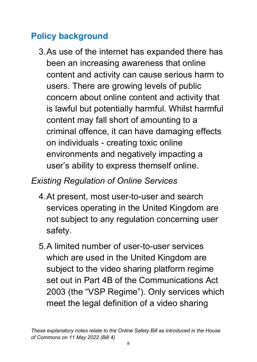### <span id="page-7-0"></span>**Policy background**

3.As use of the internet has expanded there has been an increasing awareness that online content and activity can cause serious harm to users. There are growing levels of public concern about online content and activity that is lawful but potentially harmful. Whilst harmful content may fall short of amounting to a criminal offence, it can have damaging effects on individuals - creating toxic online environments and negatively impacting a user's ability to express themself online.

### <span id="page-7-1"></span>*Existing Regulation of Online Services*

- 4.At present, most user-to-user and search services operating in the United Kingdom are not subject to any regulation concerning user safety.
- 5.A limited number of user-to-user services which are used in the United Kingdom are subject to the video sharing platform regime set out in Part 4B of the Communications Act 2003 (the "VSP Regime"). Only services which meet the legal definition of a video sharing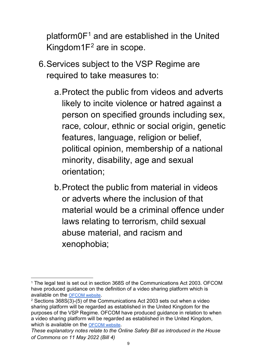platform $0F<sup>1</sup>$  $0F<sup>1</sup>$  $0F<sup>1</sup>$  and are established in the United Kingdom1F[2](#page-8-1) are in scope.

- 6.Services subject to the VSP Regime are required to take measures to:
	- a.Protect the public from videos and adverts likely to incite violence or hatred against a person on specified grounds including sex, race, colour, ethnic or social origin, genetic features, language, religion or belief, political opinion, membership of a national minority, disability, age and sexual orientation;
	- b.Protect the public from material in videos or adverts where the inclusion of that material would be a criminal offence under laws relating to terrorism, child sexual abuse material, and racism and xenophobia;

<span id="page-8-0"></span><sup>1</sup> The legal test is set out in section 368S of the Communications Act 2003. OFCOM have produced guidance on the definition of a video sharing platform which is available on the **OFCOM website**.<br><sup>2</sup> Sections 368S(3)-(5) of the Communications Act 2003 sets out when a video

<span id="page-8-1"></span>sharing platform will be regarded as established in the United Kingdom for the purposes of the VSP Regime. OFCOM have produced guidance in relation to when a video sharing platform will be regarded as established in the United Kingdom, which is available on the [OFCOM website.](https://www.ofcom.org.uk/__data/assets/pdf_file/0015/226302/vsp-harms-guidance.pdf)

*These explanatory notes relate to the Online Safety Bill as introduced in the House of Commons on 11 May 2022 (Bill 4)*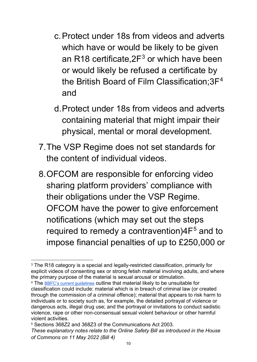- c.Protect under 18s from videos and adverts which have or would be likely to be given an R18 certificate,  $2F<sup>3</sup>$  $2F<sup>3</sup>$  $2F<sup>3</sup>$  or which have been or would likely be refused a certificate by the British Board of Film Classification;3F[4](#page-9-1) and
- d.Protect under 18s from videos and adverts containing material that might impair their physical, mental or moral development.
- 7.The VSP Regime does not set standards for the content of individual videos.
- 8.OFCOM are responsible for enforcing video sharing platform providers' compliance with their obligations under the VSP Regime. OFCOM have the power to give enforcement notifications (which may set out the steps required to remedy a contravention) $4F<sup>5</sup>$  $4F<sup>5</sup>$  $4F<sup>5</sup>$  and to impose financial penalties of up to £250,000 or

<span id="page-9-0"></span><sup>&</sup>lt;sup>3</sup> The R18 category is a special and legally-restricted classification, primarily for explicit videos of consenting sex or strong fetish material involving adults, and where the primary purpose of the material is sexual arousal or stimulation.

<span id="page-9-1"></span><sup>4</sup> The [BBFC's current guidelines](https://www.bbfc.co.uk/about-classification/classification-guidelines) outline that material likely to be unsuitable for classification could include: material which is in breach of criminal law (or created through the commission of a criminal offence); material that appears to risk harm to individuals or to society such as, for example, the detailed portrayal of violence or dangerous acts, illegal drug use; and the portrayal or invitations to conduct sadistic violence, rape or other non-consensual sexual violent behaviour or other harmful violent activities.

<span id="page-9-2"></span>*These explanatory notes relate to the Online Safety Bill as introduced in the House of Commons on 11 May 2022 (Bill 4)* <sup>5</sup> Sections 368Z2 and 368Z3 of the Communications Act 2003.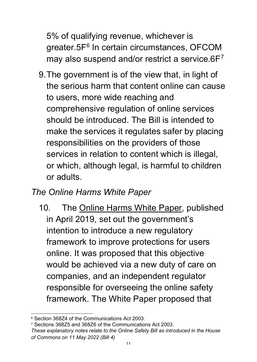5% of qualifying revenue, whichever is greater.5F<sup>[6](#page-10-1)</sup> In certain circumstances, OFCOM may also suspend and/or restrict a service.6F[7](#page-10-2)

9.The government is of the view that, in light of the serious harm that content online can cause to users, more wide reaching and comprehensive regulation of online services should be introduced. The Bill is intended to make the services it regulates safer by placing responsibilities on the providers of those services in relation to content which is illegal, or which, although legal, is harmful to children or adults.

#### <span id="page-10-0"></span>*The Online Harms White Paper*

10. The [Online Harms White Paper,](https://www.gov.uk/government/consultations/online-harms-white-paper/online-harms-white-paper) published in April 2019, set out the government's intention to introduce a new regulatory framework to improve protections for users online. It was proposed that this objective would be achieved via a new duty of care on companies, and an independent regulator responsible for overseeing the online safety framework. The White Paper proposed that

<span id="page-10-1"></span><sup>6</sup> Section 368Z4 of the Communications Act 2003.

<span id="page-10-2"></span>*These explanatory notes relate to the Online Safety Bill as introduced in the House of Commons on 11 May 2022 (Bill 4)* <sup>7</sup> Sections 368Z5 and 368Z6 of the Communications Act 2003.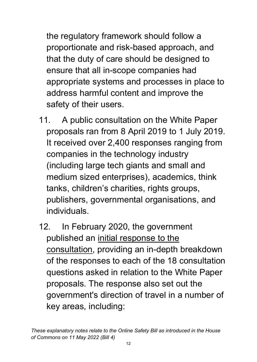the regulatory framework should follow a proportionate and risk-based approach, and that the duty of care should be designed to ensure that all in-scope companies had appropriate systems and processes in place to address harmful content and improve the safety of their users.

- 11. A public consultation on the White Paper proposals ran from 8 April 2019 to 1 July 2019. It received over 2,400 responses ranging from companies in the technology industry (including large tech giants and small and medium sized enterprises), academics, think tanks, children's charities, rights groups, publishers, governmental organisations, and individuals.
- 12. In February 2020, the government published an [initial response to the](https://www.gov.uk/government/consultations/online-harms-white-paper/public-feedback/online-harms-white-paper-initial-consultation-response)  [consultation,](https://www.gov.uk/government/consultations/online-harms-white-paper/public-feedback/online-harms-white-paper-initial-consultation-response) providing an in-depth breakdown of the responses to each of the 18 consultation questions asked in relation to the White Paper proposals. The response also set out the government's direction of travel in a number of key areas, including: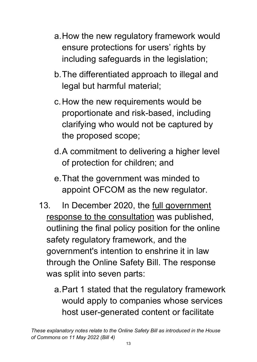- a.How the new regulatory framework would ensure protections for users' rights by including safeguards in the legislation;
- b.The differentiated approach to illegal and legal but harmful material;
- c.How the new requirements would be proportionate and risk-based, including clarifying who would not be captured by the proposed scope;
- d. A commitment to delivering a higher level of protection for children; and
- e.That the government was minded to appoint OFCOM as the new regulator.
- 13. In December 2020, the <u>full government</u> [response to the consultation](https://www.gov.uk/government/consultations/online-harms-white-paper/outcome/online-harms-white-paper-full-government-response) was published, outlining the final policy position for the online safety regulatory framework, and the government's intention to enshrine it in law through the Online Safety Bill. The response was split into seven parts:
	- a.Part 1 stated that the regulatory framework would apply to companies whose services host user-generated content or facilitate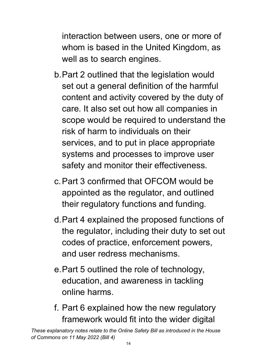interaction between users, one or more of whom is based in the United Kingdom, as well as to search engines.

- b.Part 2 outlined that the legislation would set out a general definition of the harmful content and activity covered by the duty of care. It also set out how all companies in scope would be required to understand the risk of harm to individuals on their services, and to put in place appropriate systems and processes to improve user safety and monitor their effectiveness.
- c.Part 3 confirmed that OFCOM would be appointed as the regulator, and outlined their regulatory functions and funding.
- d.Part 4 explained the proposed functions of the regulator, including their duty to set out codes of practice, enforcement powers, and user redress mechanisms.
- e.Part 5 outlined the role of technology, education, and awareness in tackling online harms.
- f. Part 6 explained how the new regulatory framework would fit into the wider digital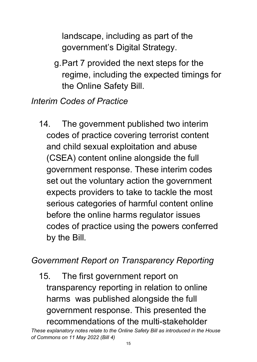landscape, including as part of the government's Digital Strategy.

g.Part 7 provided the next steps for the regime, including the expected timings for the Online Safety Bill.

### <span id="page-14-0"></span>*Interim Codes of Practice*

14. The government published two interim codes of practice covering terrorist content and child sexual exploitation and abuse (CSEA) content online alongside the full government response. These interim codes set out the voluntary action the government expects providers to take to tackle the most serious categories of harmful content online before the online harms regulator issues codes of practice using the powers conferred by the Bill.

### <span id="page-14-1"></span>*Government Report on Transparency Reporting*

15. The first government report on transparency reporting in relation to online harms was published alongside the full government response. This presented the recommendations of the multi-stakeholder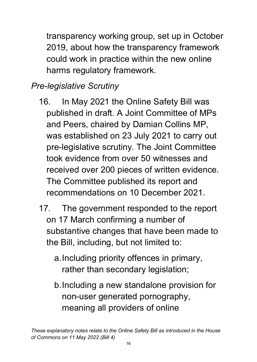transparency working group, set up in October 2019, about how the transparency framework could work in practice within the new online harms regulatory framework.

# <span id="page-15-0"></span>*Pre-legislative Scrutiny*

- 16. In May 2021 the Online Safety Bill was published in draft. A Joint Committee of MPs and Peers, chaired by Damian Collins MP, was established on 23 July 2021 to carry out pre-legislative scrutiny. The Joint Committee took evidence from over 50 witnesses and received over 200 pieces of written evidence. The Committee published its report and recommendations on 10 December 2021.
- 17. The government responded to the report on 17 March confirming a number of substantive changes that have been made to the Bill, including, but not limited to:
	- a.Including priority offences in primary, rather than secondary legislation;
	- b.Including a new standalone provision for non-user generated pornography, meaning all providers of online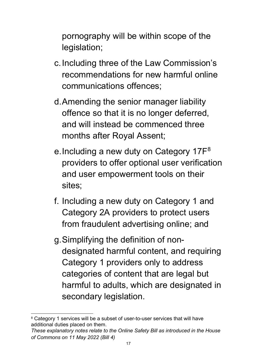pornography will be within scope of the legislation;

- c.Including three of the Law Commission's recommendations for new harmful online communications offences;
- d.Amending the senior manager liability offence so that it is no longer deferred, and will instead be commenced three months after Royal Assent;
- e. Including a new duty on Category 17F<sup>[8](#page-16-0)</sup> providers to offer optional user verification and user empowerment tools on their sites;
- f. Including a new duty on Category 1 and Category 2A providers to protect users from fraudulent advertising online; and
- g.Simplifying the definition of nondesignated harmful content, and requiring Category 1 providers only to address categories of content that are legal but harmful to adults, which are designated in secondary legislation.

<span id="page-16-0"></span><sup>&</sup>lt;sup>8</sup> Category 1 services will be a subset of user-to-user services that will have additional duties placed on them.

*These explanatory notes relate to the Online Safety Bill as introduced in the House of Commons on 11 May 2022 (Bill 4)*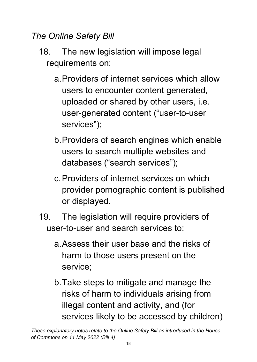### <span id="page-17-0"></span>*The Online Safety Bill*

- 18. The new legislation will impose legal requirements on:
	- a.Providers of internet services which allow users to encounter content generated, uploaded or shared by other users, i.e. user-generated content ("user-to-user services");
	- b.Providers of search engines which enable users to search multiple websites and databases ("search services");
	- c.Providers of internet services on which provider pornographic content is published or displayed.
- 19. The legislation will require providers of user-to-user and search services to:
	- a.Assess their user base and the risks of harm to those users present on the service;
	- b.Take steps to mitigate and manage the risks of harm to individuals arising from illegal content and activity, and (for services likely to be accessed by children)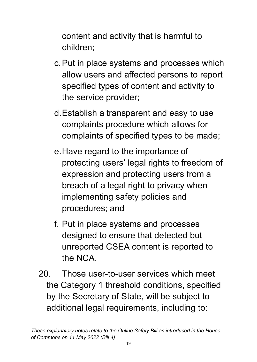content and activity that is harmful to children;

- c.Put in place systems and processes which allow users and affected persons to report specified types of content and activity to the service provider;
- d.Establish a transparent and easy to use complaints procedure which allows for complaints of specified types to be made;
- e.Have regard to the importance of protecting users' legal rights to freedom of expression and protecting users from a breach of a legal right to privacy when implementing safety policies and procedures; and
- f. Put in place systems and processes designed to ensure that detected but unreported CSEA content is reported to the NCA.
- 20. Those user-to-user services which meet the Category 1 threshold conditions, specified by the Secretary of State, will be subject to additional legal requirements, including to: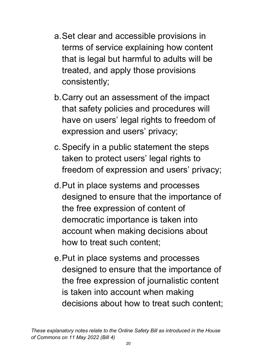- a.Set clear and accessible provisions in terms of service explaining how content that is legal but harmful to adults will be treated, and apply those provisions consistently;
- b.Carry out an assessment of the impact that safety policies and procedures will have on users' legal rights to freedom of expression and users' privacy;
- c.Specify in a public statement the steps taken to protect users' legal rights to freedom of expression and users' privacy;
- d.Put in place systems and processes designed to ensure that the importance of the free expression of content of democratic importance is taken into account when making decisions about how to treat such content;
- e.Put in place systems and processes designed to ensure that the importance of the free expression of journalistic content is taken into account when making decisions about how to treat such content;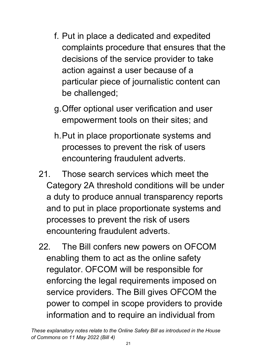- f. Put in place a dedicated and expedited complaints procedure that ensures that the decisions of the service provider to take action against a user because of a particular piece of journalistic content can be challenged;
- g.Offer optional user verification and user empowerment tools on their sites; and
- h.Put in place proportionate systems and processes to prevent the risk of users encountering fraudulent adverts.
- 21. Those search services which meet the Category 2A threshold conditions will be under a duty to produce annual transparency reports and to put in place proportionate systems and processes to prevent the risk of users encountering fraudulent adverts.
- 22. The Bill confers new powers on OFCOM enabling them to act as the online safety regulator. OFCOM will be responsible for enforcing the legal requirements imposed on service providers. The Bill gives OFCOM the power to compel in scope providers to provide information and to require an individual from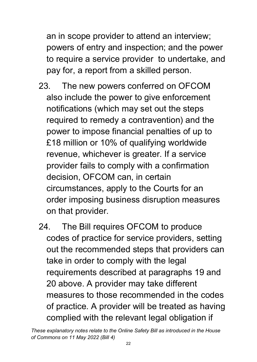an in scope provider to attend an interview; powers of entry and inspection; and the power to require a service provider to undertake, and pay for, a report from a skilled person.

- 23. The new powers conferred on OFCOM also include the power to give enforcement notifications (which may set out the steps required to remedy a contravention) and the power to impose financial penalties of up to £18 million or 10% of qualifying worldwide revenue, whichever is greater. If a service provider fails to comply with a confirmation decision, OFCOM can, in certain circumstances, apply to the Courts for an order imposing business disruption measures on that provider.
- 24. The Bill requires OFCOM to produce codes of practice for service providers, setting out the recommended steps that providers can take in order to comply with the legal requirements described at paragraphs 19 and 20 above. A provider may take different measures to those recommended in the codes of practice. A provider will be treated as having complied with the relevant legal obligation if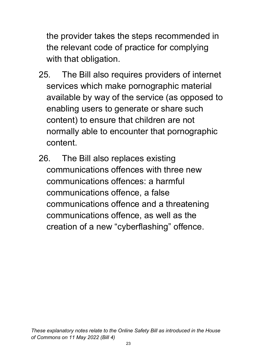the provider takes the steps recommended in the relevant code of practice for complying with that obligation.

- 25. The Bill also requires providers of internet services which make pornographic material available by way of the service (as opposed to enabling users to generate or share such content) to ensure that children are not normally able to encounter that pornographic content.
- 26. The Bill also replaces existing communications offences with three new communications offences: a harmful communications offence, a false communications offence and a threatening communications offence, as well as the creation of a new "cyberflashing" offence.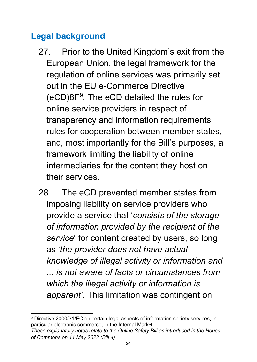### <span id="page-23-0"></span>**Legal background**

- 27. Prior to the United Kingdom's exit from the European Union, the legal framework for the regulation of online services was primarily set out in the EU e-Commerce Directive  $(eCD)8F<sup>9</sup>$  $(eCD)8F<sup>9</sup>$  $(eCD)8F<sup>9</sup>$ . The eCD detailed the rules for online service providers in respect of transparency and information requirements, rules for cooperation between member states, and, most importantly for the Bill's purposes, a framework limiting the liability of online intermediaries for the content they host on their services.
- 28. The eCD prevented member states from imposing liability on service providers who provide a service that '*consists of the storage of information provided by the recipient of the service*' for content created by users, so long as '*the provider does not have actual knowledge of illegal activity or information and ... is not aware of facts or circumstances from which the illegal activity or information is apparent'.* This limitation was contingent on

<span id="page-23-1"></span><sup>9</sup> Directive 2000/31/EC on certain legal aspects of information society services, in particular electronic commerce, in the Internal Market.

*These explanatory notes relate to the Online Safety Bill as introduced in the House of Commons on 11 May 2022 (Bill 4)*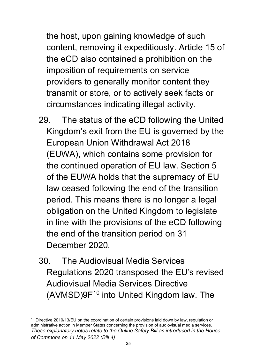the host, upon gaining knowledge of such content, removing it expeditiously. Article 15 of the eCD also contained a prohibition on the imposition of requirements on service providers to generally monitor content they transmit or store, or to actively seek facts or circumstances indicating illegal activity.

- 29. The status of the eCD following the United Kingdom's exit from the EU is governed by the European Union Withdrawal Act 2018 (EUWA), which contains some provision for the continued operation of EU law. Section 5 of the EUWA holds that the supremacy of EU law ceased following the end of the transition period. This means there is no longer a legal obligation on the United Kingdom to legislate in line with the provisions of the eCD following the end of the transition period on 31 December 2020.
- 30. The Audiovisual Media Services Regulations 2020 transposed the EU's revised Audiovisual Media Services Directive  $(AVMSD)9F<sup>10</sup>$  $(AVMSD)9F<sup>10</sup>$  $(AVMSD)9F<sup>10</sup>$  into United Kingdom law. The

<span id="page-24-0"></span>*These explanatory notes relate to the Online Safety Bill as introduced in the House of Commons on 11 May 2022 (Bill 4)* <sup>10</sup> Directive 2010/13/EU on the coordination of certain provisions laid down by law, regulation or administrative action in Member States concerning the provision of audiovisual media services.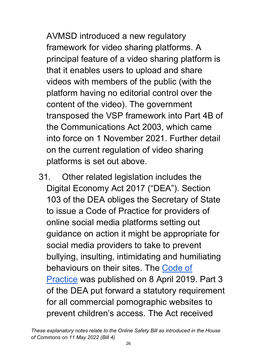AVMSD introduced a new regulatory framework for video sharing platforms. A principal feature of a video sharing platform is that it enables users to upload and share videos with members of the public (with the platform having no editorial control over the content of the video). The government transposed the VSP framework into Part 4B of the Communications Act 2003, which came into force on 1 November 2021. Further detail on the current regulation of video sharing platforms is set out above.

31. Other related legislation includes the Digital Economy Act 2017 ("DEA"). Section 103 of the DEA obliges the Secretary of State to issue a Code of Practice for providers of online social media platforms setting out guidance on action it might be appropriate for social media providers to take to prevent bullying, insulting, intimidating and humiliating behaviours on their sites. The [Code of](https://www.gov.uk/government/publications/code-of-practice-for-providers-of-online-social-media-platforms)  [Practice](https://www.gov.uk/government/publications/code-of-practice-for-providers-of-online-social-media-platforms) was published on 8 April 2019. Part 3 of the DEA put forward a statutory requirement for all commercial pornographic websites to prevent children's access. The Act received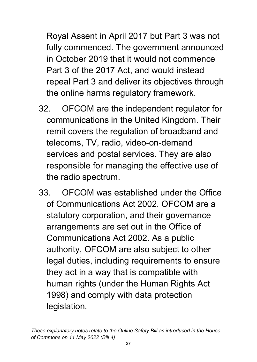Royal Assent in April 2017 but Part 3 was not fully commenced. The government announced in October 2019 that it would not commence Part 3 of the 2017 Act, and would instead repeal Part 3 and deliver its objectives through the online harms regulatory framework.

- 32. OFCOM are the independent regulator for communications in the United Kingdom. Their remit covers the regulation of broadband and telecoms, TV, radio, video-on-demand services and postal services. They are also responsible for managing the effective use of the radio spectrum.
- 33. OFCOM was established under the Office of Communications Act 2002. OFCOM are a statutory corporation, and their governance arrangements are set out in the Office of Communications Act 2002. As a public authority, OFCOM are also subject to other legal duties, including requirements to ensure they act in a way that is compatible with human rights (under the Human Rights Act 1998) and comply with data protection legislation.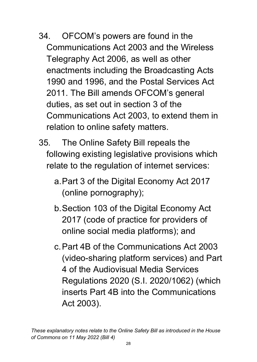- 34. OFCOM's powers are found in the Communications Act 2003 and the Wireless Telegraphy Act 2006, as well as other enactments including the Broadcasting Acts 1990 and 1996, and the Postal Services Act 2011. The Bill amends OFCOM's general duties, as set out in section 3 of the Communications Act 2003, to extend them in relation to online safety matters.
- 35. The Online Safety Bill repeals the following existing legislative provisions which relate to the regulation of internet services:
	- a.Part 3 of the Digital Economy Act 2017 (online pornography);
	- b.Section 103 of the Digital Economy Act 2017 (code of practice for providers of online social media platforms); and
	- c.Part 4B of the Communications Act 2003 (video-sharing platform services) and Part 4 of the Audiovisual Media Services Regulations 2020 (S.I. 2020/1062) (which inserts Part 4B into the Communications Act 2003).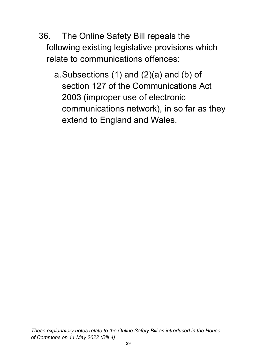- 36. The Online Safety Bill repeals the following existing legislative provisions which relate to communications offences:
	- a.Subsections (1) and (2)(a) and (b) of section 127 of the Communications Act 2003 (improper use of electronic communications network), in so far as they extend to England and Wales.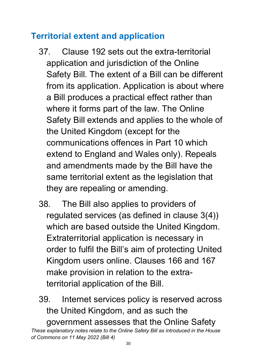### <span id="page-29-0"></span>**Territorial extent and application**

- 37. Clause 192 sets out the extra-territorial application and jurisdiction of the Online Safety Bill. The extent of a Bill can be different from its application. Application is about where a Bill produces a practical effect rather than where it forms part of the law. The Online Safety Bill extends and applies to the whole of the United Kingdom (except for the communications offences in Part 10 which extend to England and Wales only). Repeals and amendments made by the Bill have the same territorial extent as the legislation that they are repealing or amending.
- 38. The Bill also applies to providers of regulated services (as defined in clause 3(4)) which are based outside the United Kingdom. Extraterritorial application is necessary in order to fulfil the Bill's aim of protecting United Kingdom users online. Clauses 166 and 167 make provision in relation to the extraterritorial application of the Bill.

39. Internet services policy is reserved across the United Kingdom, and as such the government assesses that the Online Safety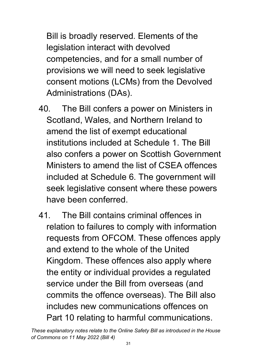Bill is broadly reserved. Elements of the legislation interact with devolved competencies, and for a small number of provisions we will need to seek legislative consent motions (LCMs) from the Devolved Administrations (DAs).

- 40. The Bill confers a power on Ministers in Scotland, Wales, and Northern Ireland to amend the list of exempt educational institutions included at Schedule 1. The Bill also confers a power on Scottish Government Ministers to amend the list of CSEA offences included at Schedule 6. The government will seek legislative consent where these powers have been conferred.
- 41. The Bill contains criminal offences in relation to failures to comply with information requests from OFCOM. These offences apply and extend to the whole of the United Kingdom. These offences also apply where the entity or individual provides a regulated service under the Bill from overseas (and commits the offence overseas). The Bill also includes new communications offences on Part 10 relating to harmful communications.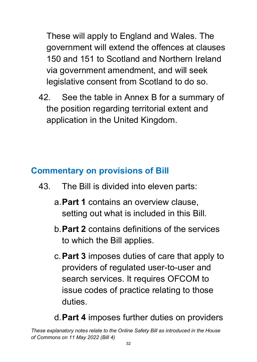These will apply to England and Wales. The government will extend the offences at clauses 150 and 151 to Scotland and Northern Ireland via government amendment, and will seek legislative consent from Scotland to do so.

42. See the table in Annex B for a summary of the position regarding territorial extent and application in the United Kingdom.

## <span id="page-31-0"></span>**Commentary on provisions of Bill**

- 43. The Bill is divided into eleven parts:
	- a.**Part 1** contains an overview clause, setting out what is included in this Bill.
	- b.**Part 2** contains definitions of the services to which the Bill applies.
	- c.**Part 3** imposes duties of care that apply to providers of regulated user-to-user and search services. It requires OFCOM to issue codes of practice relating to those duties.

### d.**Part 4** imposes further duties on providers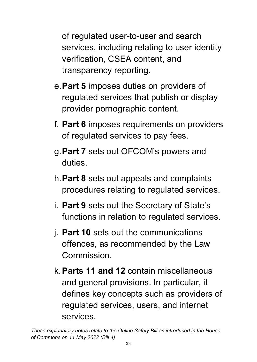of regulated user-to-user and search services, including relating to user identity verification, CSEA content, and transparency reporting.

- e.**Part 5** imposes duties on providers of regulated services that publish or display provider pornographic content.
- f. **Part 6** imposes requirements on providers of regulated services to pay fees.
- g.**Part 7** sets out OFCOM's powers and duties.
- h.**Part 8** sets out appeals and complaints procedures relating to regulated services.
- i. **Part 9** sets out the Secretary of State's functions in relation to regulated services.
- j. **Part 10** sets out the communications offences, as recommended by the Law Commission.
- k.**Parts 11 and 12** contain miscellaneous and general provisions. In particular, it defines key concepts such as providers of regulated services, users, and internet services.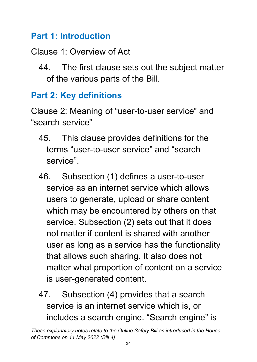### <span id="page-33-0"></span>**Part 1: Introduction**

## Clause 1: Overview of Act

44. The first clause sets out the subject matter of the various parts of the Bill.

# <span id="page-33-1"></span>**Part 2: Key definitions**

Clause 2: Meaning of "user-to-user service" and "search service"

- 45. This clause provides definitions for the terms "user-to-user service" and "search service".
- 46. Subsection (1) defines a user-to-user service as an internet service which allows users to generate, upload or share content which may be encountered by others on that service. Subsection (2) sets out that it does not matter if content is shared with another user as long as a service has the functionality that allows such sharing. It also does not matter what proportion of content on a service is user-generated content.
- 47. Subsection (4) provides that a search service is an internet service which is, or includes a search engine. "Search engine" is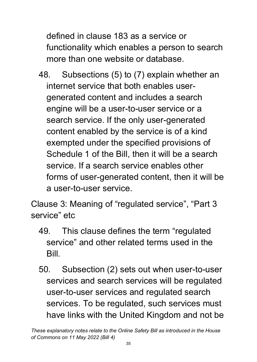defined in clause 183 as a service or functionality which enables a person to search more than one website or database.

48. Subsections (5) to (7) explain whether an internet service that both enables usergenerated content and includes a search engine will be a user-to-user service or a search service. If the only user-generated content enabled by the service is of a kind exempted under the specified provisions of Schedule 1 of the Bill, then it will be a search service. If a search service enables other forms of user-generated content, then it will be a user-to-user service.

Clause 3: Meaning of "regulated service", "Part 3 service" etc

- 49. This clause defines the term "regulated service" and other related terms used in the Bill.
- 50. Subsection (2) sets out when user-to-user services and search services will be regulated user-to-user services and regulated search services. To be regulated, such services must have links with the United Kingdom and not be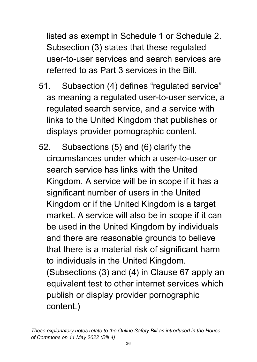listed as exempt in Schedule 1 or Schedule 2. Subsection (3) states that these regulated user-to-user services and search services are referred to as Part 3 services in the Bill.

- 51. Subsection (4) defines "regulated service" as meaning a regulated user-to-user service, a regulated search service, and a service with links to the United Kingdom that publishes or displays provider pornographic content.
- 52. Subsections (5) and (6) clarify the circumstances under which a user-to-user or search service has links with the United Kingdom. A service will be in scope if it has a significant number of users in the United Kingdom or if the United Kingdom is a target market. A service will also be in scope if it can be used in the United Kingdom by individuals and there are reasonable grounds to believe that there is a material risk of significant harm to individuals in the United Kingdom. (Subsections (3) and (4) in Clause 67 apply an

equivalent test to other internet services which publish or display provider pornographic content.)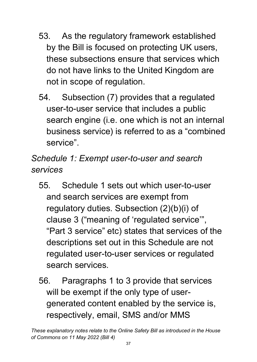- 53. As the regulatory framework established by the Bill is focused on protecting UK users, these subsections ensure that services which do not have links to the United Kingdom are not in scope of regulation.
- 54. Subsection (7) provides that a regulated user-to-user service that includes a public search engine (i.e. one which is not an internal business service) is referred to as a "combined service".

*Schedule 1: Exempt user-to-user and search services* 

- 55. Schedule 1 sets out which user-to-user and search services are exempt from regulatory duties. Subsection (2)(b)(i) of clause 3 ("meaning of 'regulated service'", "Part 3 service" etc) states that services of the descriptions set out in this Schedule are not regulated user-to-user services or regulated search services.
- 56. Paragraphs 1 to 3 provide that services will be exempt if the only type of usergenerated content enabled by the service is, respectively, email, SMS and/or MMS

*These explanatory notes relate to the Online Safety Bill as introduced in the House of Commons on 11 May 2022 (Bill 4)*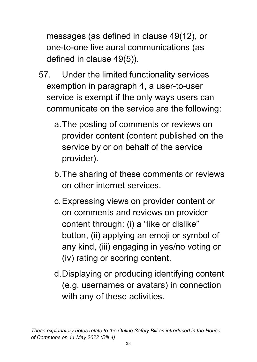messages (as defined in clause 49(12), or one-to-one live aural communications (as defined in clause 49(5)).

- 57. Under the limited functionality services exemption in paragraph 4, a user-to-user service is exempt if the only ways users can communicate on the service are the following:
	- a.The posting of comments or reviews on provider content (content published on the service by or on behalf of the service provider).
	- b.The sharing of these comments or reviews on other internet services.
	- c.Expressing views on provider content or on comments and reviews on provider content through: (i) a "like or dislike" button, (ii) applying an emoji or symbol of any kind, (iii) engaging in yes/no voting or (iv) rating or scoring content.
	- d.Displaying or producing identifying content (e.g. usernames or avatars) in connection with any of these activities.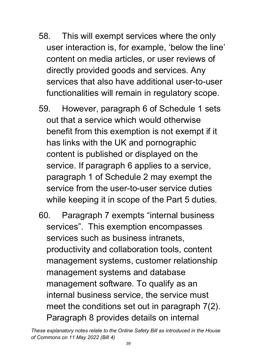- 58. This will exempt services where the only user interaction is, for example, 'below the line' content on media articles, or user reviews of directly provided goods and services. Any services that also have additional user-to-user functionalities will remain in regulatory scope.
- 59. However, paragraph 6 of Schedule 1 sets out that a service which would otherwise benefit from this exemption is not exempt if it has links with the UK and pornographic content is published or displayed on the service. If paragraph 6 applies to a service, paragraph 1 of Schedule 2 may exempt the service from the user-to-user service duties while keeping it in scope of the Part 5 duties.
- 60. Paragraph 7 exempts "internal business services". This exemption encompasses services such as business intranets, productivity and collaboration tools, content management systems, customer relationship management systems and database management software. To qualify as an internal business service, the service must meet the conditions set out in paragraph 7(2). Paragraph 8 provides details on internal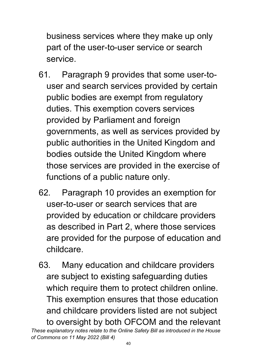business services where they make up only part of the user-to-user service or search service.

- 61. Paragraph 9 provides that some user-touser and search services provided by certain public bodies are exempt from regulatory duties. This exemption covers services provided by Parliament and foreign governments, as well as services provided by public authorities in the United Kingdom and bodies outside the United Kingdom where those services are provided in the exercise of functions of a public nature only.
- 62. Paragraph 10 provides an exemption for user-to-user or search services that are provided by education or childcare providers as described in Part 2, where those services are provided for the purpose of education and childcare.
- *These explanatory notes relate to the Online Safety Bill as introduced in the House*  63. Many education and childcare providers are subject to existing safeguarding duties which require them to protect children online. This exemption ensures that those education and childcare providers listed are not subject to oversight by both OFCOM and the relevant

*of Commons on 11 May 2022 (Bill 4)*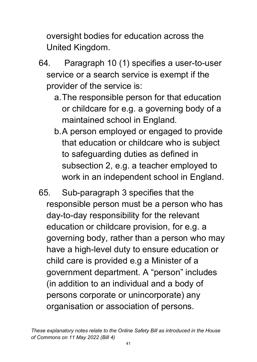oversight bodies for education across the United Kingdom.

- 64. Paragraph 10 (1) specifies a user-to-user service or a search service is exempt if the provider of the service is:
	- a.The responsible person for that education or childcare for e.g. a governing body of a maintained school in England.
	- b.A person employed or engaged to provide that education or childcare who is subject to safeguarding duties as defined in subsection 2, e.g. a teacher employed to work in an independent school in England.
- 65. Sub-paragraph 3 specifies that the responsible person must be a person who has day-to-day responsibility for the relevant education or childcare provision, for e.g. a governing body, rather than a person who may have a high-level duty to ensure education or child care is provided e.g a Minister of a government department. A "person" includes (in addition to an individual and a body of persons corporate or unincorporate) any organisation or association of persons.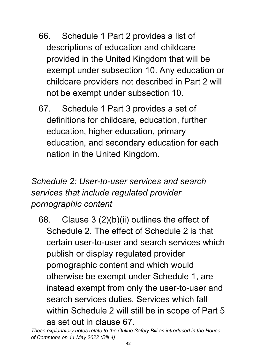- 66. Schedule 1 Part 2 provides a list of descriptions of education and childcare provided in the United Kingdom that will be exempt under subsection 10. Any education or childcare providers not described in Part 2 will not be exempt under subsection 10.
- 67. Schedule 1 Part 3 provides a set of definitions for childcare, education, further education, higher education, primary education, and secondary education for each nation in the United Kingdom.

## *Schedule 2: User-to-user services and search services that include regulated provider pornographic content*

68. Clause 3 (2)(b)(ii) outlines the effect of Schedule 2. The effect of Schedule 2 is that certain user-to-user and search services which publish or display regulated provider pornographic content and which would otherwise be exempt under Schedule 1, are instead exempt from only the user-to-user and search services duties. Services which fall within Schedule 2 will still be in scope of Part 5 as set out in clause 67.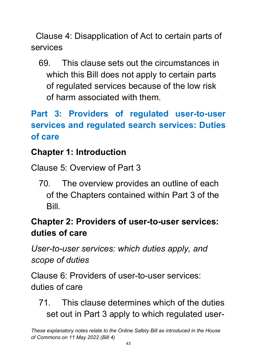Clause 4: Disapplication of Act to certain parts of services

69. This clause sets out the circumstances in which this Bill does not apply to certain parts of regulated services because of the low risk of harm associated with them.

# **Part 3: Providers of regulated user-to-user services and regulated search services: Duties of care**

## **Chapter 1: Introduction**

Clause 5: Overview of Part 3

70. The overview provides an outline of each of the Chapters contained within Part 3 of the **Bill** 

# **Chapter 2: Providers of user-to-user services: duties of care**

*User-to-user services: which duties apply, and scope of duties*

Clause 6: Providers of user-to-user services: duties of care

71. This clause determines which of the duties set out in Part 3 apply to which regulated user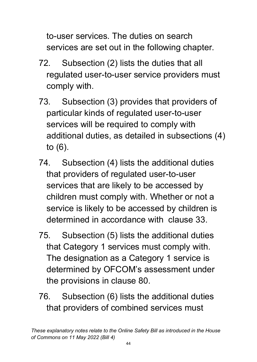to-user services. The duties on search services are set out in the following chapter.

- 72. Subsection (2) lists the duties that all regulated user-to-user service providers must comply with.
- 73. Subsection (3) provides that providers of particular kinds of regulated user-to-user services will be required to comply with additional duties, as detailed in subsections (4) to (6).
- 74. Subsection (4) lists the additional duties that providers of regulated user-to-user services that are likely to be accessed by children must comply with. Whether or not a service is likely to be accessed by children is determined in accordance with clause 33.
- 75. Subsection (5) lists the additional duties that Category 1 services must comply with. The designation as a Category 1 service is determined by OFCOM's assessment under the provisions in clause 80.
- 76. Subsection (6) lists the additional duties that providers of combined services must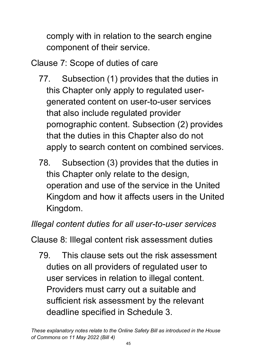comply with in relation to the search engine component of their service.

Clause 7: Scope of duties of care

- 77. Subsection (1) provides that the duties in this Chapter only apply to regulated usergenerated content on user-to-user services that also include regulated provider pornographic content. Subsection (2) provides that the duties in this Chapter also do not apply to search content on combined services.
- 78. Subsection (3) provides that the duties in this Chapter only relate to the design, operation and use of the service in the United Kingdom and how it affects users in the United Kingdom.

## *Illegal content duties for all user-to-user services*

Clause 8: Illegal content risk assessment duties

79. This clause sets out the risk assessment duties on all providers of regulated user to user services in relation to illegal content. Providers must carry out a suitable and sufficient risk assessment by the relevant deadline specified in Schedule 3.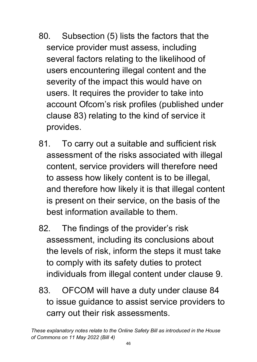- 80. Subsection (5) lists the factors that the service provider must assess, including several factors relating to the likelihood of users encountering illegal content and the severity of the impact this would have on users. It requires the provider to take into account Ofcom's risk profiles (published under clause 83) relating to the kind of service it provides.
- 81. To carry out a suitable and sufficient risk assessment of the risks associated with illegal content, service providers will therefore need to assess how likely content is to be illegal, and therefore how likely it is that illegal content is present on their service, on the basis of the best information available to them.
- 82. The findings of the provider's risk assessment, including its conclusions about the levels of risk, inform the steps it must take to comply with its safety duties to protect individuals from illegal content under clause 9.
- 83. OFCOM will have a duty under clause 84 to issue guidance to assist service providers to carry out their risk assessments.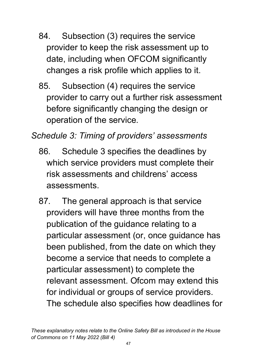- 84. Subsection (3) requires the service provider to keep the risk assessment up to date, including when OFCOM significantly changes a risk profile which applies to it.
- 85. Subsection (4) requires the service provider to carry out a further risk assessment before significantly changing the design or operation of the service.

*Schedule 3: Timing of providers' assessments*

- 86. Schedule 3 specifies the deadlines by which service providers must complete their risk assessments and childrens' access assessments.
- 87. The general approach is that service providers will have three months from the publication of the guidance relating to a particular assessment (or, once guidance has been published, from the date on which they become a service that needs to complete a particular assessment) to complete the relevant assessment. Ofcom may extend this for individual or groups of service providers. The schedule also specifies how deadlines for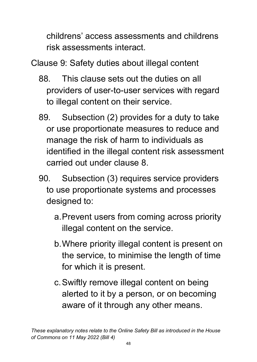childrens' access assessments and childrens risk assessments interact.

Clause 9: Safety duties about illegal content

- 88. This clause sets out the duties on all providers of user-to-user services with regard to illegal content on their service.
- 89. Subsection (2) provides for a duty to take or use proportionate measures to reduce and manage the risk of harm to individuals as identified in the illegal content risk assessment carried out under clause 8.
- 90. Subsection (3) requires service providers to use proportionate systems and processes designed to:
	- a.Prevent users from coming across priority illegal content on the service.
	- b.Where priority illegal content is present on the service, to minimise the length of time for which it is present.
	- c.Swiftly remove illegal content on being alerted to it by a person, or on becoming aware of it through any other means.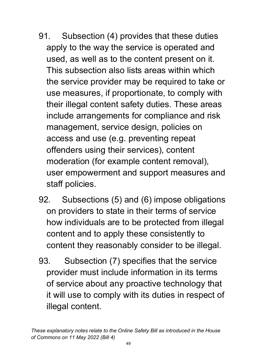- 91. Subsection (4) provides that these duties apply to the way the service is operated and used, as well as to the content present on it. This subsection also lists areas within which the service provider may be required to take or use measures, if proportionate, to comply with their illegal content safety duties. These areas include arrangements for compliance and risk management, service design, policies on access and use (e.g. preventing repeat offenders using their services), content moderation (for example content removal), user empowerment and support measures and staff policies.
- 92. Subsections (5) and (6) impose obligations on providers to state in their terms of service how individuals are to be protected from illegal content and to apply these consistently to content they reasonably consider to be illegal.
- 93. Subsection (7) specifies that the service provider must include information in its terms of service about any proactive technology that it will use to comply with its duties in respect of illegal content.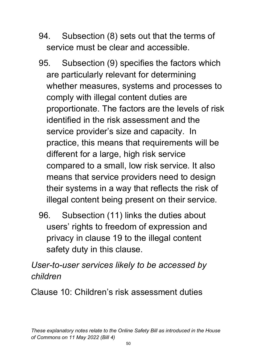- 94. Subsection (8) sets out that the terms of service must be clear and accessible.
- 95. Subsection (9) specifies the factors which are particularly relevant for determining whether measures, systems and processes to comply with illegal content duties are proportionate. The factors are the levels of risk identified in the risk assessment and the service provider's size and capacity. In practice, this means that requirements will be different for a large, high risk service compared to a small, low risk service. It also means that service providers need to design their systems in a way that reflects the risk of illegal content being present on their service.
- 96. Subsection (11) links the duties about users' rights to freedom of expression and privacy in clause 19 to the illegal content safety duty in this clause.

*User-to-user services likely to be accessed by children* 

Clause 10: Children's risk assessment duties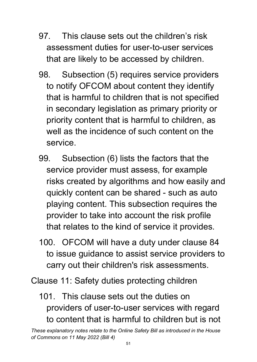- 97. This clause sets out the children's risk assessment duties for user-to-user services that are likely to be accessed by children.
- 98. Subsection (5) requires service providers to notify OFCOM about content they identify that is harmful to children that is not specified in secondary legislation as primary priority or priority content that is harmful to children, as well as the incidence of such content on the service.
- 99. Subsection (6) lists the factors that the service provider must assess, for example risks created by algorithms and how easily and quickly content can be shared - such as auto playing content. This subsection requires the provider to take into account the risk profile that relates to the kind of service it provides.
- 100. OFCOM will have a duty under clause 84 to issue guidance to assist service providers to carry out their children's risk assessments.

Clause 11: Safety duties protecting children

101. This clause sets out the duties on providers of user-to-user services with regard to content that is harmful to children but is not

*These explanatory notes relate to the Online Safety Bill as introduced in the House of Commons on 11 May 2022 (Bill 4)*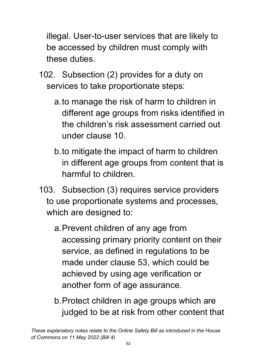illegal. User-to-user services that are likely to be accessed by children must comply with these duties.

- 102. Subsection (2) provides for a duty on services to take proportionate steps:
	- a.to manage the risk of harm to children in different age groups from risks identified in the children's risk assessment carried out under clause 10.
	- b.to mitigate the impact of harm to children in different age groups from content that is harmful to children.
- 103. Subsection (3) requires service providers to use proportionate systems and processes, which are designed to:
	- a.Prevent children of any age from accessing primary priority content on their service, as defined in regulations to be made under clause 53, which could be achieved by using age verification or another form of age assurance.
	- b.Protect children in age groups which are judged to be at risk from other content that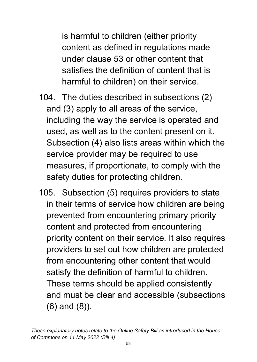is harmful to children (either priority content as defined in regulations made under clause 53 or other content that satisfies the definition of content that is harmful to children) on their service.

- 104. The duties described in subsections (2) and (3) apply to all areas of the service, including the way the service is operated and used, as well as to the content present on it. Subsection (4) also lists areas within which the service provider may be required to use measures, if proportionate, to comply with the safety duties for protecting children.
- 105. Subsection (5) requires providers to state in their terms of service how children are being prevented from encountering primary priority content and protected from encountering priority content on their service. It also requires providers to set out how children are protected from encountering other content that would satisfy the definition of harmful to children. These terms should be applied consistently and must be clear and accessible (subsections (6) and (8)).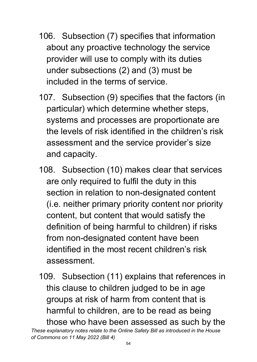- 106. Subsection (7) specifies that information about any proactive technology the service provider will use to comply with its duties under subsections (2) and (3) must be included in the terms of service.
- 107. Subsection (9) specifies that the factors (in particular) which determine whether steps, systems and processes are proportionate are the levels of risk identified in the children's risk assessment and the service provider's size and capacity.
- 108. Subsection (10) makes clear that services are only required to fulfil the duty in this section in relation to non-designated content (i.e. neither primary priority content nor priority content, but content that would satisfy the definition of being harmful to children) if risks from non-designated content have been identified in the most recent children's risk assessment.
- 109. Subsection (11) explains that references in this clause to children judged to be in age groups at risk of harm from content that is harmful to children, are to be read as being those who have been assessed as such by the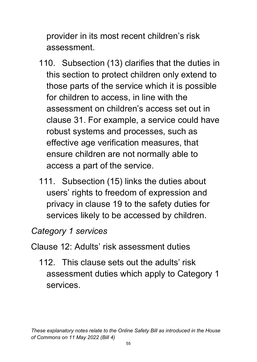provider in its most recent children's risk assessment.

- 110. Subsection (13) clarifies that the duties in this section to protect children only extend to those parts of the service which it is possible for children to access, in line with the assessment on children's access set out in clause 31. For example, a service could have robust systems and processes, such as effective age verification measures, that ensure children are not normally able to access a part of the service.
- 111. Subsection (15) links the duties about users' rights to freedom of expression and privacy in clause 19 to the safety duties for services likely to be accessed by children.

### *Category 1 services*

### Clause 12: Adults' risk assessment duties

112. This clause sets out the adults' risk assessment duties which apply to Category 1 services.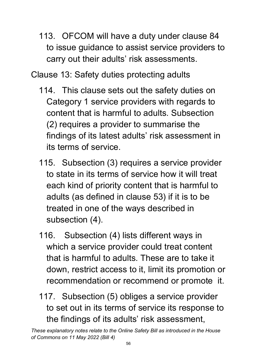113. OFCOM will have a duty under clause 84 to issue guidance to assist service providers to carry out their adults' risk assessments.

Clause 13: Safety duties protecting adults

- 114. This clause sets out the safety duties on Category 1 service providers with regards to content that is harmful to adults. Subsection (2) requires a provider to summarise the findings of its latest adults' risk assessment in its terms of service.
- 115. Subsection (3) requires a service provider to state in its terms of service how it will treat each kind of priority content that is harmful to adults (as defined in clause 53) if it is to be treated in one of the ways described in subsection (4).
- 116. Subsection (4) lists different ways in which a service provider could treat content that is harmful to adults. These are to take it down, restrict access to it, limit its promotion or recommendation or recommend or promote it.
- 117. Subsection (5) obliges a service provider to set out in its terms of service its response to the findings of its adults' risk assessment,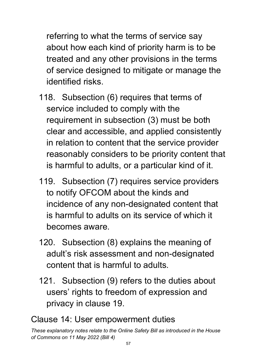referring to what the terms of service say about how each kind of priority harm is to be treated and any other provisions in the terms of service designed to mitigate or manage the identified risks.

- 118. Subsection (6) requires that terms of service included to comply with the requirement in subsection (3) must be both clear and accessible, and applied consistently in relation to content that the service provider reasonably considers to be priority content that is harmful to adults, or a particular kind of it.
- 119. Subsection (7) requires service providers to notify OFCOM about the kinds and incidence of any non-designated content that is harmful to adults on its service of which it becomes aware.
- 120. Subsection (8) explains the meaning of adult's risk assessment and non-designated content that is harmful to adults.
- 121. Subsection (9) refers to the duties about users' rights to freedom of expression and privacy in clause 19.

#### Clause 14: User empowerment duties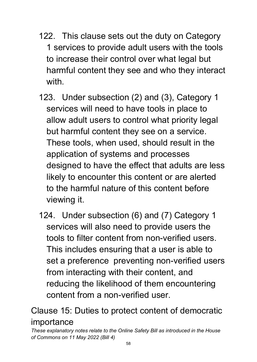- 122. This clause sets out the duty on Category 1 services to provide adult users with the tools to increase their control over what legal but harmful content they see and who they interact with
- 123. Under subsection (2) and (3), Category 1 services will need to have tools in place to allow adult users to control what priority legal but harmful content they see on a service. These tools, when used, should result in the application of systems and processes designed to have the effect that adults are less likely to encounter this content or are alerted to the harmful nature of this content before viewing it.
- 124. Under subsection (6) and (7) Category 1 services will also need to provide users the tools to filter content from non-verified users. This includes ensuring that a user is able to set a preference preventing non-verified users from interacting with their content, and reducing the likelihood of them encountering content from a non-verified user.

Clause 15: Duties to protect content of democratic importance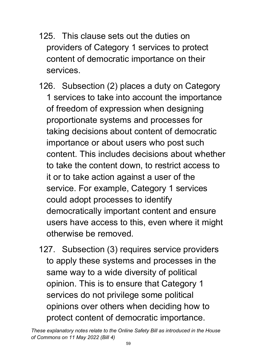- 125. This clause sets out the duties on providers of Category 1 services to protect content of democratic importance on their services.
- 126. Subsection (2) places a duty on Category 1 services to take into account the importance of freedom of expression when designing proportionate systems and processes for taking decisions about content of democratic importance or about users who post such content. This includes decisions about whether to take the content down, to restrict access to it or to take action against a user of the service. For example, Category 1 services could adopt processes to identify democratically important content and ensure users have access to this, even where it might otherwise be removed.
- 127. Subsection (3) requires service providers to apply these systems and processes in the same way to a wide diversity of political opinion. This is to ensure that Category 1 services do not privilege some political opinions over others when deciding how to protect content of democratic importance.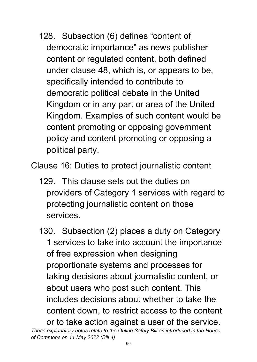128. Subsection (6) defines "content of democratic importance" as news publisher content or regulated content, both defined under clause 48, which is, or appears to be, specifically intended to contribute to democratic political debate in the United Kingdom or in any part or area of the United Kingdom. Examples of such content would be content promoting or opposing government policy and content promoting or opposing a political party.

Clause 16: Duties to protect journalistic content

- 129. This clause sets out the duties on providers of Category 1 services with regard to protecting journalistic content on those services.
- 130. Subsection (2) places a duty on Category 1 services to take into account the importance of free expression when designing proportionate systems and processes for taking decisions about journalistic content, or about users who post such content. This includes decisions about whether to take the content down, to restrict access to the content or to take action against a user of the service.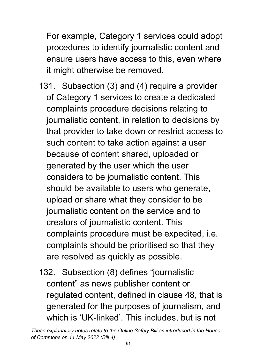For example, Category 1 services could adopt procedures to identify journalistic content and ensure users have access to this, even where it might otherwise be removed.

- 131. Subsection (3) and (4) require a provider of Category 1 services to create a dedicated complaints procedure decisions relating to journalistic content, in relation to decisions by that provider to take down or restrict access to such content to take action against a user because of content shared, uploaded or generated by the user which the user considers to be journalistic content. This should be available to users who generate, upload or share what they consider to be journalistic content on the service and to creators of journalistic content. This complaints procedure must be expedited, i.e. complaints should be prioritised so that they are resolved as quickly as possible.
- 132. Subsection (8) defines "journalistic content" as news publisher content or regulated content, defined in clause 48, that is generated for the purposes of journalism, and which is 'UK-linked'. This includes, but is not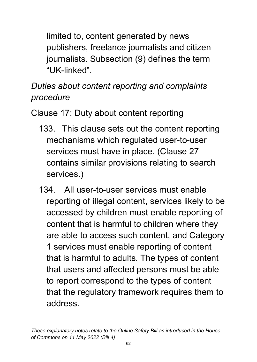limited to, content generated by news publishers, freelance journalists and citizen journalists. Subsection (9) defines the term "UK-linked".

# *Duties about content reporting and complaints procedure*

Clause 17: Duty about content reporting

- 133. This clause sets out the content reporting mechanisms which regulated user-to-user services must have in place. (Clause 27 contains similar provisions relating to search services.)
- 134. All user-to-user services must enable reporting of illegal content, services likely to be accessed by children must enable reporting of content that is harmful to children where they are able to access such content, and Category 1 services must enable reporting of content that is harmful to adults. The types of content that users and affected persons must be able to report correspond to the types of content that the regulatory framework requires them to address.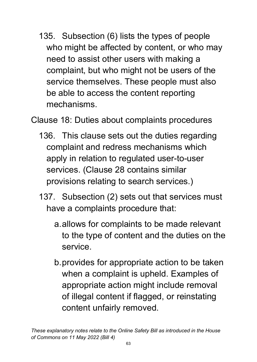135. Subsection (6) lists the types of people who might be affected by content, or who may need to assist other users with making a complaint, but who might not be users of the service themselves. These people must also be able to access the content reporting mechanisms.

Clause 18: Duties about complaints procedures

- 136. This clause sets out the duties regarding complaint and redress mechanisms which apply in relation to regulated user-to-user services. (Clause 28 contains similar provisions relating to search services.)
- 137. Subsection (2) sets out that services must have a complaints procedure that:
	- a.allows for complaints to be made relevant to the type of content and the duties on the service.
	- b.provides for appropriate action to be taken when a complaint is upheld. Examples of appropriate action might include removal of illegal content if flagged, or reinstating content unfairly removed.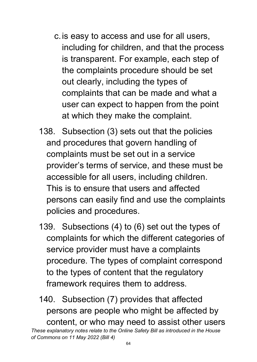- c.is easy to access and use for all users, including for children, and that the process is transparent. For example, each step of the complaints procedure should be set out clearly, including the types of complaints that can be made and what a user can expect to happen from the point at which they make the complaint.
- 138. Subsection (3) sets out that the policies and procedures that govern handling of complaints must be set out in a service provider's terms of service, and these must be accessible for all users, including children. This is to ensure that users and affected persons can easily find and use the complaints policies and procedures.
- 139. Subsections (4) to (6) set out the types of complaints for which the different categories of service provider must have a complaints procedure. The types of complaint correspond to the types of content that the regulatory framework requires them to address.
- 140. Subsection (7) provides that affected persons are people who might be affected by content, or who may need to assist other users

*These explanatory notes relate to the Online Safety Bill as introduced in the House of Commons on 11 May 2022 (Bill 4)*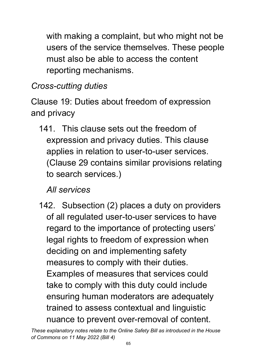with making a complaint, but who might not be users of the service themselves. These people must also be able to access the content reporting mechanisms.

## *Cross-cutting duties*

Clause 19: Duties about freedom of expression and privacy

141. This clause sets out the freedom of expression and privacy duties. This clause applies in relation to user-to-user services. (Clause 29 contains similar provisions relating to search services.)

### *All services*

142. Subsection (2) places a duty on providers of all regulated user-to-user services to have regard to the importance of protecting users' legal rights to freedom of expression when deciding on and implementing safety measures to comply with their duties. Examples of measures that services could take to comply with this duty could include ensuring human moderators are adequately trained to assess contextual and linguistic nuance to prevent over-removal of content.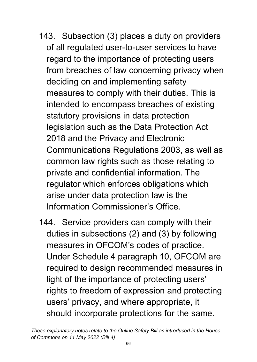- 143. Subsection (3) places a duty on providers of all regulated user-to-user services to have regard to the importance of protecting users from breaches of law concerning privacy when deciding on and implementing safety measures to comply with their duties. This is intended to encompass breaches of existing statutory provisions in data protection legislation such as the Data Protection Act 2018 and the Privacy and Electronic Communications Regulations 2003, as well as common law rights such as those relating to private and confidential information. The regulator which enforces obligations which arise under data protection law is the Information Commissioner's Office.
- 144. Service providers can comply with their duties in subsections (2) and (3) by following measures in OFCOM's codes of practice. Under Schedule 4 paragraph 10, OFCOM are required to design recommended measures in light of the importance of protecting users' rights to freedom of expression and protecting users' privacy, and where appropriate, it should incorporate protections for the same.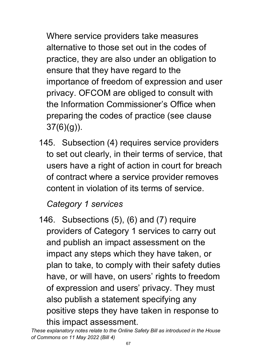Where service providers take measures alternative to those set out in the codes of practice, they are also under an obligation to ensure that they have regard to the importance of freedom of expression and user privacy. OFCOM are obliged to consult with the Information Commissioner's Office when preparing the codes of practice (see clause 37(6)(g)).

145. Subsection (4) requires service providers to set out clearly, in their terms of service, that users have a right of action in court for breach of contract where a service provider removes content in violation of its terms of service.

### *Category 1 services*

146. Subsections (5), (6) and (7) require providers of Category 1 services to carry out and publish an impact assessment on the impact any steps which they have taken, or plan to take, to comply with their safety duties have, or will have, on users' rights to freedom of expression and users' privacy. They must also publish a statement specifying any positive steps they have taken in response to this impact assessment.

*These explanatory notes relate to the Online Safety Bill as introduced in the House of Commons on 11 May 2022 (Bill 4)*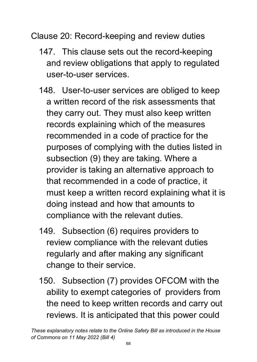Clause 20: Record-keeping and review duties

- 147. This clause sets out the record-keeping and review obligations that apply to regulated user-to-user services.
- 148. User-to-user services are obliged to keep a written record of the risk assessments that they carry out. They must also keep written records explaining which of the measures recommended in a code of practice for the purposes of complying with the duties listed in subsection (9) they are taking. Where a provider is taking an alternative approach to that recommended in a code of practice, it must keep a written record explaining what it is doing instead and how that amounts to compliance with the relevant duties.
- 149. Subsection (6) requires providers to review compliance with the relevant duties regularly and after making any significant change to their service.
- 150. Subsection (7) provides OFCOM with the ability to exempt categories of providers from the need to keep written records and carry out reviews. It is anticipated that this power could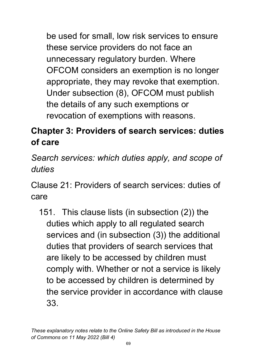be used for small, low risk services to ensure these service providers do not face an unnecessary regulatory burden. Where OFCOM considers an exemption is no longer appropriate, they may revoke that exemption. Under subsection (8), OFCOM must publish the details of any such exemptions or revocation of exemptions with reasons.

# **Chapter 3: Providers of search services: duties of care**

*Search services: which duties apply, and scope of duties*

Clause 21: Providers of search services: duties of care

151. This clause lists (in subsection (2)) the duties which apply to all regulated search services and (in subsection (3)) the additional duties that providers of search services that are likely to be accessed by children must comply with. Whether or not a service is likely to be accessed by children is determined by the service provider in accordance with clause 33.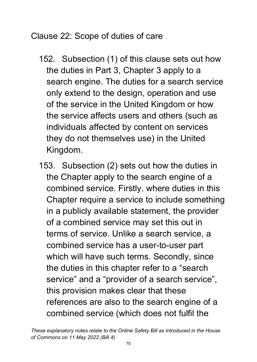Clause 22: Scope of duties of care

- 152. Subsection (1) of this clause sets out how the duties in Part 3, Chapter 3 apply to a search engine. The duties for a search service only extend to the design, operation and use of the service in the United Kingdom or how the service affects users and others (such as individuals affected by content on services they do not themselves use) in the United Kingdom.
- 153. Subsection (2) sets out how the duties in the Chapter apply to the search engine of a combined service. Firstly, where duties in this Chapter require a service to include something in a publicly available statement, the provider of a combined service may set this out in terms of service. Unlike a search service, a combined service has a user-to-user part which will have such terms. Secondly, since the duties in this chapter refer to a "search service" and a "provider of a search service", this provision makes clear that these references are also to the search engine of a combined service (which does not fulfil the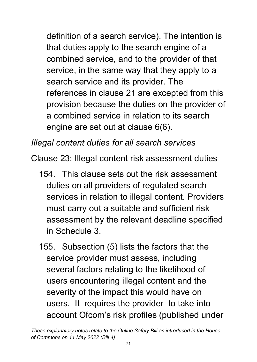definition of a search service). The intention is that duties apply to the search engine of a combined service, and to the provider of that service, in the same way that they apply to a search service and its provider. The references in clause 21 are excepted from this provision because the duties on the provider of a combined service in relation to its search engine are set out at clause 6(6).

*Illegal content duties for all search services*

Clause 23: Illegal content risk assessment duties

- 154. This clause sets out the risk assessment duties on all providers of regulated search services in relation to illegal content. Providers must carry out a suitable and sufficient risk assessment by the relevant deadline specified in Schedule 3.
- 155. Subsection (5) lists the factors that the service provider must assess, including several factors relating to the likelihood of users encountering illegal content and the severity of the impact this would have on users. It requires the provider to take into account Ofcom's risk profiles (published under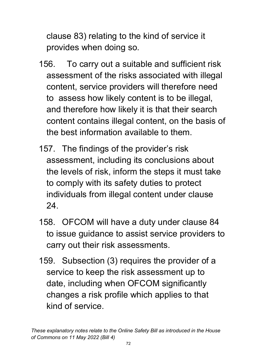clause 83) relating to the kind of service it provides when doing so.

- 156. To carry out a suitable and sufficient risk assessment of the risks associated with illegal content, service providers will therefore need to assess how likely content is to be illegal, and therefore how likely it is that their search content contains illegal content, on the basis of the best information available to them.
- 157. The findings of the provider's risk assessment, including its conclusions about the levels of risk, inform the steps it must take to comply with its safety duties to protect individuals from illegal content under clause 24.
- 158. OFCOM will have a duty under clause 84 to issue guidance to assist service providers to carry out their risk assessments.
- 159. Subsection (3) requires the provider of a service to keep the risk assessment up to date, including when OFCOM significantly changes a risk profile which applies to that kind of service.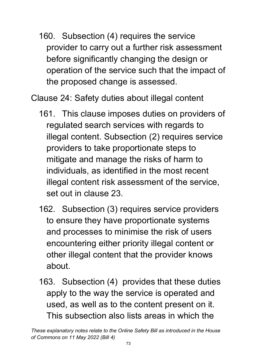160. Subsection (4) requires the service provider to carry out a further risk assessment before significantly changing the design or operation of the service such that the impact of the proposed change is assessed.

Clause 24: Safety duties about illegal content

- 161. This clause imposes duties on providers of regulated search services with regards to illegal content. Subsection (2) requires service providers to take proportionate steps to mitigate and manage the risks of harm to individuals, as identified in the most recent illegal content risk assessment of the service, set out in clause 23.
- 162. Subsection (3) requires service providers to ensure they have proportionate systems and processes to minimise the risk of users encountering either priority illegal content or other illegal content that the provider knows about.
- 163. Subsection (4) provides that these duties apply to the way the service is operated and used, as well as to the content present on it. This subsection also lists areas in which the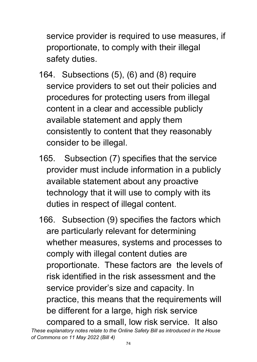service provider is required to use measures, if proportionate, to comply with their illegal safety duties.

- 164. Subsections (5), (6) and (8) require service providers to set out their policies and procedures for protecting users from illegal content in a clear and accessible publicly available statement and apply them consistently to content that they reasonably consider to be illegal.
- 165. Subsection (7) specifies that the service provider must include information in a publicly available statement about any proactive technology that it will use to comply with its duties in respect of illegal content.
- 166. Subsection (9) specifies the factors which are particularly relevant for determining whether measures, systems and processes to comply with illegal content duties are proportionate. These factors are the levels of risk identified in the risk assessment and the service provider's size and capacity. In practice, this means that the requirements will be different for a large, high risk service compared to a small, low risk service. It also

*These explanatory notes relate to the Online Safety Bill as introduced in the House of Commons on 11 May 2022 (Bill 4)*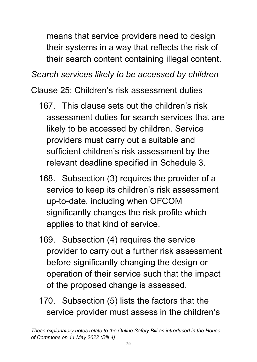means that service providers need to design their systems in a way that reflects the risk of their search content containing illegal content.

*Search services likely to be accessed by children*

Clause 25: Children's risk assessment duties

- 167. This clause sets out the children's risk assessment duties for search services that are likely to be accessed by children. Service providers must carry out a suitable and sufficient children's risk assessment by the relevant deadline specified in Schedule 3.
- 168. Subsection (3) requires the provider of a service to keep its children's risk assessment up-to-date, including when OFCOM significantly changes the risk profile which applies to that kind of service.
- 169. Subsection (4) requires the service provider to carry out a further risk assessment before significantly changing the design or operation of their service such that the impact of the proposed change is assessed.
- 170. Subsection (5) lists the factors that the service provider must assess in the children's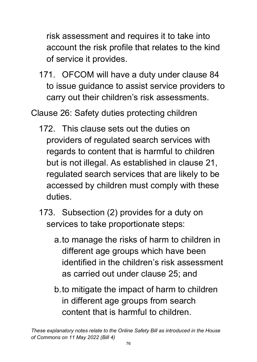risk assessment and requires it to take into account the risk profile that relates to the kind of service it provides.

171. OFCOM will have a duty under clause 84 to issue guidance to assist service providers to carry out their children's risk assessments.

Clause 26: Safety duties protecting children

- 172. This clause sets out the duties on providers of regulated search services with regards to content that is harmful to children but is not illegal. As established in clause 21, regulated search services that are likely to be accessed by children must comply with these duties.
- 173. Subsection (2) provides for a duty on services to take proportionate steps:
	- a.to manage the risks of harm to children in different age groups which have been identified in the children's risk assessment as carried out under clause 25; and
	- b.to mitigate the impact of harm to children in different age groups from search content that is harmful to children.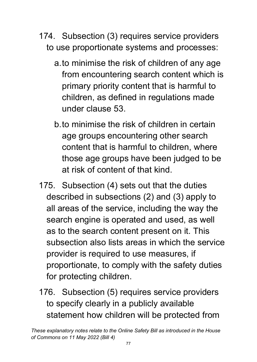- 174. Subsection (3) requires service providers to use proportionate systems and processes:
	- a.to minimise the risk of children of any age from encountering search content which is primary priority content that is harmful to children, as defined in regulations made under clause 53.
	- b.to minimise the risk of children in certain age groups encountering other search content that is harmful to children, where those age groups have been judged to be at risk of content of that kind.
- 175. Subsection (4) sets out that the duties described in subsections (2) and (3) apply to all areas of the service, including the way the search engine is operated and used, as well as to the search content present on it. This subsection also lists areas in which the service provider is required to use measures, if proportionate, to comply with the safety duties for protecting children.
- 176. Subsection (5) requires service providers to specify clearly in a publicly available statement how children will be protected from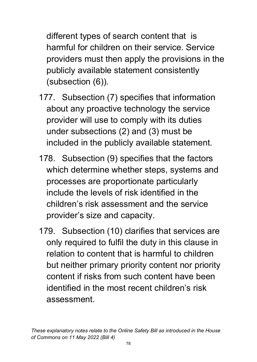different types of search content that is harmful for children on their service. Service providers must then apply the provisions in the publicly available statement consistently (subsection (6)).

- 177. Subsection (7) specifies that information about any proactive technology the service provider will use to comply with its duties under subsections (2) and (3) must be included in the publicly available statement.
- 178. Subsection (9) specifies that the factors which determine whether steps, systems and processes are proportionate particularly include the levels of risk identified in the children's risk assessment and the service provider's size and capacity.
- 179. Subsection (10) clarifies that services are only required to fulfil the duty in this clause in relation to content that is harmful to children but neither primary priority content nor priority content if risks from such content have been identified in the most recent children's risk assessment.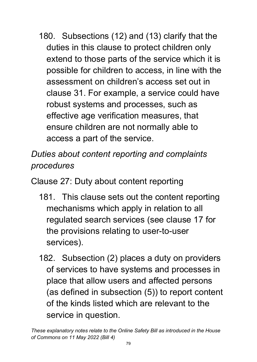180. Subsections (12) and (13) clarify that the duties in this clause to protect children only extend to those parts of the service which it is possible for children to access, in line with the assessment on children's access set out in clause 31. For example, a service could have robust systems and processes, such as effective age verification measures, that ensure children are not normally able to access a part of the service.

*Duties about content reporting and complaints procedures*

Clause 27: Duty about content reporting

- 181. This clause sets out the content reporting mechanisms which apply in relation to all regulated search services (see clause 17 for the provisions relating to user-to-user services).
- 182. Subsection (2) places a duty on providers of services to have systems and processes in place that allow users and affected persons (as defined in subsection (5)) to report content of the kinds listed which are relevant to the service in question.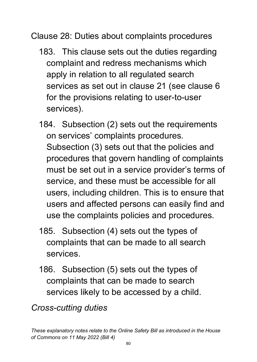Clause 28: Duties about complaints procedures

- 183. This clause sets out the duties regarding complaint and redress mechanisms which apply in relation to all regulated search services as set out in clause 21 (see clause 6 for the provisions relating to user-to-user services).
- 184. Subsection (2) sets out the requirements on services' complaints procedures. Subsection (3) sets out that the policies and procedures that govern handling of complaints must be set out in a service provider's terms of service, and these must be accessible for all users, including children. This is to ensure that users and affected persons can easily find and use the complaints policies and procedures.
- 185. Subsection (4) sets out the types of complaints that can be made to all search services.
- 186. Subsection (5) sets out the types of complaints that can be made to search services likely to be accessed by a child.

*Cross-cutting duties*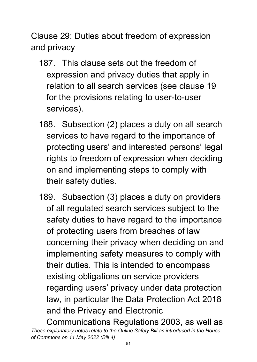Clause 29: Duties about freedom of expression and privacy

- 187. This clause sets out the freedom of expression and privacy duties that apply in relation to all search services (see clause 19 for the provisions relating to user-to-user services).
- 188. Subsection (2) places a duty on all search services to have regard to the importance of protecting users' and interested persons' legal rights to freedom of expression when deciding on and implementing steps to comply with their safety duties.
- 189. Subsection (3) places a duty on providers of all regulated search services subject to the safety duties to have regard to the importance of protecting users from breaches of law concerning their privacy when deciding on and implementing safety measures to comply with their duties. This is intended to encompass existing obligations on service providers regarding users' privacy under data protection law, in particular the Data Protection Act 2018 and the Privacy and Electronic

*These explanatory notes relate to the Online Safety Bill as introduced in the House of Commons on 11 May 2022 (Bill 4)* Communications Regulations 2003, as well as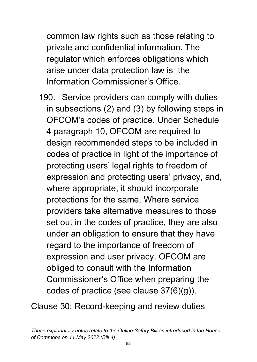common law rights such as those relating to private and confidential information. The regulator which enforces obligations which arise under data protection law is the Information Commissioner's Office.

190. Service providers can comply with duties in subsections (2) and (3) by following steps in OFCOM's codes of practice. Under Schedule 4 paragraph 10, OFCOM are required to design recommended steps to be included in codes of practice in light of the importance of protecting users' legal rights to freedom of expression and protecting users' privacy, and, where appropriate, it should incorporate protections for the same. Where service providers take alternative measures to those set out in the codes of practice, they are also under an obligation to ensure that they have regard to the importance of freedom of expression and user privacy. OFCOM are obliged to consult with the Information Commissioner's Office when preparing the codes of practice (see clause 37(6)(g)).

Clause 30: Record-keeping and review duties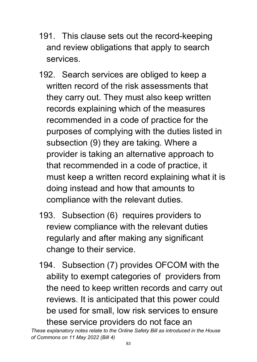- 191. This clause sets out the record-keeping and review obligations that apply to search services.
- 192. Search services are obliged to keep a written record of the risk assessments that they carry out. They must also keep written records explaining which of the measures recommended in a code of practice for the purposes of complying with the duties listed in subsection (9) they are taking. Where a provider is taking an alternative approach to that recommended in a code of practice, it must keep a written record explaining what it is doing instead and how that amounts to compliance with the relevant duties.
- 193. Subsection (6) requires providers to review compliance with the relevant duties regularly and after making any significant change to their service.
- 194. Subsection (7) provides OFCOM with the ability to exempt categories of providers from the need to keep written records and carry out reviews. It is anticipated that this power could be used for small, low risk services to ensure these service providers do not face an

*These explanatory notes relate to the Online Safety Bill as introduced in the House of Commons on 11 May 2022 (Bill 4)*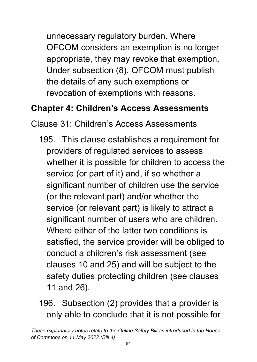unnecessary regulatory burden. Where OFCOM considers an exemption is no longer appropriate, they may revoke that exemption. Under subsection (8), OFCOM must publish the details of any such exemptions or revocation of exemptions with reasons.

#### **Chapter 4: Children's Access Assessments**

Clause 31: Children's Access Assessments

195. This clause establishes a requirement for providers of regulated services to assess whether it is possible for children to access the service (or part of it) and, if so whether a significant number of children use the service (or the relevant part) and/or whether the service (or relevant part) is likely to attract a significant number of users who are children. Where either of the latter two conditions is satisfied, the service provider will be obliged to conduct a children's risk assessment (see clauses 10 and 25) and will be subject to the safety duties protecting children (see clauses 11 and 26).

### 196. Subsection (2) provides that a provider is only able to conclude that it is not possible for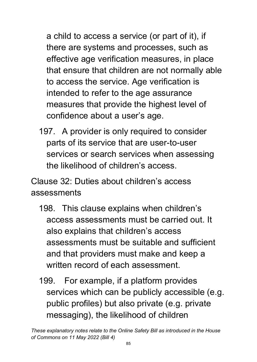a child to access a service (or part of it), if there are systems and processes, such as effective age verification measures, in place that ensure that children are not normally able to access the service. Age verification is intended to refer to the age assurance measures that provide the highest level of confidence about a user's age.

197. A provider is only required to consider parts of its service that are user-to-user services or search services when assessing the likelihood of children's access.

Clause 32: Duties about children's access assessments

- 198. This clause explains when children's access assessments must be carried out. It also explains that children's access assessments must be suitable and sufficient and that providers must make and keep a written record of each assessment.
- 199. For example, if a platform provides services which can be publicly accessible (e.g. public profiles) but also private (e.g. private messaging), the likelihood of children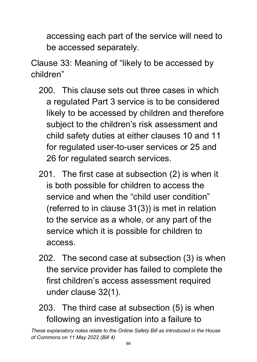accessing each part of the service will need to be accessed separately.

Clause 33: Meaning of "likely to be accessed by children"

- 200. This clause sets out three cases in which a regulated Part 3 service is to be considered likely to be accessed by children and therefore subject to the children's risk assessment and child safety duties at either clauses 10 and 11 for regulated user-to-user services or 25 and 26 for regulated search services.
- 201. The first case at subsection (2) is when it is both possible for children to access the service and when the "child user condition" (referred to in clause 31(3)) is met in relation to the service as a whole, or any part of the service which it is possible for children to access.
- 202. The second case at subsection (3) is when the service provider has failed to complete the first children's access assessment required under clause 32(1).
- 203. The third case at subsection (5) is when following an investigation into a failure to

*These explanatory notes relate to the Online Safety Bill as introduced in the House of Commons on 11 May 2022 (Bill 4)*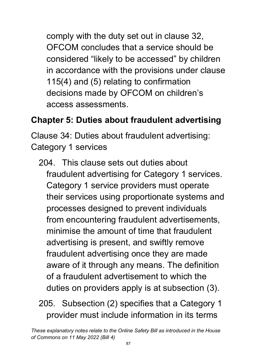comply with the duty set out in clause 32, OFCOM concludes that a service should be considered "likely to be accessed" by children in accordance with the provisions under clause 115(4) and (5) relating to confirmation decisions made by OFCOM on children's access assessments.

## **Chapter 5: Duties about fraudulent advertising**

Clause 34: Duties about fraudulent advertising: Category 1 services

204. This clause sets out duties about fraudulent advertising for Category 1 services. Category 1 service providers must operate their services using proportionate systems and processes designed to prevent individuals from encountering fraudulent advertisements, minimise the amount of time that fraudulent advertising is present, and swiftly remove fraudulent advertising once they are made aware of it through any means. The definition of a fraudulent advertisement to which the duties on providers apply is at subsection (3).

# 205. Subsection (2) specifies that a Category 1 provider must include information in its terms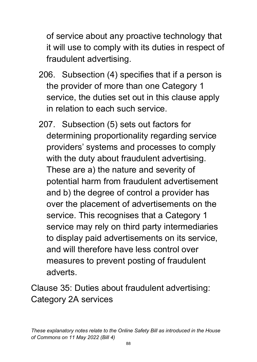of service about any proactive technology that it will use to comply with its duties in respect of fraudulent advertising.

- 206. Subsection (4) specifies that if a person is the provider of more than one Category 1 service, the duties set out in this clause apply in relation to each such service.
- 207. Subsection (5) sets out factors for determining proportionality regarding service providers' systems and processes to comply with the duty about fraudulent advertising. These are a) the nature and severity of potential harm from fraudulent advertisement and b) the degree of control a provider has over the placement of advertisements on the service. This recognises that a Category 1 service may rely on third party intermediaries to display paid advertisements on its service, and will therefore have less control over measures to prevent posting of fraudulent adverts.

Clause 35: Duties about fraudulent advertising: Category 2A services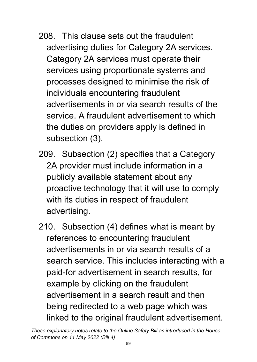- 208. This clause sets out the fraudulent advertising duties for Category 2A services. Category 2A services must operate their services using proportionate systems and processes designed to minimise the risk of individuals encountering fraudulent advertisements in or via search results of the service. A fraudulent advertisement to which the duties on providers apply is defined in subsection (3).
- 209. Subsection (2) specifies that a Category 2A provider must include information in a publicly available statement about any proactive technology that it will use to comply with its duties in respect of fraudulent advertising.
- 210. Subsection (4) defines what is meant by references to encountering fraudulent advertisements in or via search results of a search service. This includes interacting with a paid-for advertisement in search results, for example by clicking on the fraudulent advertisement in a search result and then being redirected to a web page which was linked to the original fraudulent advertisement.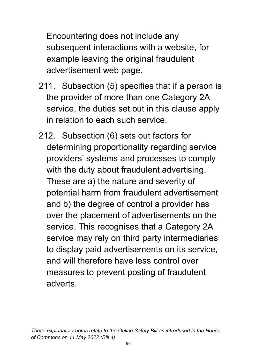Encountering does not include any subsequent interactions with a website, for example leaving the original fraudulent advertisement web page.

- 211. Subsection (5) specifies that if a person is the provider of more than one Category 2A service, the duties set out in this clause apply in relation to each such service.
- 212. Subsection (6) sets out factors for determining proportionality regarding service providers' systems and processes to comply with the duty about fraudulent advertising. These are a) the nature and severity of potential harm from fraudulent advertisement and b) the degree of control a provider has over the placement of advertisements on the service. This recognises that a Category 2A service may rely on third party intermediaries to display paid advertisements on its service, and will therefore have less control over measures to prevent posting of fraudulent adverts.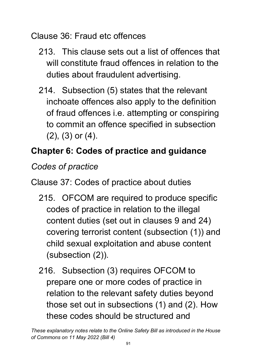Clause 36: Fraud etc offences

- 213. This clause sets out a list of offences that will constitute fraud offences in relation to the duties about fraudulent advertising.
- 214. Subsection (5) states that the relevant inchoate offences also apply to the definition of fraud offences i.e. attempting or conspiring to commit an offence specified in subsection (2), (3) or (4).

# **Chapter 6: Codes of practice and guidance**

*Codes of practice*

Clause 37: Codes of practice about duties

- 215. OFCOM are required to produce specific codes of practice in relation to the illegal content duties (set out in clauses 9 and 24) covering terrorist content (subsection (1)) and child sexual exploitation and abuse content (subsection (2)).
- 216. Subsection (3) requires OFCOM to prepare one or more codes of practice in relation to the relevant safety duties beyond those set out in subsections (1) and (2). How these codes should be structured and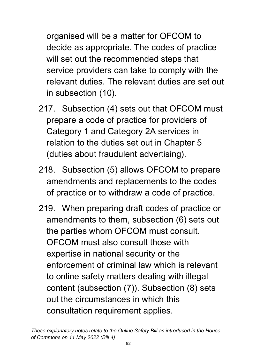organised will be a matter for OFCOM to decide as appropriate. The codes of practice will set out the recommended steps that service providers can take to comply with the relevant duties. The relevant duties are set out in subsection (10).

- 217. Subsection (4) sets out that OFCOM must prepare a code of practice for providers of Category 1 and Category 2A services in relation to the duties set out in Chapter 5 (duties about fraudulent advertising).
- 218. Subsection (5) allows OFCOM to prepare amendments and replacements to the codes of practice or to withdraw a code of practice.
- 219. When preparing draft codes of practice or amendments to them, subsection (6) sets out the parties whom OFCOM must consult. OFCOM must also consult those with expertise in national security or the enforcement of criminal law which is relevant to online safety matters dealing with illegal content (subsection (7)). Subsection (8) sets out the circumstances in which this consultation requirement applies.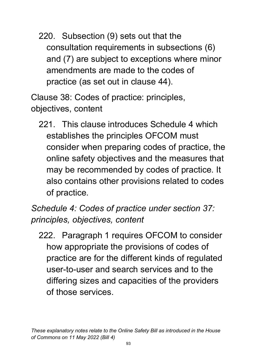220. Subsection (9) sets out that the consultation requirements in subsections (6) and (7) are subject to exceptions where minor amendments are made to the codes of practice (as set out in clause 44).

Clause 38: Codes of practice: principles, objectives, content

221. This clause introduces Schedule 4 which establishes the principles OFCOM must consider when preparing codes of practice, the online safety objectives and the measures that may be recommended by codes of practice. It also contains other provisions related to codes of practice.

### *Schedule 4: Codes of practice under section 37: principles, objectives, content*

222. Paragraph 1 requires OFCOM to consider how appropriate the provisions of codes of practice are for the different kinds of regulated user-to-user and search services and to the differing sizes and capacities of the providers of those services.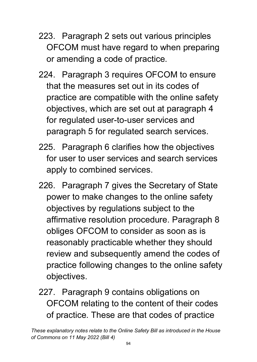- 223. Paragraph 2 sets out various principles OFCOM must have regard to when preparing or amending a code of practice.
- 224. Paragraph 3 requires OFCOM to ensure that the measures set out in its codes of practice are compatible with the online safety objectives, which are set out at paragraph 4 for regulated user-to-user services and paragraph 5 for regulated search services.
- 225. Paragraph 6 clarifies how the objectives for user to user services and search services apply to combined services.
- 226. Paragraph 7 gives the Secretary of State power to make changes to the online safety objectives by regulations subject to the affirmative resolution procedure. Paragraph 8 obliges OFCOM to consider as soon as is reasonably practicable whether they should review and subsequently amend the codes of practice following changes to the online safety objectives.
- 227. Paragraph 9 contains obligations on OFCOM relating to the content of their codes of practice. These are that codes of practice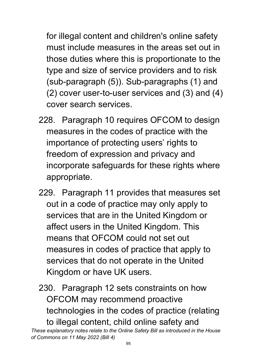for illegal content and children's online safety must include measures in the areas set out in those duties where this is proportionate to the type and size of service providers and to risk (sub-paragraph (5)). Sub-paragraphs (1) and (2) cover user-to-user services and (3) and (4) cover search services.

- 228. Paragraph 10 requires OFCOM to design measures in the codes of practice with the importance of protecting users' rights to freedom of expression and privacy and incorporate safeguards for these rights where appropriate.
- 229. Paragraph 11 provides that measures set out in a code of practice may only apply to services that are in the United Kingdom or affect users in the United Kingdom. This means that OFCOM could not set out measures in codes of practice that apply to services that do not operate in the United Kingdom or have UK users.
- 230. Paragraph 12 sets constraints on how OFCOM may recommend proactive technologies in the codes of practice (relating to illegal content, child online safety and

*These explanatory notes relate to the Online Safety Bill as introduced in the House of Commons on 11 May 2022 (Bill 4)*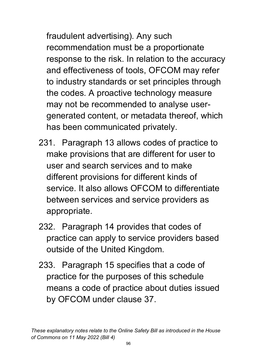fraudulent advertising). Any such recommendation must be a proportionate response to the risk. In relation to the accuracy and effectiveness of tools, OFCOM may refer to industry standards or set principles through the codes. A proactive technology measure may not be recommended to analyse usergenerated content, or metadata thereof, which has been communicated privately.

- 231. Paragraph 13 allows codes of practice to make provisions that are different for user to user and search services and to make different provisions for different kinds of service. It also allows OFCOM to differentiate between services and service providers as appropriate.
- 232. Paragraph 14 provides that codes of practice can apply to service providers based outside of the United Kingdom.
- 233. Paragraph 15 specifies that a code of practice for the purposes of this schedule means a code of practice about duties issued by OFCOM under clause 37.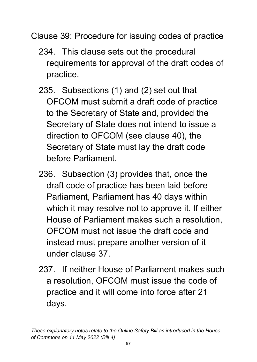Clause 39: Procedure for issuing codes of practice

- 234. This clause sets out the procedural requirements for approval of the draft codes of practice.
- 235. Subsections (1) and (2) set out that OFCOM must submit a draft code of practice to the Secretary of State and, provided the Secretary of State does not intend to issue a direction to OFCOM (see clause 40), the Secretary of State must lay the draft code before Parliament.
- 236. Subsection (3) provides that, once the draft code of practice has been laid before Parliament, Parliament has 40 days within which it may resolve not to approve it. If either House of Parliament makes such a resolution, OFCOM must not issue the draft code and instead must prepare another version of it under clause 37.
- 237. If neither House of Parliament makes such a resolution, OFCOM must issue the code of practice and it will come into force after 21 days.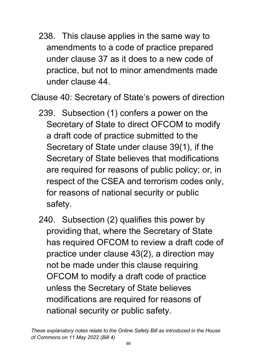238. This clause applies in the same way to amendments to a code of practice prepared under clause 37 as it does to a new code of practice, but not to minor amendments made under clause 44.

Clause 40: Secretary of State's powers of direction

- 239. Subsection (1) confers a power on the Secretary of State to direct OFCOM to modify a draft code of practice submitted to the Secretary of State under clause 39(1), if the Secretary of State believes that modifications are required for reasons of public policy; or, in respect of the CSEA and terrorism codes only, for reasons of national security or public safety.
- 240. Subsection (2) qualifies this power by providing that, where the Secretary of State has required OFCOM to review a draft code of practice under clause 43(2), a direction may not be made under this clause requiring OFCOM to modify a draft code of practice unless the Secretary of State believes modifications are required for reasons of national security or public safety.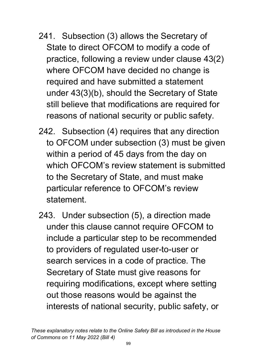- 241. Subsection (3) allows the Secretary of State to direct OFCOM to modify a code of practice, following a review under clause 43(2) where OFCOM have decided no change is required and have submitted a statement under 43(3)(b), should the Secretary of State still believe that modifications are required for reasons of national security or public safety.
- 242. Subsection (4) requires that any direction to OFCOM under subsection (3) must be given within a period of 45 days from the day on which OFCOM's review statement is submitted to the Secretary of State, and must make particular reference to OFCOM's review statement.
- 243. Under subsection (5), a direction made under this clause cannot require OFCOM to include a particular step to be recommended to providers of regulated user-to-user or search services in a code of practice. The Secretary of State must give reasons for requiring modifications, except where setting out those reasons would be against the interests of national security, public safety, or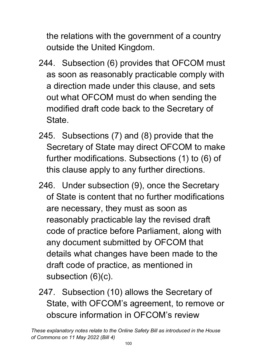the relations with the government of a country outside the United Kingdom.

- 244. Subsection (6) provides that OFCOM must as soon as reasonably practicable comply with a direction made under this clause, and sets out what OFCOM must do when sending the modified draft code back to the Secretary of **State**
- 245. Subsections (7) and (8) provide that the Secretary of State may direct OFCOM to make further modifications. Subsections (1) to (6) of this clause apply to any further directions.
- 246. Under subsection (9), once the Secretary of State is content that no further modifications are necessary, they must as soon as reasonably practicable lay the revised draft code of practice before Parliament, along with any document submitted by OFCOM that details what changes have been made to the draft code of practice, as mentioned in subsection (6)(c).
- 247. Subsection (10) allows the Secretary of State, with OFCOM's agreement, to remove or obscure information in OFCOM's review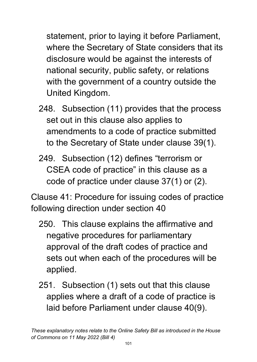statement, prior to laying it before Parliament, where the Secretary of State considers that its disclosure would be against the interests of national security, public safety, or relations with the government of a country outside the United Kingdom.

- 248. Subsection (11) provides that the process set out in this clause also applies to amendments to a code of practice submitted to the Secretary of State under clause 39(1).
- 249. Subsection (12) defines "terrorism or CSEA code of practice" in this clause as a code of practice under clause 37(1) or (2).

Clause 41: Procedure for issuing codes of practice following direction under section 40

- 250. This clause explains the affirmative and negative procedures for parliamentary approval of the draft codes of practice and sets out when each of the procedures will be applied.
- 251. Subsection (1) sets out that this clause applies where a draft of a code of practice is laid before Parliament under clause 40(9).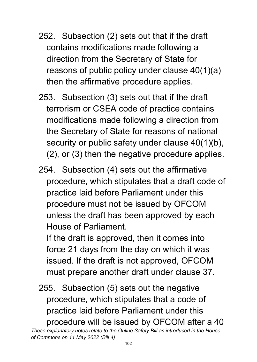- 252. Subsection (2) sets out that if the draft contains modifications made following a direction from the Secretary of State for reasons of public policy under clause 40(1)(a) then the affirmative procedure applies.
- 253. Subsection (3) sets out that if the draft terrorism or CSEA code of practice contains modifications made following a direction from the Secretary of State for reasons of national security or public safety under clause 40(1)(b), (2), or (3) then the negative procedure applies.
- 254. Subsection (4) sets out the affirmative procedure, which stipulates that a draft code of practice laid before Parliament under this procedure must not be issued by OFCOM unless the draft has been approved by each House of Parliament.

If the draft is approved, then it comes into force 21 days from the day on which it was issued. If the draft is not approved, OFCOM must prepare another draft under clause 37.

255. Subsection (5) sets out the negative procedure, which stipulates that a code of practice laid before Parliament under this procedure will be issued by OFCOM after a 40

*These explanatory notes relate to the Online Safety Bill as introduced in the House of Commons on 11 May 2022 (Bill 4)*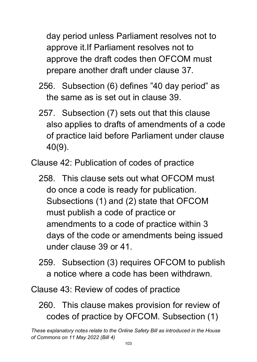day period unless Parliament resolves not to approve it.If Parliament resolves not to approve the draft codes then OFCOM must prepare another draft under clause 37.

- 256. Subsection (6) defines "40 day period" as the same as is set out in clause 39.
- 257. Subsection (7) sets out that this clause also applies to drafts of amendments of a code of practice laid before Parliament under clause 40(9).

Clause 42: Publication of codes of practice

- 258. This clause sets out what OFCOM must do once a code is ready for publication. Subsections (1) and (2) state that OFCOM must publish a code of practice or amendments to a code of practice within 3 days of the code or amendments being issued under clause 39 or 41.
- 259. Subsection (3) requires OFCOM to publish a notice where a code has been withdrawn.

Clause 43: Review of codes of practice

260. This clause makes provision for review of codes of practice by OFCOM. Subsection (1)

*These explanatory notes relate to the Online Safety Bill as introduced in the House of Commons on 11 May 2022 (Bill 4)*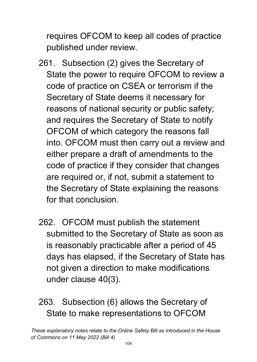requires OFCOM to keep all codes of practice published under review.

- 261. Subsection (2) gives the Secretary of State the power to require OFCOM to review a code of practice on CSEA or terrorism if the Secretary of State deems it necessary for reasons of national security or public safety; and requires the Secretary of State to notify OFCOM of which category the reasons fall into. OFCOM must then carry out a review and either prepare a draft of amendments to the code of practice if they consider that changes are required or, if not, submit a statement to the Secretary of State explaining the reasons for that conclusion.
- 262. OFCOM must publish the statement submitted to the Secretary of State as soon as is reasonably practicable after a period of 45 days has elapsed, if the Secretary of State has not given a direction to make modifications under clause 40(3).

## 263. Subsection (6) allows the Secretary of State to make representations to OFCOM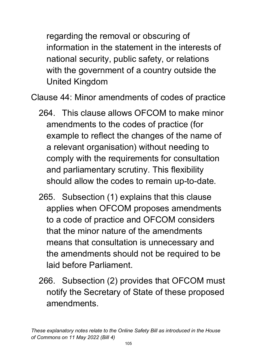regarding the removal or obscuring of information in the statement in the interests of national security, public safety, or relations with the government of a country outside the United Kingdom

Clause 44: Minor amendments of codes of practice

- 264. This clause allows OFCOM to make minor amendments to the codes of practice (for example to reflect the changes of the name of a relevant organisation) without needing to comply with the requirements for consultation and parliamentary scrutiny. This flexibility should allow the codes to remain up-to-date.
- 265. Subsection (1) explains that this clause applies when OFCOM proposes amendments to a code of practice and OFCOM considers that the minor nature of the amendments means that consultation is unnecessary and the amendments should not be required to be laid before Parliament.
- 266. Subsection (2) provides that OFCOM must notify the Secretary of State of these proposed amendments.

*These explanatory notes relate to the Online Safety Bill as introduced in the House of Commons on 11 May 2022 (Bill 4)*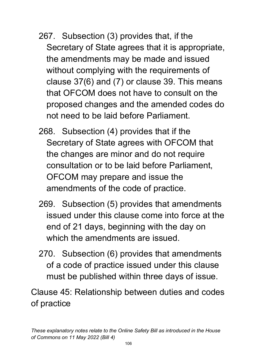- 267. Subsection (3) provides that, if the Secretary of State agrees that it is appropriate, the amendments may be made and issued without complying with the requirements of clause 37(6) and (7) or clause 39. This means that OFCOM does not have to consult on the proposed changes and the amended codes do not need to be laid before Parliament.
- 268. Subsection (4) provides that if the Secretary of State agrees with OFCOM that the changes are minor and do not require consultation or to be laid before Parliament, OFCOM may prepare and issue the amendments of the code of practice.
- 269. Subsection (5) provides that amendments issued under this clause come into force at the end of 21 days, beginning with the day on which the amendments are issued.
- 270. Subsection (6) provides that amendments of a code of practice issued under this clause must be published within three days of issue.

Clause 45: Relationship between duties and codes of practice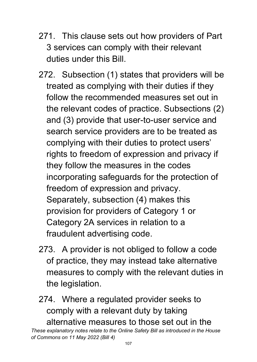- 271. This clause sets out how providers of Part 3 services can comply with their relevant duties under this Bill.
- 272. Subsection (1) states that providers will be treated as complying with their duties if they follow the recommended measures set out in the relevant codes of practice. Subsections (2) and (3) provide that user-to-user service and search service providers are to be treated as complying with their duties to protect users' rights to freedom of expression and privacy if they follow the measures in the codes incorporating safeguards for the protection of freedom of expression and privacy. Separately, subsection (4) makes this provision for providers of Category 1 or Category 2A services in relation to a fraudulent advertising code.
- 273. A provider is not obliged to follow a code of practice, they may instead take alternative measures to comply with the relevant duties in the legislation.
- 274. Where a regulated provider seeks to comply with a relevant duty by taking alternative measures to those set out in the

*These explanatory notes relate to the Online Safety Bill as introduced in the House of Commons on 11 May 2022 (Bill 4)*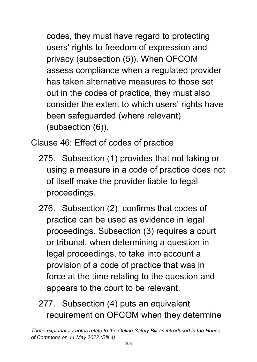codes, they must have regard to protecting users' rights to freedom of expression and privacy (subsection (5)). When OFCOM assess compliance when a regulated provider has taken alternative measures to those set out in the codes of practice, they must also consider the extent to which users' rights have been safeguarded (where relevant) (subsection (6)).

Clause 46: Effect of codes of practice

- 275. Subsection (1) provides that not taking or using a measure in a code of practice does not of itself make the provider liable to legal proceedings.
- 276. Subsection (2) confirms that codes of practice can be used as evidence in legal proceedings. Subsection (3) requires a court or tribunal, when determining a question in legal proceedings, to take into account a provision of a code of practice that was in force at the time relating to the question and appears to the court to be relevant.

# 277. Subsection (4) puts an equivalent requirement on OFCOM when they determine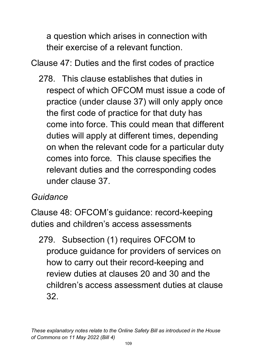a question which arises in connection with their exercise of a relevant function.

Clause 47: Duties and the first codes of practice

278. This clause establishes that duties in respect of which OFCOM must issue a code of practice (under clause 37) will only apply once the first code of practice for that duty has come into force. This could mean that different duties will apply at different times, depending on when the relevant code for a particular duty comes into force. This clause specifies the relevant duties and the corresponding codes under clause 37.

#### *Guidance*

Clause 48: OFCOM's guidance: record-keeping duties and children's access assessments

279. Subsection (1) requires OFCOM to produce guidance for providers of services on how to carry out their record-keeping and review duties at clauses 20 and 30 and the children's access assessment duties at clause 32.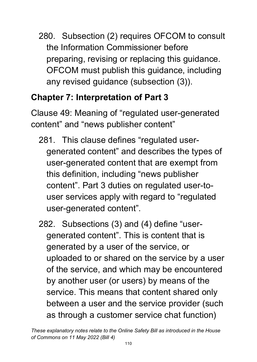280. Subsection (2) requires OFCOM to consult the Information Commissioner before preparing, revising or replacing this guidance. OFCOM must publish this guidance, including any revised guidance (subsection (3)).

## **Chapter 7: Interpretation of Part 3**

Clause 49: Meaning of "regulated user-generated content" and "news publisher content"

- 281. This clause defines "regulated usergenerated content" and describes the types of user-generated content that are exempt from this definition, including "news publisher content". Part 3 duties on regulated user-touser services apply with regard to "regulated user-generated content".
- 282. Subsections (3) and (4) define "usergenerated content". This is content that is generated by a user of the service, or uploaded to or shared on the service by a user of the service, and which may be encountered by another user (or users) by means of the service. This means that content shared only between a user and the service provider (such as through a customer service chat function)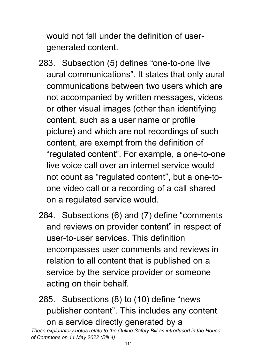would not fall under the definition of usergenerated content.

- 283. Subsection (5) defines "one-to-one live aural communications". It states that only aural communications between two users which are not accompanied by written messages, videos or other visual images (other than identifying content, such as a user name or profile picture) and which are not recordings of such content, are exempt from the definition of "regulated content". For example, a one-to-one live voice call over an internet service would not count as "regulated content", but a one-toone video call or a recording of a call shared on a regulated service would.
- 284. Subsections (6) and (7) define "comments and reviews on provider content" in respect of user-to-user services. This definition encompasses user comments and reviews in relation to all content that is published on a service by the service provider or someone acting on their behalf.

285. Subsections (8) to (10) define "news publisher content". This includes any content on a service directly generated by a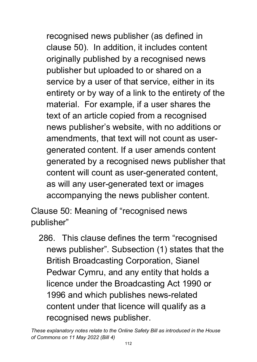recognised news publisher (as defined in clause 50). In addition, it includes content originally published by a recognised news publisher but uploaded to or shared on a service by a user of that service, either in its entirety or by way of a link to the entirety of the material. For example, if a user shares the text of an article copied from a recognised news publisher's website, with no additions or amendments, that text will not count as usergenerated content. If a user amends content generated by a recognised news publisher that content will count as user-generated content, as will any user-generated text or images accompanying the news publisher content.

Clause 50: Meaning of "recognised news publisher"

286. This clause defines the term "recognised news publisher". Subsection (1) states that the British Broadcasting Corporation, Sianel Pedwar Cymru, and any entity that holds a licence under the Broadcasting Act 1990 or 1996 and which publishes news-related content under that licence will qualify as a recognised news publisher.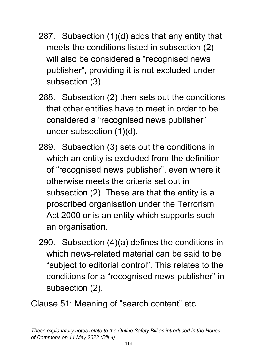- 287. Subsection (1)(d) adds that any entity that meets the conditions listed in subsection (2) will also be considered a "recognised news publisher", providing it is not excluded under subsection (3).
- 288. Subsection (2) then sets out the conditions that other entities have to meet in order to be considered a "recognised news publisher" under subsection (1)(d).
- 289. Subsection (3) sets out the conditions in which an entity is excluded from the definition of "recognised news publisher", even where it otherwise meets the criteria set out in subsection (2). These are that the entity is a proscribed organisation under the Terrorism Act 2000 or is an entity which supports such an organisation.
- 290. Subsection (4)(a) defines the conditions in which news-related material can be said to be "subject to editorial control". This relates to the conditions for a "recognised news publisher" in subsection (2).
- Clause 51: Meaning of "search content" etc.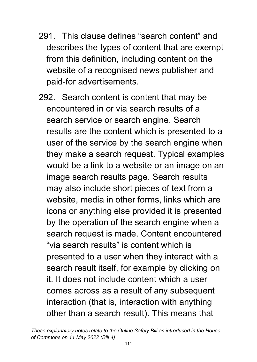- 291. This clause defines "search content" and describes the types of content that are exempt from this definition, including content on the website of a recognised news publisher and paid-for advertisements.
- 292. Search content is content that may be encountered in or via search results of a search service or search engine. Search results are the content which is presented to a user of the service by the search engine when they make a search request. Typical examples would be a link to a website or an image on an image search results page. Search results may also include short pieces of text from a website, media in other forms, links which are icons or anything else provided it is presented by the operation of the search engine when a search request is made. Content encountered "via search results" is content which is presented to a user when they interact with a search result itself, for example by clicking on it. It does not include content which a user comes across as a result of any subsequent interaction (that is, interaction with anything other than a search result). This means that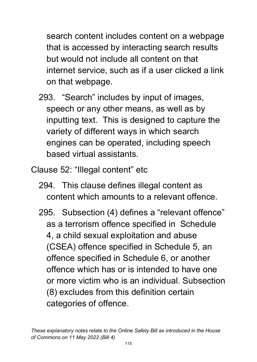search content includes content on a webpage that is accessed by interacting search results but would not include all content on that internet service, such as if a user clicked a link on that webpage.

- 293. "Search" includes by input of images, speech or any other means, as well as by inputting text. This is designed to capture the variety of different ways in which search engines can be operated, including speech based virtual assistants.
- Clause 52: "Illegal content" etc
	- 294. This clause defines illegal content as content which amounts to a relevant offence.
	- 295. Subsection (4) defines a "relevant offence" as a terrorism offence specified in Schedule 4, a child sexual exploitation and abuse (CSEA) offence specified in Schedule 5, an offence specified in Schedule 6, or another offence which has or is intended to have one or more victim who is an individual. Subsection (8) excludes from this definition certain categories of offence.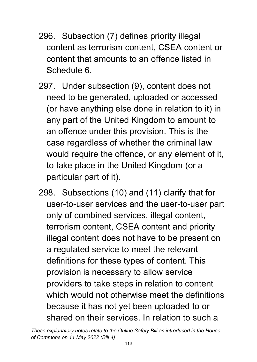- 296. Subsection (7) defines priority illegal content as terrorism content, CSEA content or content that amounts to an offence listed in Schedule 6.
- 297. Under subsection (9), content does not need to be generated, uploaded or accessed (or have anything else done in relation to it) in any part of the United Kingdom to amount to an offence under this provision. This is the case regardless of whether the criminal law would require the offence, or any element of it, to take place in the United Kingdom (or a particular part of it).
- 298. Subsections (10) and (11) clarify that for user-to-user services and the user-to-user part only of combined services, illegal content, terrorism content, CSEA content and priority illegal content does not have to be present on a regulated service to meet the relevant definitions for these types of content. This provision is necessary to allow service providers to take steps in relation to content which would not otherwise meet the definitions because it has not yet been uploaded to or shared on their services. In relation to such a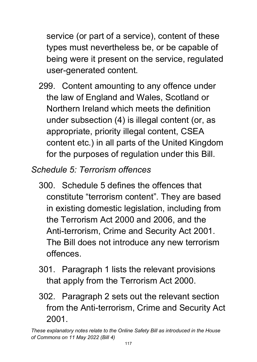service (or part of a service), content of these types must nevertheless be, or be capable of being were it present on the service, regulated user-generated content.

- 299. Content amounting to any offence under the law of England and Wales, Scotland or Northern Ireland which meets the definition under subsection (4) is illegal content (or, as appropriate, priority illegal content, CSEA content etc.) in all parts of the United Kingdom for the purposes of regulation under this Bill.
- *Schedule 5: Terrorism offences* 
	- 300. Schedule 5 defines the offences that constitute "terrorism content". They are based in existing domestic legislation, including from the Terrorism Act 2000 and 2006, and the Anti-terrorism, Crime and Security Act 2001. The Bill does not introduce any new terrorism offences.
	- 301. Paragraph 1 lists the relevant provisions that apply from the Terrorism Act 2000.
	- 302. Paragraph 2 sets out the relevant section from the Anti-terrorism, Crime and Security Act 2001.

*These explanatory notes relate to the Online Safety Bill as introduced in the House of Commons on 11 May 2022 (Bill 4)*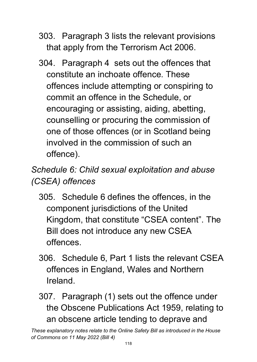- 303. Paragraph 3 lists the relevant provisions that apply from the Terrorism Act 2006.
- 304. Paragraph 4 sets out the offences that constitute an inchoate offence. These offences include attempting or conspiring to commit an offence in the Schedule, or encouraging or assisting, aiding, abetting, counselling or procuring the commission of one of those offences (or in Scotland being involved in the commission of such an offence).

*Schedule 6: Child sexual exploitation and abuse (CSEA) offences* 

- 305. Schedule 6 defines the offences, in the component jurisdictions of the United Kingdom, that constitute "CSEA content". The Bill does not introduce any new CSEA offences.
- 306. Schedule 6, Part 1 lists the relevant CSEA offences in England, Wales and Northern Ireland.
- 307. Paragraph (1) sets out the offence under the Obscene Publications Act 1959, relating to an obscene article tending to deprave and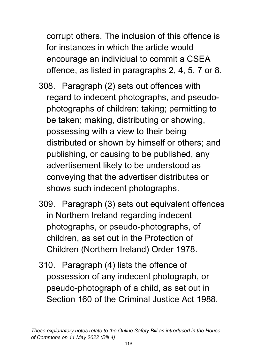corrupt others. The inclusion of this offence is for instances in which the article would encourage an individual to commit a CSEA offence, as listed in paragraphs 2, 4, 5, 7 or 8.

- 308. Paragraph (2) sets out offences with regard to indecent photographs, and pseudophotographs of children: taking; permitting to be taken; making, distributing or showing, possessing with a view to their being distributed or shown by himself or others; and publishing, or causing to be published, any advertisement likely to be understood as conveying that the advertiser distributes or shows such indecent photographs.
- 309. Paragraph (3) sets out equivalent offences in Northern Ireland regarding indecent photographs, or pseudo-photographs, of children, as set out in the Protection of Children (Northern Ireland) Order 1978.
- 310. Paragraph (4) lists the offence of possession of any indecent photograph, or pseudo-photograph of a child, as set out in Section 160 of the Criminal Justice Act 1988.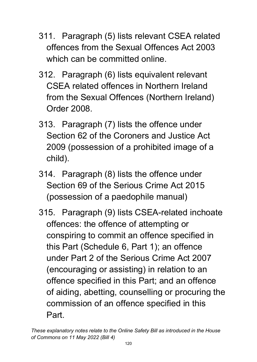- 311. Paragraph (5) lists relevant CSEA related offences from the Sexual Offences Act 2003 which can be committed online.
- 312. Paragraph (6) lists equivalent relevant CSEA related offences in Northern Ireland from the Sexual Offences (Northern Ireland) Order 2008.
- 313. Paragraph (7) lists the offence under Section 62 of the Coroners and Justice Act 2009 (possession of a prohibited image of a child).
- 314. Paragraph (8) lists the offence under Section 69 of the Serious Crime Act 2015 (possession of a paedophile manual)
- 315. Paragraph (9) lists CSEA-related inchoate offences: the offence of attempting or conspiring to commit an offence specified in this Part (Schedule 6, Part 1); an offence under Part 2 of the Serious Crime Act 2007 (encouraging or assisting) in relation to an offence specified in this Part; and an offence of aiding, abetting, counselling or procuring the commission of an offence specified in this Part.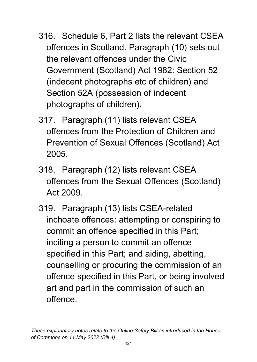- 316. Schedule 6, Part 2 lists the relevant CSEA offences in Scotland. Paragraph (10) sets out the relevant offences under the Civic Government (Scotland) Act 1982: Section 52 (indecent photographs etc of children) and Section 52A (possession of indecent photographs of children).
- 317. Paragraph (11) lists relevant CSEA offences from the Protection of Children and Prevention of Sexual Offences (Scotland) Act 2005.
- 318. Paragraph (12) lists relevant CSEA offences from the Sexual Offences (Scotland) Act 2009.
- 319. Paragraph (13) lists CSEA-related inchoate offences: attempting or conspiring to commit an offence specified in this Part; inciting a person to commit an offence specified in this Part; and aiding, abetting, counselling or procuring the commission of an offence specified in this Part, or being involved art and part in the commission of such an offence.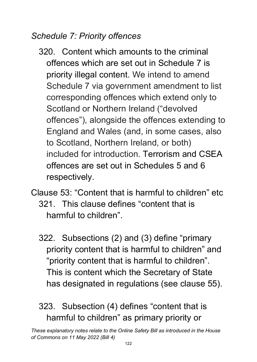#### *Schedule 7: Priority offences*

- 320. Content which amounts to the criminal offences which are set out in Schedule 7 is priority illegal content. We intend to amend Schedule 7 via government amendment to list corresponding offences which extend only to Scotland or Northern Ireland ("devolved offences"), alongside the offences extending to England and Wales (and, in some cases, also to Scotland, Northern Ireland, or both) included for introduction. Terrorism and CSEA offences are set out in Schedules 5 and 6 respectively.
- Clause 53: "Content that is harmful to children" etc 321. This clause defines "content that is harmful to children".
	- 322. Subsections (2) and (3) define "primary priority content that is harmful to children" and "priority content that is harmful to children". This is content which the Secretary of State has designated in regulations (see clause 55).

323. Subsection (4) defines "content that is harmful to children" as primary priority or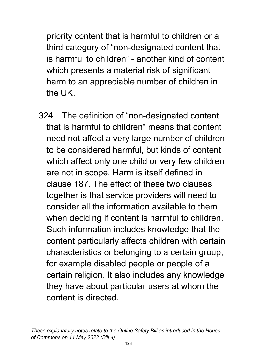priority content that is harmful to children or a third category of "non-designated content that is harmful to children" - another kind of content which presents a material risk of significant harm to an appreciable number of children in the UK.

324. The definition of "non-designated content that is harmful to children" means that content need not affect a very large number of children to be considered harmful, but kinds of content which affect only one child or very few children are not in scope. Harm is itself defined in clause 187. The effect of these two clauses together is that service providers will need to consider all the information available to them when deciding if content is harmful to children. Such information includes knowledge that the content particularly affects children with certain characteristics or belonging to a certain group, for example disabled people or people of a certain religion. It also includes any knowledge they have about particular users at whom the content is directed.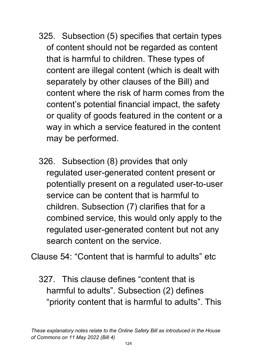- 325. Subsection (5) specifies that certain types of content should not be regarded as content that is harmful to children. These types of content are illegal content (which is dealt with separately by other clauses of the Bill) and content where the risk of harm comes from the content's potential financial impact, the safety or quality of goods featured in the content or a way in which a service featured in the content may be performed.
- 326. Subsection (8) provides that only regulated user-generated content present or potentially present on a regulated user-to-user service can be content that is harmful to children. Subsection (7) clarifies that for a combined service, this would only apply to the regulated user-generated content but not any search content on the service.

Clause 54: "Content that is harmful to adults" etc

327. This clause defines "content that is harmful to adults". Subsection (2) defines "priority content that is harmful to adults". This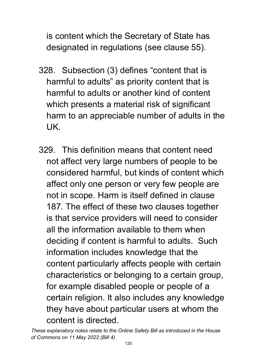is content which the Secretary of State has designated in regulations (see clause 55).

- 328. Subsection (3) defines "content that is harmful to adults" as priority content that is harmful to adults or another kind of content which presents a material risk of significant harm to an appreciable number of adults in the UK.
- 329. This definition means that content need not affect very large numbers of people to be considered harmful, but kinds of content which affect only one person or very few people are not in scope. Harm is itself defined in clause 187. The effect of these two clauses together is that service providers will need to consider all the information available to them when deciding if content is harmful to adults. Such information includes knowledge that the content particularly affects people with certain characteristics or belonging to a certain group, for example disabled people or people of a certain religion. It also includes any knowledge they have about particular users at whom the content is directed.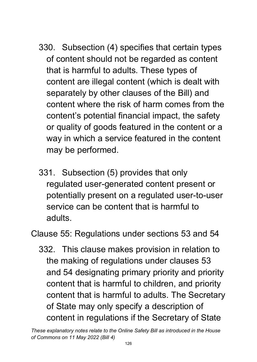- 330. Subsection (4) specifies that certain types of content should not be regarded as content that is harmful to adults. These types of content are illegal content (which is dealt with separately by other clauses of the Bill) and content where the risk of harm comes from the content's potential financial impact, the safety or quality of goods featured in the content or a way in which a service featured in the content may be performed.
- 331. Subsection (5) provides that only regulated user-generated content present or potentially present on a regulated user-to-user service can be content that is harmful to adults.

Clause 55: Regulations under sections 53 and 54

332. This clause makes provision in relation to the making of regulations under clauses 53 and 54 designating primary priority and priority content that is harmful to children, and priority content that is harmful to adults. The Secretary of State may only specify a description of content in regulations if the Secretary of State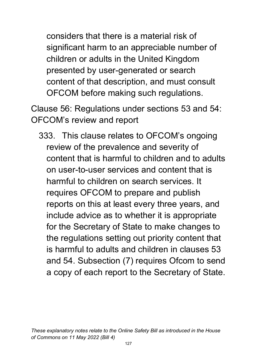considers that there is a material risk of significant harm to an appreciable number of children or adults in the United Kingdom presented by user-generated or search content of that description, and must consult OFCOM before making such regulations.

Clause 56: Regulations under sections 53 and 54: OFCOM's review and report

333. This clause relates to OFCOM's ongoing review of the prevalence and severity of content that is harmful to children and to adults on user-to-user services and content that is harmful to children on search services. It requires OFCOM to prepare and publish reports on this at least every three years, and include advice as to whether it is appropriate for the Secretary of State to make changes to the regulations setting out priority content that is harmful to adults and children in clauses 53 and 54. Subsection (7) requires Ofcom to send a copy of each report to the Secretary of State.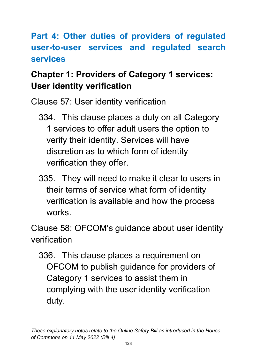### **Part 4: Other duties of providers of regulated user-to-user services and regulated search services**

# **Chapter 1: Providers of Category 1 services: User identity verification**

Clause 57: User identity verification

- 334. This clause places a duty on all Category 1 services to offer adult users the option to verify their identity. Services will have discretion as to which form of identity verification they offer.
- 335. They will need to make it clear to users in their terms of service what form of identity verification is available and how the process works.

Clause 58: OFCOM's guidance about user identity verification

336. This clause places a requirement on OFCOM to publish guidance for providers of Category 1 services to assist them in complying with the user identity verification duty.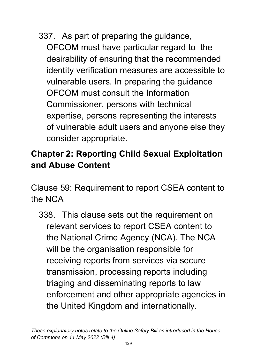337. As part of preparing the guidance, OFCOM must have particular regard to the desirability of ensuring that the recommended identity verification measures are accessible to vulnerable users. In preparing the guidance OFCOM must consult the Information Commissioner, persons with technical expertise, persons representing the interests of vulnerable adult users and anyone else they consider appropriate.

### **Chapter 2: Reporting Child Sexual Exploitation and Abuse Content**

Clause 59: Requirement to report CSEA content to the NCA

338. This clause sets out the requirement on relevant services to report CSEA content to the National Crime Agency (NCA). The NCA will be the organisation responsible for receiving reports from services via secure transmission, processing reports including triaging and disseminating reports to law enforcement and other appropriate agencies in the United Kingdom and internationally.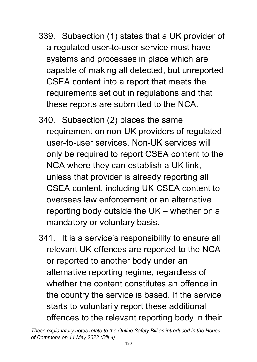- 339. Subsection (1) states that a UK provider of a regulated user-to-user service must have systems and processes in place which are capable of making all detected, but unreported CSEA content into a report that meets the requirements set out in regulations and that these reports are submitted to the NCA.
- 340. Subsection (2) places the same requirement on non-UK providers of regulated user-to-user services. Non-UK services will only be required to report CSEA content to the NCA where they can establish a UK link, unless that provider is already reporting all CSEA content, including UK CSEA content to overseas law enforcement or an alternative reporting body outside the UK – whether on a mandatory or voluntary basis.
- 341. It is a service's responsibility to ensure all relevant UK offences are reported to the NCA or reported to another body under an alternative reporting regime, regardless of whether the content constitutes an offence in the country the service is based. If the service starts to voluntarily report these additional offences to the relevant reporting body in their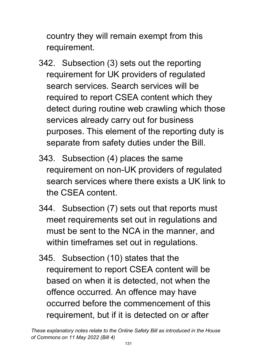country they will remain exempt from this requirement.

- 342. Subsection (3) sets out the reporting requirement for UK providers of regulated search services. Search services will be required to report CSEA content which they detect during routine web crawling which those services already carry out for business purposes. This element of the reporting duty is separate from safety duties under the Bill.
- 343. Subsection (4) places the same requirement on non-UK providers of regulated search services where there exists a UK link to the CSEA content.
- 344. Subsection (7) sets out that reports must meet requirements set out in regulations and must be sent to the NCA in the manner, and within timeframes set out in regulations.
- 345. Subsection (10) states that the requirement to report CSEA content will be based on when it is detected, not when the offence occurred. An offence may have occurred before the commencement of this requirement, but if it is detected on or after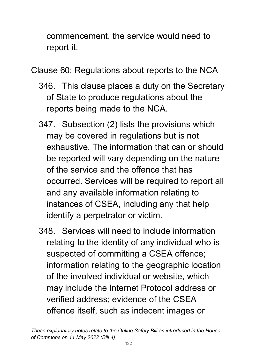commencement, the service would need to report it.

Clause 60: Regulations about reports to the NCA

- 346. This clause places a duty on the Secretary of State to produce regulations about the reports being made to the NCA.
- 347. Subsection (2) lists the provisions which may be covered in regulations but is not exhaustive. The information that can or should be reported will vary depending on the nature of the service and the offence that has occurred. Services will be required to report all and any available information relating to instances of CSEA, including any that help identify a perpetrator or victim.
- 348. Services will need to include information relating to the identity of any individual who is suspected of committing a CSEA offence; information relating to the geographic location of the involved individual or website, which may include the Internet Protocol address or verified address; evidence of the CSEA offence itself, such as indecent images or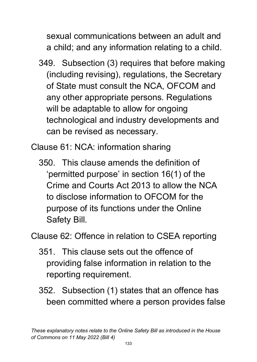sexual communications between an adult and a child; and any information relating to a child.

349. Subsection (3) requires that before making (including revising), regulations, the Secretary of State must consult the NCA, OFCOM and any other appropriate persons. Regulations will be adaptable to allow for ongoing technological and industry developments and can be revised as necessary.

Clause 61: NCA: information sharing

350. This clause amends the definition of 'permitted purpose' in section 16(1) of the Crime and Courts Act 2013 to allow the NCA to disclose information to OFCOM for the purpose of its functions under the Online Safety Bill.

Clause 62: Offence in relation to CSEA reporting

- 351. This clause sets out the offence of providing false information in relation to the reporting requirement.
- 352. Subsection (1) states that an offence has been committed where a person provides false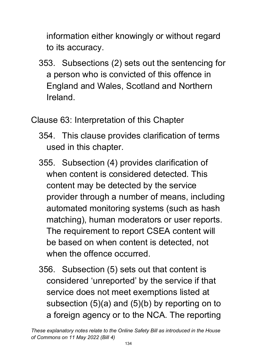information either knowingly or without regard to its accuracy.

353. Subsections (2) sets out the sentencing for a person who is convicted of this offence in England and Wales, Scotland and Northern Ireland.

Clause 63: Interpretation of this Chapter

- 354. This clause provides clarification of terms used in this chapter.
- 355. Subsection (4) provides clarification of when content is considered detected. This content may be detected by the service provider through a number of means, including automated monitoring systems (such as hash matching), human moderators or user reports. The requirement to report CSEA content will be based on when content is detected, not when the offence occurred.
- 356. Subsection (5) sets out that content is considered 'unreported' by the service if that service does not meet exemptions listed at subsection (5)(a) and (5)(b) by reporting on to a foreign agency or to the NCA. The reporting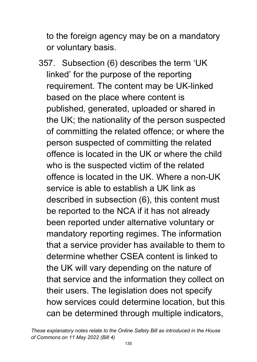to the foreign agency may be on a mandatory or voluntary basis.

357. Subsection (6) describes the term 'UK linked' for the purpose of the reporting requirement. The content may be UK-linked based on the place where content is published, generated, uploaded or shared in the UK; the nationality of the person suspected of committing the related offence; or where the person suspected of committing the related offence is located in the UK or where the child who is the suspected victim of the related offence is located in the UK. Where a non-UK service is able to establish a UK link as described in subsection (6), this content must be reported to the NCA if it has not already been reported under alternative voluntary or mandatory reporting regimes. The information that a service provider has available to them to determine whether CSEA content is linked to the UK will vary depending on the nature of that service and the information they collect on their users. The legislation does not specify how services could determine location, but this can be determined through multiple indicators,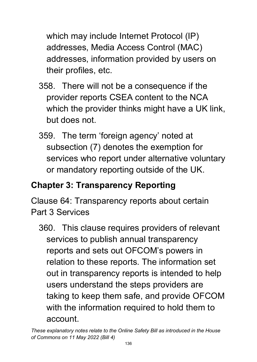which may include Internet Protocol (IP) addresses, Media Access Control (MAC) addresses, information provided by users on their profiles, etc.

- 358. There will not be a consequence if the provider reports CSEA content to the NCA which the provider thinks might have a UK link, but does not.
- 359. The term 'foreign agency' noted at subsection (7) denotes the exemption for services who report under alternative voluntary or mandatory reporting outside of the UK.

## **Chapter 3: Transparency Reporting**

Clause 64: Transparency reports about certain Part 3 Services

360. This clause requires providers of relevant services to publish annual transparency reports and sets out OFCOM's powers in relation to these reports. The information set out in transparency reports is intended to help users understand the steps providers are taking to keep them safe, and provide OFCOM with the information required to hold them to account.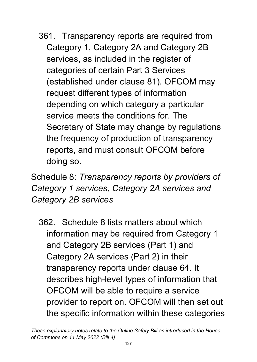361. Transparency reports are required from Category 1, Category 2A and Category 2B services, as included in the register of categories of certain Part 3 Services (established under clause 81). OFCOM may request different types of information depending on which category a particular service meets the conditions for. The Secretary of State may change by regulations the frequency of production of transparency reports, and must consult OFCOM before doing so.

Schedule 8: *Transparency reports by providers of Category 1 services, Category 2A services and Category 2B services*

362. Schedule 8 lists matters about which information may be required from Category 1 and Category 2B services (Part 1) and Category 2A services (Part 2) in their transparency reports under clause 64. It describes high-level types of information that OFCOM will be able to require a service provider to report on. OFCOM will then set out the specific information within these categories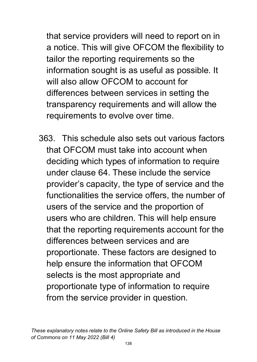that service providers will need to report on in a notice. This will give OFCOM the flexibility to tailor the reporting requirements so the information sought is as useful as possible. It will also allow OFCOM to account for differences between services in setting the transparency requirements and will allow the requirements to evolve over time.

363. This schedule also sets out various factors that OFCOM must take into account when deciding which types of information to require under clause 64. These include the service provider's capacity, the type of service and the functionalities the service offers, the number of users of the service and the proportion of users who are children. This will help ensure that the reporting requirements account for the differences between services and are proportionate. These factors are designed to help ensure the information that OFCOM selects is the most appropriate and proportionate type of information to require from the service provider in question.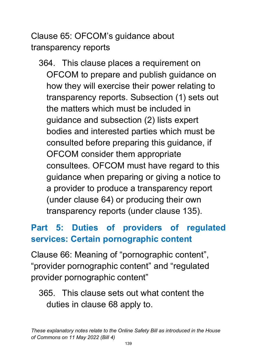Clause 65: OFCOM's guidance about transparency reports

364. This clause places a requirement on OFCOM to prepare and publish guidance on how they will exercise their power relating to transparency reports. Subsection (1) sets out the matters which must be included in guidance and subsection (2) lists expert bodies and interested parties which must be consulted before preparing this guidance, if OFCOM consider them appropriate consultees. OFCOM must have regard to this guidance when preparing or giving a notice to a provider to produce a transparency report (under clause 64) or producing their own transparency reports (under clause 135).

## **Part 5: Duties of providers of regulated services: Certain pornographic content**

Clause 66: Meaning of "pornographic content", "provider pornographic content" and "regulated provider pornographic content"

#### 365. This clause sets out what content the duties in clause 68 apply to.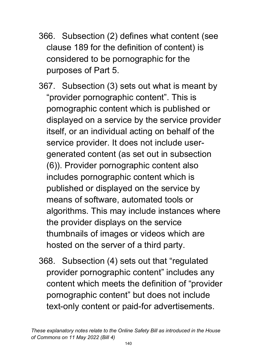- 366. Subsection (2) defines what content (see clause 189 for the definition of content) is considered to be pornographic for the purposes of Part 5.
- 367. Subsection (3) sets out what is meant by "provider pornographic content". This is pornographic content which is published or displayed on a service by the service provider itself, or an individual acting on behalf of the service provider. It does not include usergenerated content (as set out in subsection (6)). Provider pornographic content also includes pornographic content which is published or displayed on the service by means of software, automated tools or algorithms. This may include instances where the provider displays on the service thumbnails of images or videos which are hosted on the server of a third party.
- 368. Subsection (4) sets out that "regulated provider pornographic content" includes any content which meets the definition of "provider pornographic content" but does not include text-only content or paid-for advertisements.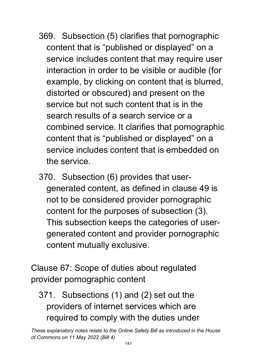- 369. Subsection (5) clarifies that pornographic content that is "published or displayed" on a service includes content that may require user interaction in order to be visible or audible (for example, by clicking on content that is blurred, distorted or obscured) and present on the service but not such content that is in the search results of a search service or a combined service. It clarifies that pornographic content that is "published or displayed" on a service includes content that is embedded on the service.
- 370. Subsection (6) provides that usergenerated content, as defined in clause 49 is not to be considered provider pornographic content for the purposes of subsection (3). This subsection keeps the categories of usergenerated content and provider pornographic content mutually exclusive.

Clause 67: Scope of duties about regulated provider pornographic content

371. Subsections (1) and (2) set out the providers of internet services which are required to comply with the duties under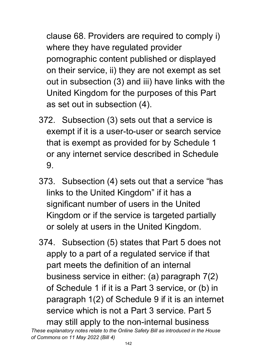clause 68. Providers are required to comply i) where they have regulated provider pornographic content published or displayed on their service, ii) they are not exempt as set out in subsection (3) and iii) have links with the United Kingdom for the purposes of this Part as set out in subsection (4).

- 372. Subsection (3) sets out that a service is exempt if it is a user-to-user or search service that is exempt as provided for by Schedule 1 or any internet service described in Schedule 9.
- 373. Subsection (4) sets out that a service "has links to the United Kingdom" if it has a significant number of users in the United Kingdom or if the service is targeted partially or solely at users in the United Kingdom.
- 374. Subsection (5) states that Part 5 does not apply to a part of a regulated service if that part meets the definition of an internal business service in either: (a) paragraph 7(2) of Schedule 1 if it is a Part 3 service, or (b) in paragraph 1(2) of Schedule 9 if it is an internet service which is not a Part 3 service. Part 5 may still apply to the non-internal business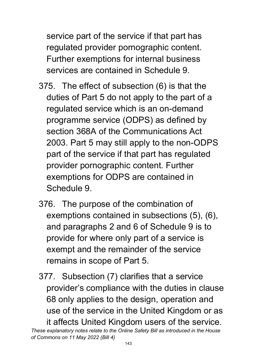service part of the service if that part has regulated provider pornographic content. Further exemptions for internal business services are contained in Schedule 9.

- 375. The effect of subsection (6) is that the duties of Part 5 do not apply to the part of a regulated service which is an on-demand programme service (ODPS) as defined by section 368A of the Communications Act 2003. Part 5 may still apply to the non-ODPS part of the service if that part has regulated provider pornographic content. Further exemptions for ODPS are contained in Schedule 9.
- 376. The purpose of the combination of exemptions contained in subsections (5), (6), and paragraphs 2 and 6 of Schedule 9 is to provide for where only part of a service is exempt and the remainder of the service remains in scope of Part 5.
- 377. Subsection (7) clarifies that a service provider's compliance with the duties in clause 68 only applies to the design, operation and use of the service in the United Kingdom or as it affects United Kingdom users of the service.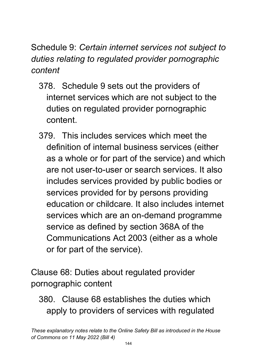Schedule 9: *Certain internet services not subject to duties relating to regulated provider pornographic content* 

- 378. Schedule 9 sets out the providers of internet services which are not subject to the duties on regulated provider pornographic content.
- 379. This includes services which meet the definition of internal business services (either as a whole or for part of the service) and which are not user-to-user or search services. It also includes services provided by public bodies or services provided for by persons providing education or childcare. It also includes internet services which are an on-demand programme service as defined by section 368A of the Communications Act 2003 (either as a whole or for part of the service).

Clause 68: Duties about regulated provider pornographic content

380. Clause 68 establishes the duties which apply to providers of services with regulated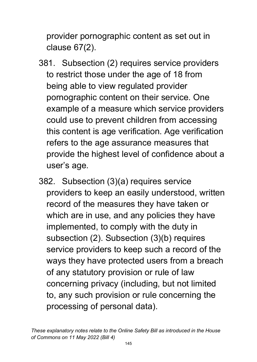provider pornographic content as set out in clause 67(2).

- 381. Subsection (2) requires service providers to restrict those under the age of 18 from being able to view regulated provider pornographic content on their service. One example of a measure which service providers could use to prevent children from accessing this content is age verification. Age verification refers to the age assurance measures that provide the highest level of confidence about a user's age.
- 382. Subsection (3)(a) requires service providers to keep an easily understood, written record of the measures they have taken or which are in use, and any policies they have implemented, to comply with the duty in subsection (2). Subsection (3)(b) requires service providers to keep such a record of the ways they have protected users from a breach of any statutory provision or rule of law concerning privacy (including, but not limited to, any such provision or rule concerning the processing of personal data).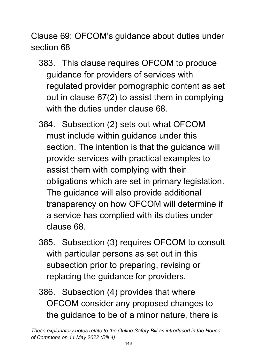Clause 69: OFCOM's guidance about duties under section 68

- 383. This clause requires OFCOM to produce guidance for providers of services with regulated provider pornographic content as set out in clause 67(2) to assist them in complying with the duties under clause 68.
- 384. Subsection (2) sets out what OFCOM must include within guidance under this section. The intention is that the guidance will provide services with practical examples to assist them with complying with their obligations which are set in primary legislation. The guidance will also provide additional transparency on how OFCOM will determine if a service has complied with its duties under clause 68.
- 385. Subsection (3) requires OFCOM to consult with particular persons as set out in this subsection prior to preparing, revising or replacing the guidance for providers.
- 386. Subsection (4) provides that where OFCOM consider any proposed changes to the guidance to be of a minor nature, there is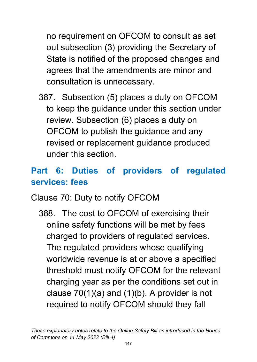no requirement on OFCOM to consult as set out subsection (3) providing the Secretary of State is notified of the proposed changes and agrees that the amendments are minor and consultation is unnecessary.

387. Subsection (5) places a duty on OFCOM to keep the guidance under this section under review. Subsection (6) places a duty on OFCOM to publish the guidance and any revised or replacement guidance produced under this section.

# **Part 6: Duties of providers of regulated services: fees**

#### Clause 70: Duty to notify OFCOM

388. The cost to OFCOM of exercising their online safety functions will be met by fees charged to providers of regulated services. The regulated providers whose qualifying worldwide revenue is at or above a specified threshold must notify OFCOM for the relevant charging year as per the conditions set out in clause 70(1)(a) and (1)(b). A provider is not required to notify OFCOM should they fall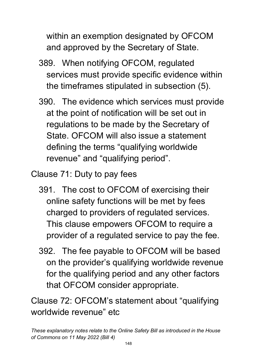within an exemption designated by OFCOM and approved by the Secretary of State.

- 389. When notifying OFCOM, regulated services must provide specific evidence within the timeframes stipulated in subsection (5).
- 390. The evidence which services must provide at the point of notification will be set out in regulations to be made by the Secretary of State. OFCOM will also issue a statement defining the terms "qualifying worldwide revenue" and "qualifying period".
- Clause 71: Duty to pay fees
	- 391. The cost to OFCOM of exercising their online safety functions will be met by fees charged to providers of regulated services. This clause empowers OFCOM to require a provider of a regulated service to pay the fee.
	- 392. The fee payable to OFCOM will be based on the provider's qualifying worldwide revenue for the qualifying period and any other factors that OFCOM consider appropriate.

Clause 72: OFCOM's statement about "qualifying worldwide revenue" etc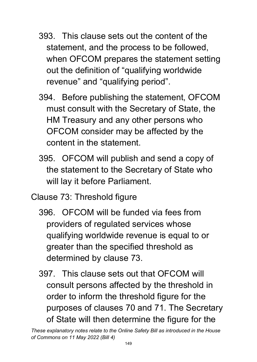- 393. This clause sets out the content of the statement, and the process to be followed, when OFCOM prepares the statement setting out the definition of "qualifying worldwide revenue" and "qualifying period".
- 394. Before publishing the statement, OFCOM must consult with the Secretary of State, the HM Treasury and any other persons who OFCOM consider may be affected by the content in the statement.
- 395. OFCOM will publish and send a copy of the statement to the Secretary of State who will lay it before Parliament.
- Clause 73: Threshold figure
	- 396. OFCOM will be funded via fees from providers of regulated services whose qualifying worldwide revenue is equal to or greater than the specified threshold as determined by clause 73.
	- 397. This clause sets out that OFCOM will consult persons affected by the threshold in order to inform the threshold figure for the purposes of clauses 70 and 71. The Secretary of State will then determine the figure for the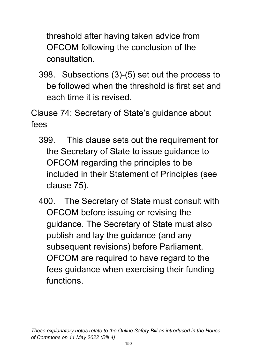threshold after having taken advice from OFCOM following the conclusion of the consultation.

398. Subsections (3)-(5) set out the process to be followed when the threshold is first set and each time it is revised.

Clause 74: Secretary of State's guidance about fees

- 399. This clause sets out the requirement for the Secretary of State to issue guidance to OFCOM regarding the principles to be included in their Statement of Principles (see clause 75).
- 400. The Secretary of State must consult with OFCOM before issuing or revising the guidance. The Secretary of State must also publish and lay the guidance (and any subsequent revisions) before Parliament. OFCOM are required to have regard to the fees guidance when exercising their funding functions.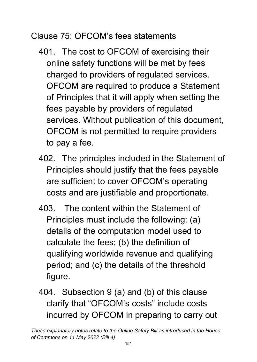Clause 75: OFCOM's fees statements

- 401. The cost to OFCOM of exercising their online safety functions will be met by fees charged to providers of regulated services. OFCOM are required to produce a Statement of Principles that it will apply when setting the fees payable by providers of regulated services. Without publication of this document, OFCOM is not permitted to require providers to pay a fee.
- 402. The principles included in the Statement of Principles should justify that the fees payable are sufficient to cover OFCOM's operating costs and are justifiable and proportionate.
- 403. The content within the Statement of Principles must include the following: (a) details of the computation model used to calculate the fees; (b) the definition of qualifying worldwide revenue and qualifying period; and (c) the details of the threshold figure.
- 404. Subsection 9 (a) and (b) of this clause clarify that "OFCOM's costs" include costs incurred by OFCOM in preparing to carry out

*These explanatory notes relate to the Online Safety Bill as introduced in the House of Commons on 11 May 2022 (Bill 4)*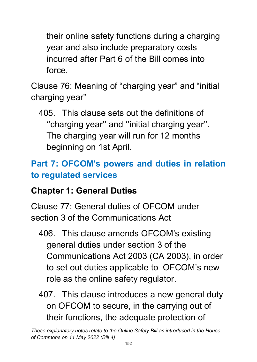their online safety functions during a charging year and also include preparatory costs incurred after Part 6 of the Bill comes into force.

Clause 76: Meaning of "charging year" and "initial charging year"

405. This clause sets out the definitions of ''charging year'' and ''initial charging year''. The charging year will run for 12 months beginning on 1st April.

# **Part 7: OFCOM's powers and duties in relation to regulated services**

#### **Chapter 1: General Duties**

Clause 77: General duties of OFCOM under section 3 of the Communications Act

- 406. This clause amends OFCOM's existing general duties under section 3 of the Communications Act 2003 (CA 2003), in order to set out duties applicable to OFCOM's new role as the online safety regulator.
- 407. This clause introduces a new general duty on OFCOM to secure, in the carrying out of their functions, the adequate protection of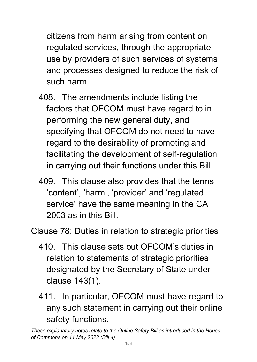citizens from harm arising from content on regulated services, through the appropriate use by providers of such services of systems and processes designed to reduce the risk of such harm.

- 408. The amendments include listing the factors that OFCOM must have regard to in performing the new general duty, and specifying that OFCOM do not need to have regard to the desirability of promoting and facilitating the development of self-regulation in carrying out their functions under this Bill.
- 409. This clause also provides that the terms 'content', 'harm', 'provider' and 'regulated service' have the same meaning in the CA 2003 as in this Bill.

Clause 78: Duties in relation to strategic priorities

- 410. This clause sets out OFCOM's duties in relation to statements of strategic priorities designated by the Secretary of State under clause 143(1).
- 411. In particular, OFCOM must have regard to any such statement in carrying out their online safety functions.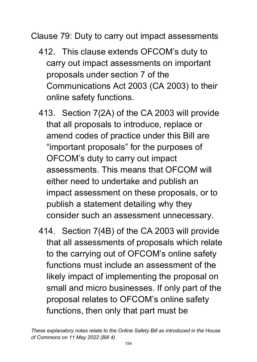Clause 79: Duty to carry out impact assessments

- 412. This clause extends OFCOM's duty to carry out impact assessments on important proposals under section 7 of the Communications Act 2003 (CA 2003) to their online safety functions.
- 413. Section 7(2A) of the CA 2003 will provide that all proposals to introduce, replace or amend codes of practice under this Bill are "important proposals" for the purposes of OFCOM's duty to carry out impact assessments. This means that OFCOM will either need to undertake and publish an impact assessment on these proposals, or to publish a statement detailing why they consider such an assessment unnecessary.
- 414. Section 7(4B) of the CA 2003 will provide that all assessments of proposals which relate to the carrying out of OFCOM's online safety functions must include an assessment of the likely impact of implementing the proposal on small and micro businesses. If only part of the proposal relates to OFCOM's online safety functions, then only that part must be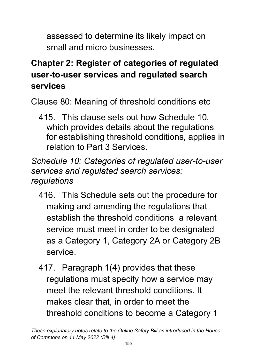assessed to determine its likely impact on small and micro businesses.

# **Chapter 2: Register of categories of regulated user-to-user services and regulated search services**

Clause 80: Meaning of threshold conditions etc

415. This clause sets out how Schedule 10, which provides details about the regulations for establishing threshold conditions, applies in relation to Part 3 Services.

*Schedule 10: Categories of regulated user-to-user services and regulated search services: regulations* 

- 416. This Schedule sets out the procedure for making and amending the regulations that establish the threshold conditions a relevant service must meet in order to be designated as a Category 1, Category 2A or Category 2B service.
- 417. Paragraph 1(4) provides that these regulations must specify how a service may meet the relevant threshold conditions. It makes clear that, in order to meet the threshold conditions to become a Category 1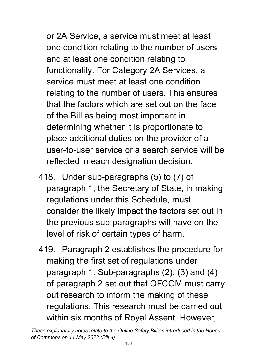or 2A Service, a service must meet at least one condition relating to the number of users and at least one condition relating to functionality. For Category 2A Services, a service must meet at least one condition relating to the number of users. This ensures that the factors which are set out on the face of the Bill as being most important in determining whether it is proportionate to place additional duties on the provider of a user-to-user service or a search service will be reflected in each designation decision.

- 418. Under sub-paragraphs (5) to (7) of paragraph 1, the Secretary of State, in making regulations under this Schedule, must consider the likely impact the factors set out in the previous sub-paragraphs will have on the level of risk of certain types of harm.
- 419. Paragraph 2 establishes the procedure for making the first set of regulations under paragraph 1. Sub-paragraphs (2), (3) and (4) of paragraph 2 set out that OFCOM must carry out research to inform the making of these regulations. This research must be carried out within six months of Royal Assent. However,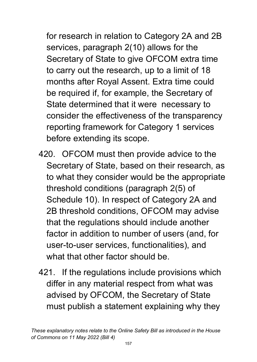for research in relation to Category 2A and 2B services, paragraph 2(10) allows for the Secretary of State to give OFCOM extra time to carry out the research, up to a limit of 18 months after Royal Assent. Extra time could be required if, for example, the Secretary of State determined that it were necessary to consider the effectiveness of the transparency reporting framework for Category 1 services before extending its scope.

- 420. OFCOM must then provide advice to the Secretary of State, based on their research, as to what they consider would be the appropriate threshold conditions (paragraph 2(5) of Schedule 10). In respect of Category 2A and 2B threshold conditions, OFCOM may advise that the regulations should include another factor in addition to number of users (and, for user-to-user services, functionalities), and what that other factor should be.
- 421. If the regulations include provisions which differ in any material respect from what was advised by OFCOM, the Secretary of State must publish a statement explaining why they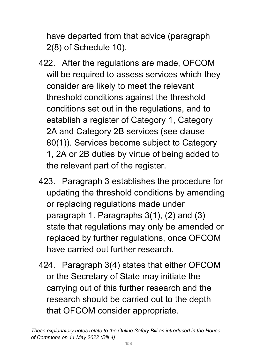have departed from that advice (paragraph 2(8) of Schedule 10).

- 422. After the regulations are made, OFCOM will be required to assess services which they consider are likely to meet the relevant threshold conditions against the threshold conditions set out in the regulations, and to establish a register of Category 1, Category 2A and Category 2B services (see clause 80(1)). Services become subject to Category 1, 2A or 2B duties by virtue of being added to the relevant part of the register.
- 423. Paragraph 3 establishes the procedure for updating the threshold conditions by amending or replacing regulations made under paragraph 1. Paragraphs 3(1), (2) and (3) state that regulations may only be amended or replaced by further regulations, once OFCOM have carried out further research.
- 424. Paragraph 3(4) states that either OFCOM or the Secretary of State may initiate the carrying out of this further research and the research should be carried out to the depth that OFCOM consider appropriate.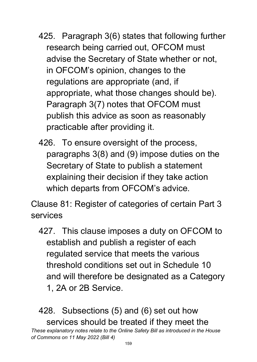- 425. Paragraph 3(6) states that following further research being carried out, OFCOM must advise the Secretary of State whether or not, in OFCOM's opinion, changes to the regulations are appropriate (and, if appropriate, what those changes should be). Paragraph 3(7) notes that OFCOM must publish this advice as soon as reasonably practicable after providing it.
- 426. To ensure oversight of the process, paragraphs 3(8) and (9) impose duties on the Secretary of State to publish a statement explaining their decision if they take action which departs from OFCOM's advice.

Clause 81: Register of categories of certain Part 3 services

427. This clause imposes a duty on OFCOM to establish and publish a register of each regulated service that meets the various threshold conditions set out in Schedule 10 and will therefore be designated as a Category 1, 2A or 2B Service.

428. Subsections (5) and (6) set out how services should be treated if they meet the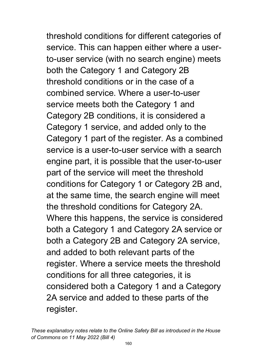threshold conditions for different categories of service. This can happen either where a userto-user service (with no search engine) meets both the Category 1 and Category 2B threshold conditions or in the case of a combined service. Where a user-to-user service meets both the Category 1 and Category 2B conditions, it is considered a Category 1 service, and added only to the Category 1 part of the register. As a combined service is a user-to-user service with a search engine part, it is possible that the user-to-user part of the service will meet the threshold conditions for Category 1 or Category 2B and, at the same time, the search engine will meet the threshold conditions for Category 2A. Where this happens, the service is considered both a Category 1 and Category 2A service or both a Category 2B and Category 2A service, and added to both relevant parts of the register. Where a service meets the threshold conditions for all three categories, it is considered both a Category 1 and a Category 2A service and added to these parts of the register.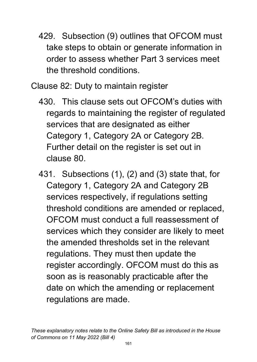429. Subsection (9) outlines that OFCOM must take steps to obtain or generate information in order to assess whether Part 3 services meet the threshold conditions.

Clause 82: Duty to maintain register

- 430. This clause sets out OFCOM's duties with regards to maintaining the register of regulated services that are designated as either Category 1, Category 2A or Category 2B. Further detail on the register is set out in clause 80.
- 431. Subsections (1), (2) and (3) state that, for Category 1, Category 2A and Category 2B services respectively, if regulations setting threshold conditions are amended or replaced, OFCOM must conduct a full reassessment of services which they consider are likely to meet the amended thresholds set in the relevant regulations. They must then update the register accordingly. OFCOM must do this as soon as is reasonably practicable after the date on which the amending or replacement regulations are made.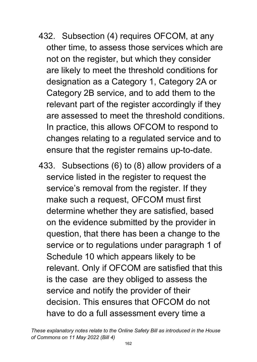- 432. Subsection (4) requires OFCOM, at any other time, to assess those services which are not on the register, but which they consider are likely to meet the threshold conditions for designation as a Category 1, Category 2A or Category 2B service, and to add them to the relevant part of the register accordingly if they are assessed to meet the threshold conditions. In practice, this allows OFCOM to respond to changes relating to a regulated service and to ensure that the register remains up-to-date.
- 433. Subsections (6) to (8) allow providers of a service listed in the register to request the service's removal from the register. If they make such a request, OFCOM must first determine whether they are satisfied, based on the evidence submitted by the provider in question, that there has been a change to the service or to regulations under paragraph 1 of Schedule 10 which appears likely to be relevant. Only if OFCOM are satisfied that this is the case are they obliged to assess the service and notify the provider of their decision. This ensures that OFCOM do not have to do a full assessment every time a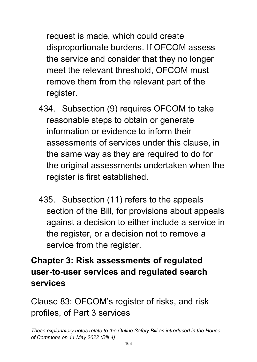request is made, which could create disproportionate burdens. If OFCOM assess the service and consider that they no longer meet the relevant threshold, OFCOM must remove them from the relevant part of the register.

- 434. Subsection (9) requires OFCOM to take reasonable steps to obtain or generate information or evidence to inform their assessments of services under this clause, in the same way as they are required to do for the original assessments undertaken when the register is first established.
- 435. Subsection (11) refers to the appeals section of the Bill, for provisions about appeals against a decision to either include a service in the register, or a decision not to remove a service from the register.

## **Chapter 3: Risk assessments of regulated user-to-user services and regulated search services**

Clause 83: OFCOM's register of risks, and risk profiles, of Part 3 services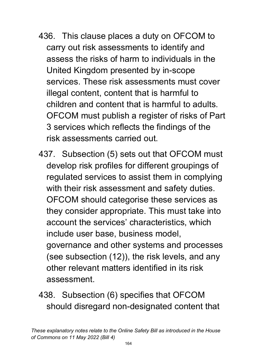- 436. This clause places a duty on OFCOM to carry out risk assessments to identify and assess the risks of harm to individuals in the United Kingdom presented by in-scope services. These risk assessments must cover illegal content, content that is harmful to children and content that is harmful to adults. OFCOM must publish a register of risks of Part 3 services which reflects the findings of the risk assessments carried out.
- 437. Subsection (5) sets out that OFCOM must develop risk profiles for different groupings of regulated services to assist them in complying with their risk assessment and safety duties. OFCOM should categorise these services as they consider appropriate. This must take into account the services' characteristics, which include user base, business model, governance and other systems and processes (see subsection (12)), the risk levels, and any other relevant matters identified in its risk assessment.
- 438. Subsection (6) specifies that OFCOM should disregard non-designated content that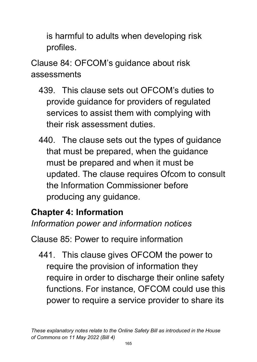is harmful to adults when developing risk profiles.

Clause 84: OFCOM's guidance about risk assessments

- 439. This clause sets out OFCOM's duties to provide guidance for providers of regulated services to assist them with complying with their risk assessment duties.
- 440. The clause sets out the types of guidance that must be prepared, when the guidance must be prepared and when it must be updated. The clause requires Ofcom to consult the Information Commissioner before producing any guidance.

#### **Chapter 4: Information** *Information power and information notices*

Clause 85: Power to require information

441. This clause gives OFCOM the power to require the provision of information they require in order to discharge their online safety functions. For instance, OFCOM could use this power to require a service provider to share its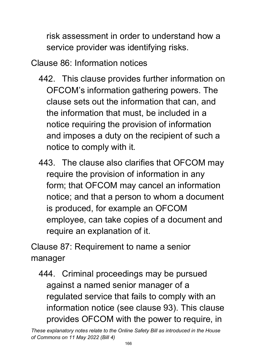risk assessment in order to understand how a service provider was identifying risks.

Clause 86: Information notices

- 442. This clause provides further information on OFCOM's information gathering powers. The clause sets out the information that can, and the information that must, be included in a notice requiring the provision of information and imposes a duty on the recipient of such a notice to comply with it.
- 443. The clause also clarifies that OFCOM may require the provision of information in any form; that OFCOM may cancel an information notice; and that a person to whom a document is produced, for example an OFCOM employee, can take copies of a document and require an explanation of it.

Clause 87: Requirement to name a senior manager

444. Criminal proceedings may be pursued against a named senior manager of a regulated service that fails to comply with an information notice (see clause 93). This clause provides OFCOM with the power to require, in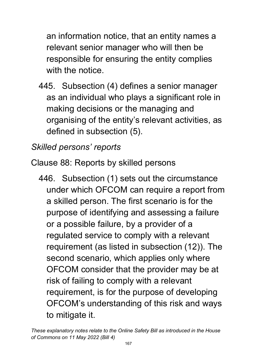an information notice, that an entity names a relevant senior manager who will then be responsible for ensuring the entity complies with the notice.

445. Subsection (4) defines a senior manager as an individual who plays a significant role in making decisions or the managing and organising of the entity's relevant activities, as defined in subsection (5).

## *Skilled persons' reports*

Clause 88: Reports by skilled persons

446. Subsection (1) sets out the circumstance under which OFCOM can require a report from a skilled person. The first scenario is for the purpose of identifying and assessing a failure or a possible failure, by a provider of a regulated service to comply with a relevant requirement (as listed in subsection (12)). The second scenario, which applies only where OFCOM consider that the provider may be at risk of failing to comply with a relevant requirement, is for the purpose of developing OFCOM's understanding of this risk and ways to mitigate it.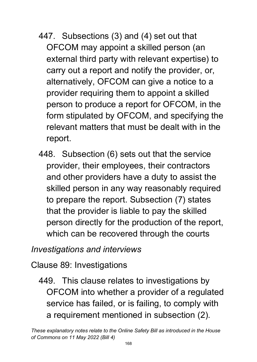- 447. Subsections (3) and (4) set out that OFCOM may appoint a skilled person (an external third party with relevant expertise) to carry out a report and notify the provider, or, alternatively, OFCOM can give a notice to a provider requiring them to appoint a skilled person to produce a report for OFCOM, in the form stipulated by OFCOM, and specifying the relevant matters that must be dealt with in the report.
- 448. Subsection (6) sets out that the service provider, their employees, their contractors and other providers have a duty to assist the skilled person in any way reasonably required to prepare the report. Subsection (7) states that the provider is liable to pay the skilled person directly for the production of the report, which can be recovered through the courts

### *Investigations and interviews*

Clause 89: Investigations

449. This clause relates to investigations by OFCOM into whether a provider of a regulated service has failed, or is failing, to comply with a requirement mentioned in subsection (2).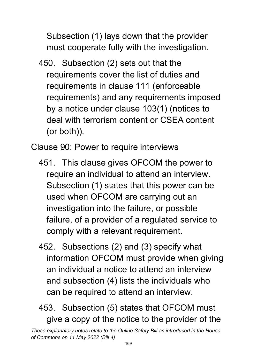Subsection (1) lays down that the provider must cooperate fully with the investigation.

450. Subsection (2) sets out that the requirements cover the list of duties and requirements in clause 111 (enforceable requirements) and any requirements imposed by a notice under clause 103(1) (notices to deal with terrorism content or CSEA content (or both)).

Clause 90: Power to require interviews

- 451. This clause gives OFCOM the power to require an individual to attend an interview. Subsection (1) states that this power can be used when OFCOM are carrying out an investigation into the failure, or possible failure, of a provider of a regulated service to comply with a relevant requirement.
- 452. Subsections (2) and (3) specify what information OFCOM must provide when giving an individual a notice to attend an interview and subsection (4) lists the individuals who can be required to attend an interview.
- 453. Subsection (5) states that OFCOM must give a copy of the notice to the provider of the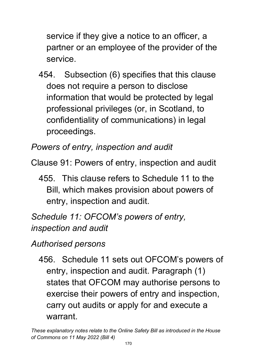service if they give a notice to an officer, a partner or an employee of the provider of the service.

454. Subsection (6) specifies that this clause does not require a person to disclose information that would be protected by legal professional privileges (or, in Scotland, to confidentiality of communications) in legal proceedings.

*Powers of entry, inspection and audit* 

Clause 91: Powers of entry, inspection and audit

455. This clause refers to Schedule 11 to the Bill, which makes provision about powers of entry, inspection and audit.

*Schedule 11: OFCOM's powers of entry, inspection and audit* 

*Authorised persons*

456. Schedule 11 sets out OFCOM's powers of entry, inspection and audit. Paragraph (1) states that OFCOM may authorise persons to exercise their powers of entry and inspection, carry out audits or apply for and execute a warrant.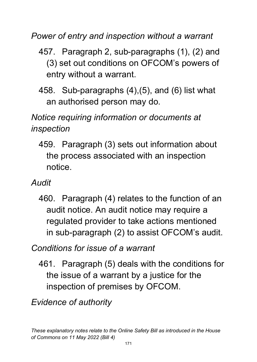*Power of entry and inspection without a warrant*

- 457. Paragraph 2, sub-paragraphs (1), (2) and (3) set out conditions on OFCOM's powers of entry without a warrant.
- 458. Sub-paragraphs (4),(5), and (6) list what an authorised person may do.

# *Notice requiring information or documents at inspection*

- 459. Paragraph (3) sets out information about the process associated with an inspection notice.
- *Audit*
	- 460. Paragraph (4) relates to the function of an audit notice. An audit notice may require a regulated provider to take actions mentioned in sub-paragraph (2) to assist OFCOM's audit.

*Conditions for issue of a warrant*

461. Paragraph (5) deals with the conditions for the issue of a warrant by a justice for the inspection of premises by OFCOM.

*Evidence of authority*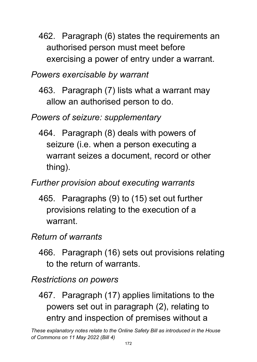- 462. Paragraph (6) states the requirements an authorised person must meet before exercising a power of entry under a warrant.
- *Powers exercisable by warrant*
	- 463. Paragraph (7) lists what a warrant may allow an authorised person to do.

### *Powers of seizure: supplementary*

464. Paragraph (8) deals with powers of seizure (i.e. when a person executing a warrant seizes a document, record or other thing).

### *Further provision about executing warrants*

465. Paragraphs (9) to (15) set out further provisions relating to the execution of a warrant.

### *Return of warrants*

466. Paragraph (16) sets out provisions relating to the return of warrants.

#### *Restrictions on powers*

467. Paragraph (17) applies limitations to the powers set out in paragraph (2), relating to entry and inspection of premises without a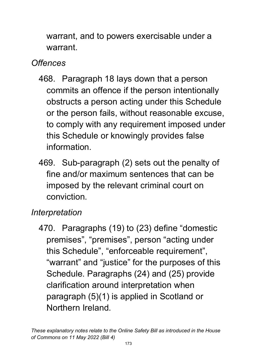warrant, and to powers exercisable under a warrant.

# *Offences*

- 468. Paragraph 18 lays down that a person commits an offence if the person intentionally obstructs a person acting under this Schedule or the person fails, without reasonable excuse, to comply with any requirement imposed under this Schedule or knowingly provides false information.
- 469. Sub-paragraph (2) sets out the penalty of fine and/or maximum sentences that can be imposed by the relevant criminal court on conviction.

# *Interpretation*

470. Paragraphs (19) to (23) define "domestic premises", "premises", person "acting under this Schedule", "enforceable requirement", "warrant" and "justice" for the purposes of this Schedule. Paragraphs (24) and (25) provide clarification around interpretation when paragraph (5)(1) is applied in Scotland or Northern Ireland.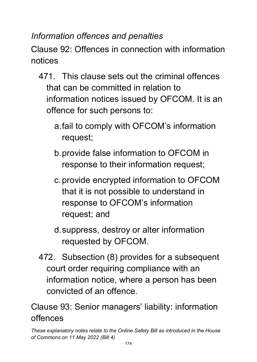*Information offences and penalties*

Clause 92: Offences in connection with information notices

- 471. This clause sets out the criminal offences that can be committed in relation to information notices issued by OFCOM. It is an offence for such persons to:
	- a.fail to comply with OFCOM's information request;
	- b.provide false information to OFCOM in response to their information request;
	- c.provide encrypted information to OFCOM that it is not possible to understand in response to OFCOM's information request; and
	- d.suppress, destroy or alter information requested by OFCOM.
- 472. Subsection (8) provides for a subsequent court order requiring compliance with an information notice, where a person has been convicted of an offence.

Clause 93: Senior managers' liability: information offences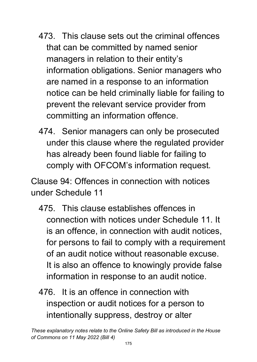- 473. This clause sets out the criminal offences that can be committed by named senior managers in relation to their entity's information obligations. Senior managers who are named in a response to an information notice can be held criminally liable for failing to prevent the relevant service provider from committing an information offence.
- 474. Senior managers can only be prosecuted under this clause where the regulated provider has already been found liable for failing to comply with OFCOM's information request.

Clause 94: Offences in connection with notices under Schedule 11

- 475. This clause establishes offences in connection with notices under Schedule 11. It is an offence, in connection with audit notices, for persons to fail to comply with a requirement of an audit notice without reasonable excuse. It is also an offence to knowingly provide false information in response to an audit notice.
- 476. It is an offence in connection with inspection or audit notices for a person to intentionally suppress, destroy or alter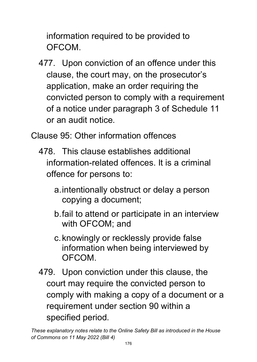information required to be provided to OFCOM.

477. Upon conviction of an offence under this clause, the court may, on the prosecutor's application, make an order requiring the convicted person to comply with a requirement of a notice under paragraph 3 of Schedule 11 or an audit notice.

Clause 95: Other information offences

- 478. This clause establishes additional information-related offences. It is a criminal offence for persons to:
	- a.intentionally obstruct or delay a person copying a document;
	- b.fail to attend or participate in an interview with OFCOM; and
	- c.knowingly or recklessly provide false information when being interviewed by OFCOM.
- 479. Upon conviction under this clause, the court may require the convicted person to comply with making a copy of a document or a requirement under section 90 within a specified period.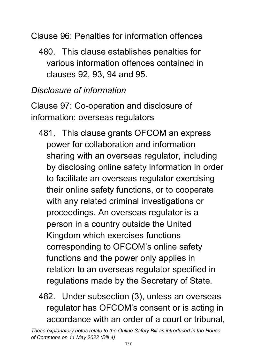Clause 96: Penalties for information offences

480. This clause establishes penalties for various information offences contained in clauses 92, 93, 94 and 95.

## *Disclosure of information*

Clause 97: Co-operation and disclosure of information: overseas regulators

- 481. This clause grants OFCOM an express power for collaboration and information sharing with an overseas regulator, including by disclosing online safety information in order to facilitate an overseas regulator exercising their online safety functions, or to cooperate with any related criminal investigations or proceedings. An overseas regulator is a person in a country outside the United Kingdom which exercises functions corresponding to OFCOM's online safety functions and the power only applies in relation to an overseas regulator specified in regulations made by the Secretary of State.
- 482. Under subsection (3), unless an overseas regulator has OFCOM's consent or is acting in accordance with an order of a court or tribunal,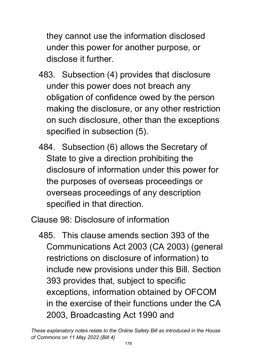they cannot use the information disclosed under this power for another purpose, or disclose it further.

- 483. Subsection (4) provides that disclosure under this power does not breach any obligation of confidence owed by the person making the disclosure, or any other restriction on such disclosure, other than the exceptions specified in subsection (5).
- 484. Subsection (6) allows the Secretary of State to give a direction prohibiting the disclosure of information under this power for the purposes of overseas proceedings or overseas proceedings of any description specified in that direction.

Clause 98: Disclosure of information

485. This clause amends section 393 of the Communications Act 2003 (CA 2003) (general restrictions on disclosure of information) to include new provisions under this Bill. Section 393 provides that, subject to specific exceptions, information obtained by OFCOM in the exercise of their functions under the CA 2003, Broadcasting Act 1990 and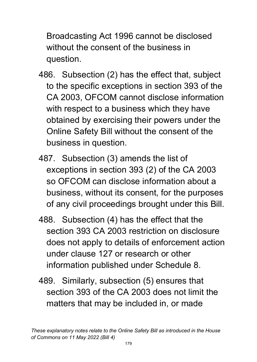Broadcasting Act 1996 cannot be disclosed without the consent of the business in question.

- 486. Subsection (2) has the effect that, subject to the specific exceptions in section 393 of the CA 2003, OFCOM cannot disclose information with respect to a business which they have obtained by exercising their powers under the Online Safety Bill without the consent of the business in question.
- 487. Subsection (3) amends the list of exceptions in section 393 (2) of the CA 2003 so OFCOM can disclose information about a business, without its consent, for the purposes of any civil proceedings brought under this Bill.
- 488. Subsection (4) has the effect that the section 393 CA 2003 restriction on disclosure does not apply to details of enforcement action under clause 127 or research or other information published under Schedule 8.
- 489. Similarly, subsection (5) ensures that section 393 of the CA 2003 does not limit the matters that may be included in, or made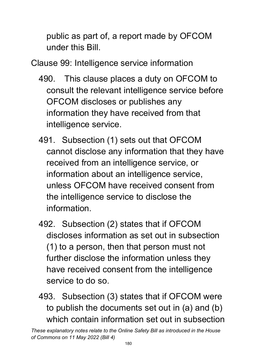public as part of, a report made by OFCOM under this Bill.

Clause 99: Intelligence service information

- 490. This clause places a duty on OFCOM to consult the relevant intelligence service before OFCOM discloses or publishes any information they have received from that intelligence service.
- 491. Subsection (1) sets out that OFCOM cannot disclose any information that they have received from an intelligence service, or information about an intelligence service, unless OFCOM have received consent from the intelligence service to disclose the information.
- 492. Subsection (2) states that if OFCOM discloses information as set out in subsection (1) to a person, then that person must not further disclose the information unless they have received consent from the intelligence service to do so.
- 493. Subsection (3) states that if OFCOM were to publish the documents set out in (a) and (b) which contain information set out in subsection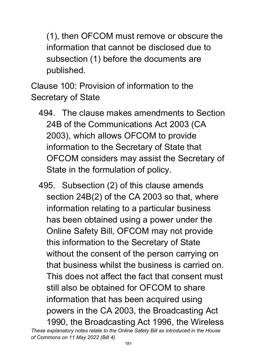(1), then OFCOM must remove or obscure the information that cannot be disclosed due to subsection (1) before the documents are published.

Clause 100: Provision of information to the Secretary of State

- 494. The clause makes amendments to Section 24B of the Communications Act 2003 (CA 2003), which allows OFCOM to provide information to the Secretary of State that OFCOM considers may assist the Secretary of State in the formulation of policy.
- *These explanatory notes relate to the Online Safety Bill as introduced in the House*  495. Subsection (2) of this clause amends section 24B(2) of the CA 2003 so that, where information relating to a particular business has been obtained using a power under the Online Safety Bill, OFCOM may not provide this information to the Secretary of State without the consent of the person carrying on that business whilst the business is carried on. This does not affect the fact that consent must still also be obtained for OFCOM to share information that has been acquired using powers in the CA 2003, the Broadcasting Act 1990, the Broadcasting Act 1996, the Wireless

*of Commons on 11 May 2022 (Bill 4)*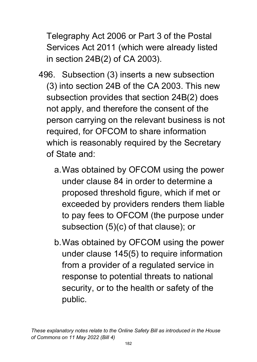Telegraphy Act 2006 or Part 3 of the Postal Services Act 2011 (which were already listed in section 24B(2) of CA 2003).

- 496. Subsection (3) inserts a new subsection (3) into section 24B of the CA 2003. This new subsection provides that section 24B(2) does not apply, and therefore the consent of the person carrying on the relevant business is not required, for OFCOM to share information which is reasonably required by the Secretary of State and:
	- a.Was obtained by OFCOM using the power under clause 84 in order to determine a proposed threshold figure, which if met or exceeded by providers renders them liable to pay fees to OFCOM (the purpose under subsection (5)(c) of that clause); or
	- b.Was obtained by OFCOM using the power under clause 145(5) to require information from a provider of a regulated service in response to potential threats to national security, or to the health or safety of the public.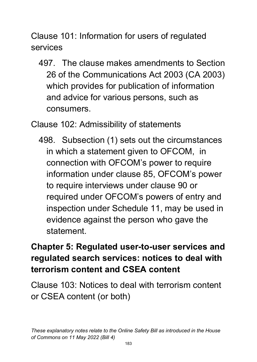Clause 101: Information for users of regulated services

497. The clause makes amendments to Section 26 of the Communications Act 2003 (CA 2003) which provides for publication of information and advice for various persons, such as consumers.

Clause 102: Admissibility of statements

498. Subsection (1) sets out the circumstances in which a statement given to OFCOM, in connection with OFCOM's power to require information under clause 85, OFCOM's power to require interviews under clause 90 or required under OFCOM's powers of entry and inspection under Schedule 11, may be used in evidence against the person who gave the statement.

# **Chapter 5: Regulated user-to-user services and regulated search services: notices to deal with terrorism content and CSEA content**

Clause 103: Notices to deal with terrorism content or CSEA content (or both)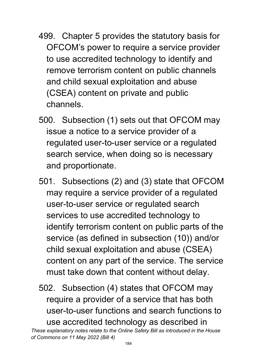- 499. Chapter 5 provides the statutory basis for OFCOM's power to require a service provider to use accredited technology to identify and remove terrorism content on public channels and child sexual exploitation and abuse (CSEA) content on private and public channels.
- 500. Subsection (1) sets out that OFCOM may issue a notice to a service provider of a regulated user-to-user service or a regulated search service, when doing so is necessary and proportionate.
- 501. Subsections (2) and (3) state that OFCOM may require a service provider of a regulated user-to-user service or regulated search services to use accredited technology to identify terrorism content on public parts of the service (as defined in subsection (10)) and/or child sexual exploitation and abuse (CSEA) content on any part of the service. The service must take down that content without delay.
- 502. Subsection (4) states that OFCOM may require a provider of a service that has both user-to-user functions and search functions to use accredited technology as described in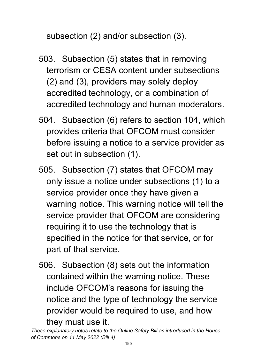subsection (2) and/or subsection (3).

- 503. Subsection (5) states that in removing terrorism or CESA content under subsections (2) and (3), providers may solely deploy accredited technology, or a combination of accredited technology and human moderators.
- 504. Subsection (6) refers to section 104, which provides criteria that OFCOM must consider before issuing a notice to a service provider as set out in subsection (1).
- 505. Subsection (7) states that OFCOM may only issue a notice under subsections (1) to a service provider once they have given a warning notice. This warning notice will tell the service provider that OFCOM are considering requiring it to use the technology that is specified in the notice for that service, or for part of that service.
- 506. Subsection (8) sets out the information contained within the warning notice. These include OFCOM's reasons for issuing the notice and the type of technology the service provider would be required to use, and how they must use it.

*These explanatory notes relate to the Online Safety Bill as introduced in the House of Commons on 11 May 2022 (Bill 4)*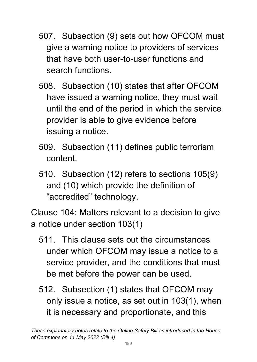- 507. Subsection (9) sets out how OFCOM must give a warning notice to providers of services that have both user-to-user functions and search functions.
- 508. Subsection (10) states that after OFCOM have issued a warning notice, they must wait until the end of the period in which the service provider is able to give evidence before issuing a notice.
- 509. Subsection (11) defines public terrorism content.
- 510. Subsection (12) refers to sections 105(9) and (10) which provide the definition of "accredited" technology.

Clause 104: Matters relevant to a decision to give a notice under section 103(1)

- 511. This clause sets out the circumstances under which OFCOM may issue a notice to a service provider, and the conditions that must be met before the power can be used.
- 512. Subsection (1) states that OFCOM may only issue a notice, as set out in 103(1), when it is necessary and proportionate, and this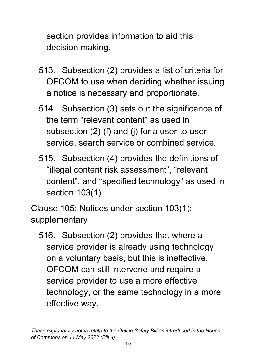section provides information to aid this decision making.

- 513. Subsection (2) provides a list of criteria for OFCOM to use when deciding whether issuing a notice is necessary and proportionate.
- 514. Subsection (3) sets out the significance of the term "relevant content" as used in subsection (2) (f) and (j) for a user-to-user service, search service or combined service.
- 515. Subsection (4) provides the definitions of "illegal content risk assessment", "relevant content", and "specified technology" as used in section 103(1).

Clause 105: Notices under section 103(1): supplementary

516. Subsection (2) provides that where a service provider is already using technology on a voluntary basis, but this is ineffective, OFCOM can still intervene and require a service provider to use a more effective technology, or the same technology in a more effective way.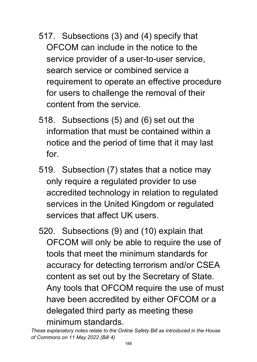- 517. Subsections (3) and (4) specify that OFCOM can include in the notice to the service provider of a user-to-user service, search service or combined service a requirement to operate an effective procedure for users to challenge the removal of their content from the service.
- 518. Subsections (5) and (6) set out the information that must be contained within a notice and the period of time that it may last for.
- 519. Subsection (7) states that a notice may only require a regulated provider to use accredited technology in relation to regulated services in the United Kingdom or regulated services that affect UK users.
- 520. Subsections (9) and (10) explain that OFCOM will only be able to require the use of tools that meet the minimum standards for accuracy for detecting terrorism and/or CSEA content as set out by the Secretary of State. Any tools that OFCOM require the use of must have been accredited by either OFCOM or a delegated third party as meeting these minimum standards.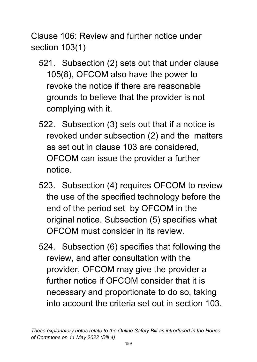Clause 106: Review and further notice under section 103(1)

- 521. Subsection (2) sets out that under clause 105(8), OFCOM also have the power to revoke the notice if there are reasonable grounds to believe that the provider is not complying with it.
- 522. Subsection (3) sets out that if a notice is revoked under subsection (2) and the matters as set out in clause 103 are considered, OFCOM can issue the provider a further notice.
- 523. Subsection (4) requires OFCOM to review the use of the specified technology before the end of the period set by OFCOM in the original notice. Subsection (5) specifies what OFCOM must consider in its review.
- 524. Subsection (6) specifies that following the review, and after consultation with the provider, OFCOM may give the provider a further notice if OFCOM consider that it is necessary and proportionate to do so, taking into account the criteria set out in section 103.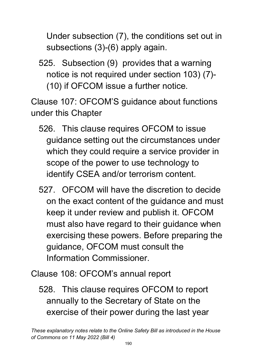Under subsection (7), the conditions set out in subsections (3)-(6) apply again.

525. Subsection (9) provides that a warning notice is not required under section 103) (7)- (10) if OFCOM issue a further notice.

Clause 107: OFCOM'S guidance about functions under this Chapter

- 526. This clause requires OFCOM to issue guidance setting out the circumstances under which they could require a service provider in scope of the power to use technology to identify CSEA and/or terrorism content.
- 527. OFCOM will have the discretion to decide on the exact content of the guidance and must keep it under review and publish it. OFCOM must also have regard to their guidance when exercising these powers. Before preparing the guidance, OFCOM must consult the Information Commissioner.

Clause 108: OFCOM's annual report

528. This clause requires OFCOM to report annually to the Secretary of State on the exercise of their power during the last year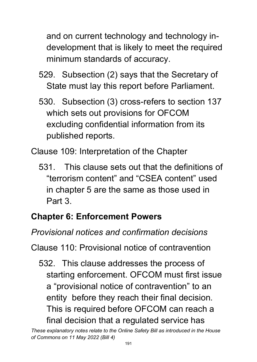and on current technology and technology indevelopment that is likely to meet the required minimum standards of accuracy.

- 529. Subsection (2) says that the Secretary of State must lay this report before Parliament.
- 530. Subsection (3) cross-refers to section 137 which sets out provisions for OFCOM excluding confidential information from its published reports.

Clause 109: Interpretation of the Chapter

531. This clause sets out that the definitions of "terrorism content" and "CSEA content" used in chapter 5 are the same as those used in Part 3.

# **Chapter 6: Enforcement Powers**

*Provisional notices and confirmation decisions*

Clause 110: Provisional notice of contravention

532. This clause addresses the process of starting enforcement. OFCOM must first issue a "provisional notice of contravention" to an entity before they reach their final decision. This is required before OFCOM can reach a final decision that a regulated service has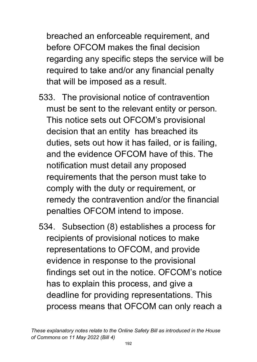breached an enforceable requirement, and before OFCOM makes the final decision regarding any specific steps the service will be required to take and/or any financial penalty that will be imposed as a result.

- 533. The provisional notice of contravention must be sent to the relevant entity or person. This notice sets out OFCOM's provisional decision that an entity has breached its duties, sets out how it has failed, or is failing, and the evidence OFCOM have of this. The notification must detail any proposed requirements that the person must take to comply with the duty or requirement, or remedy the contravention and/or the financial penalties OFCOM intend to impose.
- 534. Subsection (8) establishes a process for recipients of provisional notices to make representations to OFCOM, and provide evidence in response to the provisional findings set out in the notice. OFCOM's notice has to explain this process, and give a deadline for providing representations. This process means that OFCOM can only reach a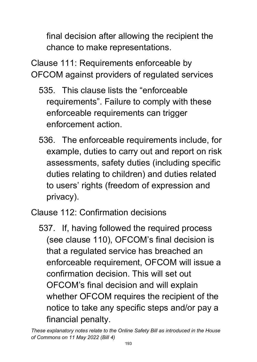final decision after allowing the recipient the chance to make representations.

Clause 111: Requirements enforceable by OFCOM against providers of regulated services

- 535. This clause lists the "enforceable requirements". Failure to comply with these enforceable requirements can trigger enforcement action.
- 536. The enforceable requirements include, for example, duties to carry out and report on risk assessments, safety duties (including specific duties relating to children) and duties related to users' rights (freedom of expression and privacy).

Clause 112: Confirmation decisions

537. If, having followed the required process (see clause 110), OFCOM's final decision is that a regulated service has breached an enforceable requirement, OFCOM will issue a confirmation decision. This will set out OFCOM's final decision and will explain whether OFCOM requires the recipient of the notice to take any specific steps and/or pay a financial penalty.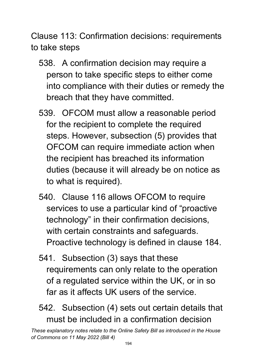Clause 113: Confirmation decisions: requirements to take steps

- 538. A confirmation decision may require a person to take specific steps to either come into compliance with their duties or remedy the breach that they have committed.
- 539. OFCOM must allow a reasonable period for the recipient to complete the required steps. However, subsection (5) provides that OFCOM can require immediate action when the recipient has breached its information duties (because it will already be on notice as to what is required).
- 540. Clause 116 allows OFCOM to require services to use a particular kind of "proactive technology" in their confirmation decisions, with certain constraints and safeguards. Proactive technology is defined in clause 184.
- 541. Subsection (3) says that these requirements can only relate to the operation of a regulated service within the UK, or in so far as it affects UK users of the service.
- 542. Subsection (4) sets out certain details that must be included in a confirmation decision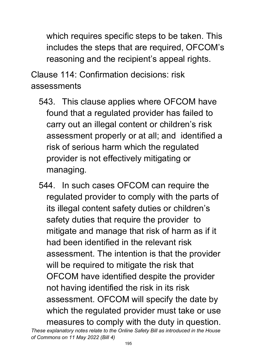which requires specific steps to be taken. This includes the steps that are required, OFCOM's reasoning and the recipient's appeal rights.

Clause 114: Confirmation decisions: risk assessments

- 543. This clause applies where OFCOM have found that a regulated provider has failed to carry out an illegal content or children's risk assessment properly or at all; and identified a risk of serious harm which the regulated provider is not effectively mitigating or managing.
- *These explanatory notes relate to the Online Safety Bill as introduced in the House*  544. In such cases OFCOM can require the regulated provider to comply with the parts of its illegal content safety duties or children's safety duties that require the provider to mitigate and manage that risk of harm as if it had been identified in the relevant risk assessment. The intention is that the provider will be required to mitigate the risk that OFCOM have identified despite the provider not having identified the risk in its risk assessment. OFCOM will specify the date by which the regulated provider must take or use measures to comply with the duty in question.

*of Commons on 11 May 2022 (Bill 4)*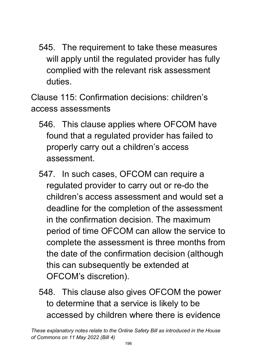545. The requirement to take these measures will apply until the regulated provider has fully complied with the relevant risk assessment duties.

Clause 115: Confirmation decisions: children's access assessments

- 546. This clause applies where OFCOM have found that a regulated provider has failed to properly carry out a children's access assessment.
- 547. In such cases, OFCOM can require a regulated provider to carry out or re-do the children's access assessment and would set a deadline for the completion of the assessment in the confirmation decision. The maximum period of time OFCOM can allow the service to complete the assessment is three months from the date of the confirmation decision (although this can subsequently be extended at OFCOM's discretion).
- 548. This clause also gives OFCOM the power to determine that a service is likely to be accessed by children where there is evidence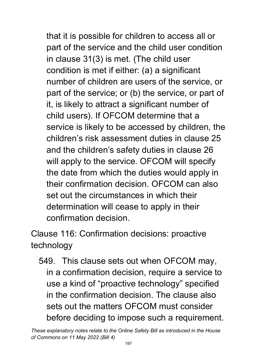that it is possible for children to access all or part of the service and the child user condition in clause 31(3) is met. (The child user condition is met if either: (a) a significant number of children are users of the service, or part of the service; or (b) the service, or part of it, is likely to attract a significant number of child users). If OFCOM determine that a service is likely to be accessed by children, the children's risk assessment duties in clause 25 and the children's safety duties in clause 26 will apply to the service. OFCOM will specify the date from which the duties would apply in their confirmation decision. OFCOM can also set out the circumstances in which their determination will cease to apply in their confirmation decision.

Clause 116: Confirmation decisions: proactive technology

549. This clause sets out when OFCOM may, in a confirmation decision, require a service to use a kind of "proactive technology" specified in the confirmation decision. The clause also sets out the matters OFCOM must consider before deciding to impose such a requirement.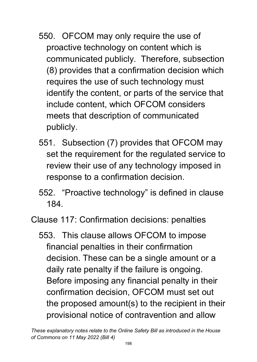- 550. OFCOM may only require the use of proactive technology on content which is communicated publicly. Therefore, subsection (8) provides that a confirmation decision which requires the use of such technology must identify the content, or parts of the service that include content, which OFCOM considers meets that description of communicated publicly.
- 551. Subsection (7) provides that OFCOM may set the requirement for the regulated service to review their use of any technology imposed in response to a confirmation decision.
- 552. "Proactive technology" is defined in clause 184.

Clause 117: Confirmation decisions: penalties

553. This clause allows OFCOM to impose financial penalties in their confirmation decision. These can be a single amount or a daily rate penalty if the failure is ongoing. Before imposing any financial penalty in their confirmation decision, OFCOM must set out the proposed amount(s) to the recipient in their provisional notice of contravention and allow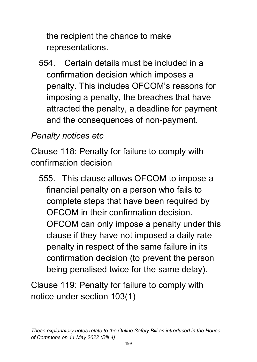the recipient the chance to make representations.

554. Certain details must be included in a confirmation decision which imposes a penalty. This includes OFCOM's reasons for imposing a penalty, the breaches that have attracted the penalty, a deadline for payment and the consequences of non-payment.

## *Penalty notices etc*

Clause 118: Penalty for failure to comply with confirmation decision

555. This clause allows OFCOM to impose a financial penalty on a person who fails to complete steps that have been required by OFCOM in their confirmation decision. OFCOM can only impose a penalty under this clause if they have not imposed a daily rate penalty in respect of the same failure in its confirmation decision (to prevent the person being penalised twice for the same delay).

Clause 119: Penalty for failure to comply with notice under section 103(1)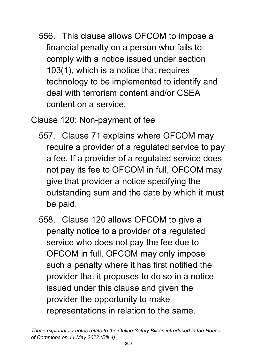556. This clause allows OFCOM to impose a financial penalty on a person who fails to comply with a notice issued under section 103(1), which is a notice that requires technology to be implemented to identify and deal with terrorism content and/or CSEA content on a service.

Clause 120: Non-payment of fee

- 557. Clause 71 explains where OFCOM may require a provider of a regulated service to pay a fee. If a provider of a regulated service does not pay its fee to OFCOM in full, OFCOM may give that provider a notice specifying the outstanding sum and the date by which it must be paid.
- 558. Clause 120 allows OFCOM to give a penalty notice to a provider of a regulated service who does not pay the fee due to OFCOM in full. OFCOM may only impose such a penalty where it has first notified the provider that it proposes to do so in a notice issued under this clause and given the provider the opportunity to make representations in relation to the same.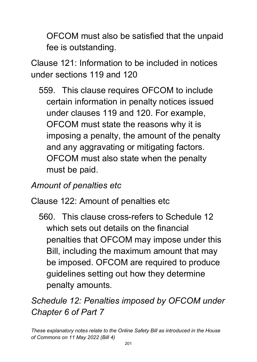OFCOM must also be satisfied that the unpaid fee is outstanding.

Clause 121: Information to be included in notices under sections 119 and 120

559. This clause requires OFCOM to include certain information in penalty notices issued under clauses 119 and 120. For example, OFCOM must state the reasons why it is imposing a penalty, the amount of the penalty and any aggravating or mitigating factors. OFCOM must also state when the penalty must be paid.

## *Amount of penalties etc*

#### Clause 122: Amount of penalties etc

560. This clause cross-refers to Schedule 12 which sets out details on the financial penalties that OFCOM may impose under this Bill, including the maximum amount that may be imposed. OFCOM are required to produce guidelines setting out how they determine penalty amounts.

*Schedule 12: Penalties imposed by OFCOM under Chapter 6 of Part 7*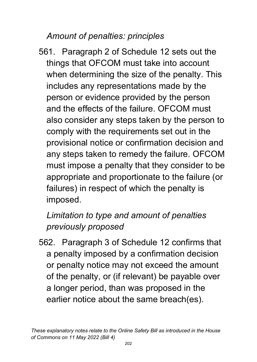### *Amount of penalties: principles*

561. Paragraph 2 of Schedule 12 sets out the things that OFCOM must take into account when determining the size of the penalty. This includes any representations made by the person or evidence provided by the person and the effects of the failure. OFCOM must also consider any steps taken by the person to comply with the requirements set out in the provisional notice or confirmation decision and any steps taken to remedy the failure. OFCOM must impose a penalty that they consider to be appropriate and proportionate to the failure (or failures) in respect of which the penalty is imposed.

# *Limitation to type and amount of penalties previously proposed*

562. Paragraph 3 of Schedule 12 confirms that a penalty imposed by a confirmation decision or penalty notice may not exceed the amount of the penalty, or (if relevant) be payable over a longer period, than was proposed in the earlier notice about the same breach(es).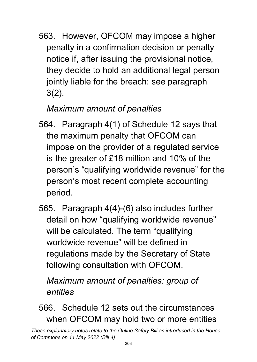563. However, OFCOM may impose a higher penalty in a confirmation decision or penalty notice if, after issuing the provisional notice, they decide to hold an additional legal person jointly liable for the breach: see paragraph 3(2).

# *Maximum amount of penalties*

- 564. Paragraph 4(1) of Schedule 12 says that the maximum penalty that OFCOM can impose on the provider of a regulated service is the greater of £18 million and 10% of the person's "qualifying worldwide revenue" for the person's most recent complete accounting period.
- 565. Paragraph 4(4)-(6) also includes further detail on how "qualifying worldwide revenue" will be calculated. The term "qualifying worldwide revenue" will be defined in regulations made by the Secretary of State following consultation with OFCOM.

*Maximum amount of penalties: group of entities*

566. Schedule 12 sets out the circumstances when OFCOM may hold two or more entities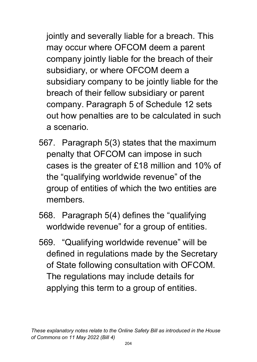jointly and severally liable for a breach. This may occur where OFCOM deem a parent company jointly liable for the breach of their subsidiary, or where OFCOM deem a subsidiary company to be jointly liable for the breach of their fellow subsidiary or parent company. Paragraph 5 of Schedule 12 sets out how penalties are to be calculated in such a scenario.

- 567. Paragraph 5(3) states that the maximum penalty that OFCOM can impose in such cases is the greater of £18 million and 10% of the "qualifying worldwide revenue" of the group of entities of which the two entities are members.
- 568. Paragraph 5(4) defines the "qualifying worldwide revenue" for a group of entities.
- 569. "Qualifying worldwide revenue" will be defined in regulations made by the Secretary of State following consultation with OFCOM. The regulations may include details for applying this term to a group of entities.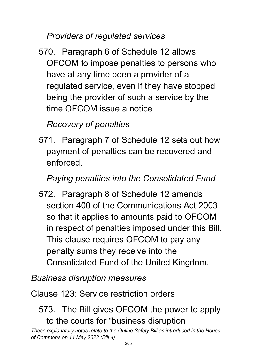*Providers of regulated services*

570. Paragraph 6 of Schedule 12 allows OFCOM to impose penalties to persons who have at any time been a provider of a regulated service, even if they have stopped being the provider of such a service by the time OFCOM issue a notice.

## *Recovery of penalties*

571. Paragraph 7 of Schedule 12 sets out how payment of penalties can be recovered and enforced.

### *Paying penalties into the Consolidated Fund*

572. Paragraph 8 of Schedule 12 amends section 400 of the Communications Act 2003 so that it applies to amounts paid to OFCOM in respect of penalties imposed under this Bill. This clause requires OFCOM to pay any penalty sums they receive into the Consolidated Fund of the United Kingdom.

#### *Business disruption measures*

#### Clause 123: Service restriction orders

### 573. The Bill gives OFCOM the power to apply to the courts for "business disruption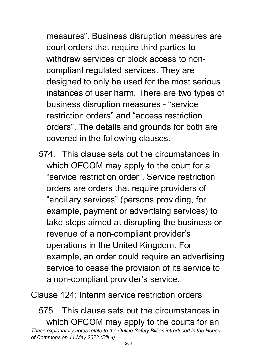measures". Business disruption measures are court orders that require third parties to withdraw services or block access to noncompliant regulated services. They are designed to only be used for the most serious instances of user harm. There are two types of business disruption measures - "service restriction orders" and "access restriction orders". The details and grounds for both are covered in the following clauses.

574. This clause sets out the circumstances in which OFCOM may apply to the court for a "service restriction order". Service restriction orders are orders that require providers of "ancillary services" (persons providing, for example, payment or advertising services) to take steps aimed at disrupting the business or revenue of a non-compliant provider's operations in the United Kingdom. For example, an order could require an advertising service to cease the provision of its service to a non-compliant provider's service.

Clause 124: Interim service restriction orders

*These explanatory notes relate to the Online Safety Bill as introduced in the House of Commons on 11 May 2022 (Bill 4)* 575. This clause sets out the circumstances in which OFCOM may apply to the courts for an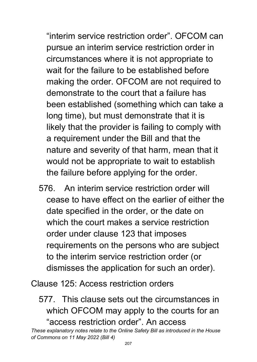"interim service restriction order". OFCOM can pursue an interim service restriction order in circumstances where it is not appropriate to wait for the failure to be established before making the order. OFCOM are not required to demonstrate to the court that a failure has been established (something which can take a long time), but must demonstrate that it is likely that the provider is failing to comply with a requirement under the Bill and that the nature and severity of that harm, mean that it would not be appropriate to wait to establish the failure before applying for the order.

576. An interim service restriction order will cease to have effect on the earlier of either the date specified in the order, or the date on which the court makes a service restriction order under clause 123 that imposes requirements on the persons who are subject to the interim service restriction order (or dismisses the application for such an order).

Clause 125: Access restriction orders

577. This clause sets out the circumstances in which OFCOM may apply to the courts for an "access restriction order". An access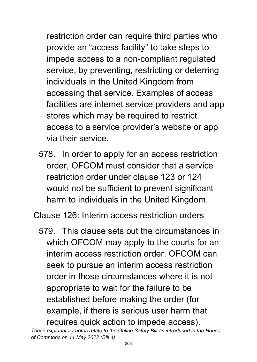restriction order can require third parties who provide an "access facility" to take steps to impede access to a non-compliant regulated service, by preventing, restricting or deterring individuals in the United Kingdom from accessing that service. Examples of access facilities are internet service providers and app stores which may be required to restrict access to a service provider's website or app via their service.

578. In order to apply for an access restriction order, OFCOM must consider that a service restriction order under clause 123 or 124 would not be sufficient to prevent significant harm to individuals in the United Kingdom.

Clause 126: Interim access restriction orders

579. This clause sets out the circumstances in which OFCOM may apply to the courts for an interim access restriction order. OFCOM can seek to pursue an interim access restriction order in those circumstances where it is not appropriate to wait for the failure to be established before making the order (for example, if there is serious user harm that requires quick action to impede access).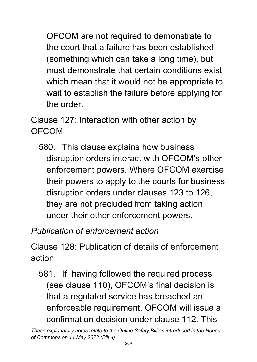OFCOM are not required to demonstrate to the court that a failure has been established (something which can take a long time), but must demonstrate that certain conditions exist which mean that it would not be appropriate to wait to establish the failure before applying for the order.

Clause 127: Interaction with other action by OFCOM

580. This clause explains how business disruption orders interact with OFCOM's other enforcement powers. Where OFCOM exercise their powers to apply to the courts for business disruption orders under clauses 123 to 126, they are not precluded from taking action under their other enforcement powers.

# *Publication of enforcement action*

Clause 128: Publication of details of enforcement action

581. If, having followed the required process (see clause 110), OFCOM's final decision is that a regulated service has breached an enforceable requirement, OFCOM will issue a confirmation decision under clause 112. This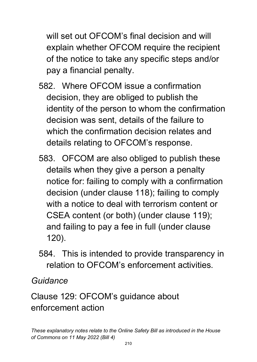will set out OFCOM's final decision and will explain whether OFCOM require the recipient of the notice to take any specific steps and/or pay a financial penalty.

- 582. Where OFCOM issue a confirmation decision, they are obliged to publish the identity of the person to whom the confirmation decision was sent, details of the failure to which the confirmation decision relates and details relating to OFCOM's response.
- 583. OFCOM are also obliged to publish these details when they give a person a penalty notice for: failing to comply with a confirmation decision (under clause 118); failing to comply with a notice to deal with terrorism content or CSEA content (or both) (under clause 119); and failing to pay a fee in full (under clause 120).
- 584. This is intended to provide transparency in relation to OFCOM's enforcement activities.

*Guidance* 

Clause 129: OFCOM's guidance about enforcement action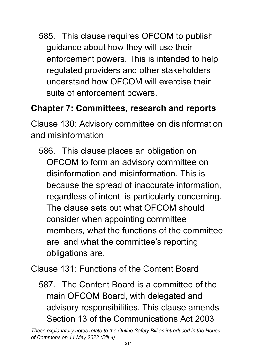585. This clause requires OFCOM to publish guidance about how they will use their enforcement powers. This is intended to help regulated providers and other stakeholders understand how OFCOM will exercise their suite of enforcement powers.

## **Chapter 7: Committees, research and reports**

Clause 130: Advisory committee on disinformation and misinformation

586. This clause places an obligation on OFCOM to form an advisory committee on disinformation and misinformation. This is because the spread of inaccurate information, regardless of intent, is particularly concerning. The clause sets out what OFCOM should consider when appointing committee members, what the functions of the committee are, and what the committee's reporting obligations are.

Clause 131: Functions of the Content Board

587. The Content Board is a committee of the main OFCOM Board, with delegated and advisory responsibilities. This clause amends Section 13 of the Communications Act 2003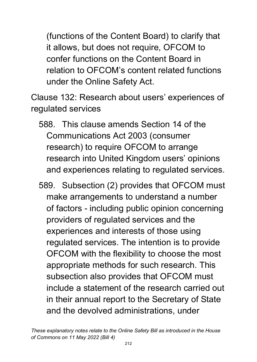(functions of the Content Board) to clarify that it allows, but does not require, OFCOM to confer functions on the Content Board in relation to OFCOM's content related functions under the Online Safety Act.

Clause 132: Research about users' experiences of regulated services

- 588. This clause amends Section 14 of the Communications Act 2003 (consumer research) to require OFCOM to arrange research into United Kingdom users' opinions and experiences relating to regulated services.
- 589. Subsection (2) provides that OFCOM must make arrangements to understand a number of factors - including public opinion concerning providers of regulated services and the experiences and interests of those using regulated services. The intention is to provide OFCOM with the flexibility to choose the most appropriate methods for such research. This subsection also provides that OFCOM must include a statement of the research carried out in their annual report to the Secretary of State and the devolved administrations, under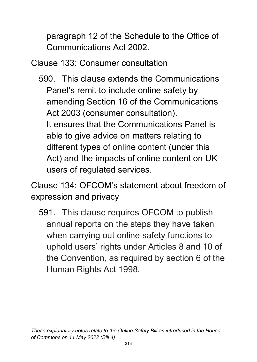paragraph 12 of the Schedule to the Office of Communications Act 2002.

Clause 133: Consumer consultation

590. This clause extends the Communications Panel's remit to include online safety by amending Section 16 of the Communications Act 2003 (consumer consultation). It ensures that the Communications Panel is able to give advice on matters relating to different types of online content (under this Act) and the impacts of online content on UK users of regulated services.

Clause 134: OFCOM's statement about freedom of expression and privacy

591. This clause requires OFCOM to publish annual reports on the steps they have taken when carrying out online safety functions to uphold users' rights under Articles 8 and 10 of the Convention, as required by section 6 of the Human Rights Act 1998.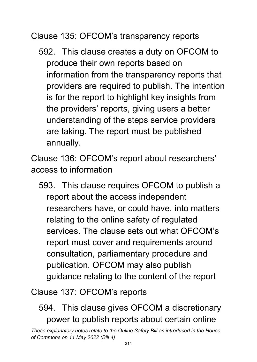Clause 135: OFCOM's transparency reports

592. This clause creates a duty on OFCOM to produce their own reports based on information from the transparency reports that providers are required to publish. The intention is for the report to highlight key insights from the providers' reports, giving users a better understanding of the steps service providers are taking. The report must be published annually.

Clause 136: OFCOM's report about researchers' access to information

593. This clause requires OFCOM to publish a report about the access independent researchers have, or could have, into matters relating to the online safety of regulated services. The clause sets out what OFCOM's report must cover and requirements around consultation, parliamentary procedure and publication. OFCOM may also publish guidance relating to the content of the report

Clause 137: OFCOM's reports

# 594. This clause gives OFCOM a discretionary power to publish reports about certain online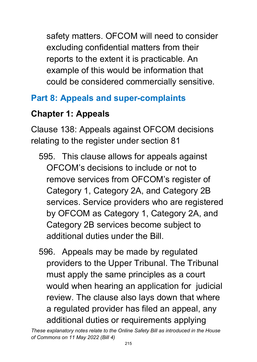safety matters. OFCOM will need to consider excluding confidential matters from their reports to the extent it is practicable. An example of this would be information that could be considered commercially sensitive.

## **Part 8: Appeals and super-complaints**

## **Chapter 1: Appeals**

Clause 138: Appeals against OFCOM decisions relating to the register under section 81

- 595. This clause allows for appeals against OFCOM's decisions to include or not to remove services from OFCOM's register of Category 1, Category 2A, and Category 2B services. Service providers who are registered by OFCOM as Category 1, Category 2A, and Category 2B services become subject to additional duties under the Bill.
- 596. Appeals may be made by regulated providers to the Upper Tribunal. The Tribunal must apply the same principles as a court would when hearing an application for judicial review. The clause also lays down that where a regulated provider has filed an appeal, any additional duties or requirements applying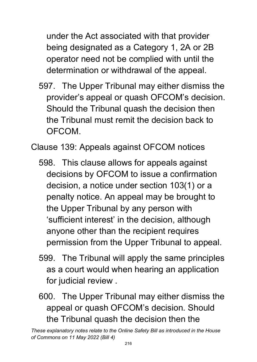under the Act associated with that provider being designated as a Category 1, 2A or 2B operator need not be complied with until the determination or withdrawal of the appeal.

597. The Upper Tribunal may either dismiss the provider's appeal or quash OFCOM's decision. Should the Tribunal quash the decision then the Tribunal must remit the decision back to OFCOM.

Clause 139: Appeals against OFCOM notices

- 598. This clause allows for appeals against decisions by OFCOM to issue a confirmation decision, a notice under section 103(1) or a penalty notice. An appeal may be brought to the Upper Tribunal by any person with 'sufficient interest' in the decision, although anyone other than the recipient requires permission from the Upper Tribunal to appeal.
- 599. The Tribunal will apply the same principles as a court would when hearing an application for judicial review .
- 600. The Upper Tribunal may either dismiss the appeal or quash OFCOM's decision. Should the Tribunal quash the decision then the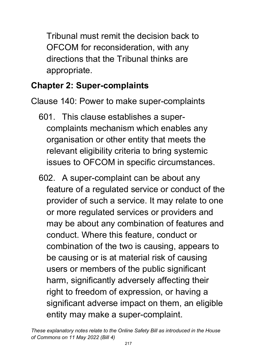Tribunal must remit the decision back to OFCOM for reconsideration, with any directions that the Tribunal thinks are appropriate.

### **Chapter 2: Super-complaints**

Clause 140: Power to make super-complaints

- 601. This clause establishes a supercomplaints mechanism which enables any organisation or other entity that meets the relevant eligibility criteria to bring systemic issues to OFCOM in specific circumstances.
- 602. A super-complaint can be about any feature of a regulated service or conduct of the provider of such a service. It may relate to one or more regulated services or providers and may be about any combination of features and conduct. Where this feature, conduct or combination of the two is causing, appears to be causing or is at material risk of causing users or members of the public significant harm, significantly adversely affecting their right to freedom of expression, or having a significant adverse impact on them, an eligible entity may make a super-complaint.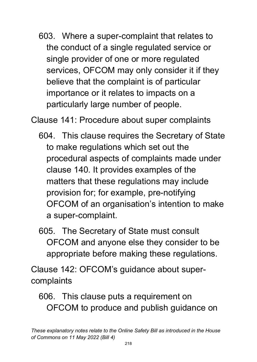603. Where a super-complaint that relates to the conduct of a single regulated service or single provider of one or more regulated services, OFCOM may only consider it if they believe that the complaint is of particular importance or it relates to impacts on a particularly large number of people.

Clause 141: Procedure about super complaints

- 604. This clause requires the Secretary of State to make regulations which set out the procedural aspects of complaints made under clause 140. It provides examples of the matters that these regulations may include provision for; for example, pre-notifying OFCOM of an organisation's intention to make a super-complaint.
- 605. The Secretary of State must consult OFCOM and anyone else they consider to be appropriate before making these regulations.

Clause 142: OFCOM's guidance about supercomplaints

606. This clause puts a requirement on OFCOM to produce and publish guidance on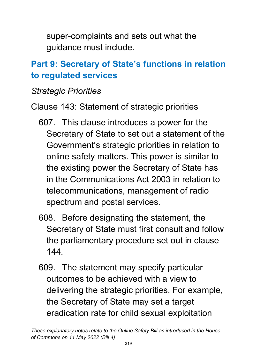super-complaints and sets out what the guidance must include.

## **Part 9: Secretary of State's functions in relation to regulated services**

#### *Strategic Priorities*

- Clause 143: Statement of strategic priorities
	- 607. This clause introduces a power for the Secretary of State to set out a statement of the Government's strategic priorities in relation to online safety matters. This power is similar to the existing power the Secretary of State has in the Communications Act 2003 in relation to telecommunications, management of radio spectrum and postal services.
	- 608. Before designating the statement, the Secretary of State must first consult and follow the parliamentary procedure set out in clause 144.
	- 609. The statement may specify particular outcomes to be achieved with a view to delivering the strategic priorities. For example, the Secretary of State may set a target eradication rate for child sexual exploitation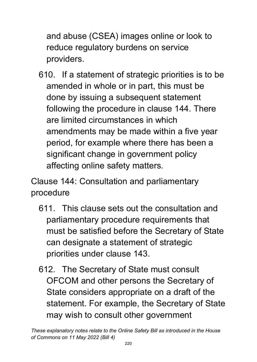and abuse (CSEA) images online or look to reduce regulatory burdens on service providers.

610. If a statement of strategic priorities is to be amended in whole or in part, this must be done by issuing a subsequent statement following the procedure in clause 144. There are limited circumstances in which amendments may be made within a five year period, for example where there has been a significant change in government policy affecting online safety matters.

Clause 144: Consultation and parliamentary procedure

- 611. This clause sets out the consultation and parliamentary procedure requirements that must be satisfied before the Secretary of State can designate a statement of strategic priorities under clause 143.
- 612. The Secretary of State must consult OFCOM and other persons the Secretary of State considers appropriate on a draft of the statement. For example, the Secretary of State may wish to consult other government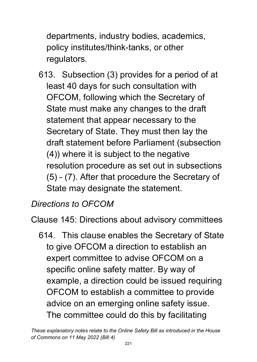departments, industry bodies, academics, policy institutes/think-tanks, or other regulators.

613. Subsection (3) provides for a period of at least 40 days for such consultation with OFCOM, following which the Secretary of State must make any changes to the draft statement that appear necessary to the Secretary of State. They must then lay the draft statement before Parliament (subsection (4)) where it is subject to the negative resolution procedure as set out in subsections (5) - (7). After that procedure the Secretary of State may designate the statement.

# *Directions to OFCOM*

Clause 145: Directions about advisory committees

614. This clause enables the Secretary of State to give OFCOM a direction to establish an expert committee to advise OFCOM on a specific online safety matter. By way of example, a direction could be issued requiring OFCOM to establish a committee to provide advice on an emerging online safety issue. The committee could do this by facilitating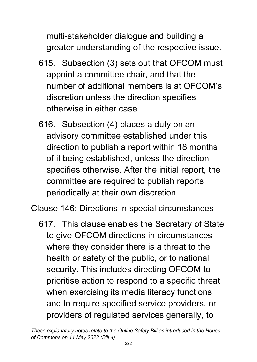multi-stakeholder dialogue and building a greater understanding of the respective issue.

- 615. Subsection (3) sets out that OFCOM must appoint a committee chair, and that the number of additional members is at OFCOM's discretion unless the direction specifies otherwise in either case.
- 616. Subsection (4) places a duty on an advisory committee established under this direction to publish a report within 18 months of it being established, unless the direction specifies otherwise. After the initial report, the committee are required to publish reports periodically at their own discretion.

Clause 146: Directions in special circumstances

617. This clause enables the Secretary of State to give OFCOM directions in circumstances where they consider there is a threat to the health or safety of the public, or to national security. This includes directing OFCOM to prioritise action to respond to a specific threat when exercising its media literacy functions and to require specified service providers, or providers of regulated services generally, to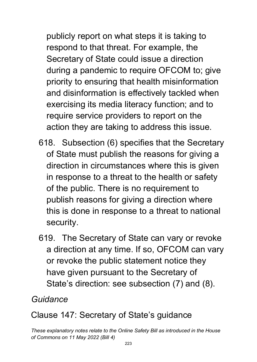publicly report on what steps it is taking to respond to that threat. For example, the Secretary of State could issue a direction during a pandemic to require OFCOM to; give priority to ensuring that health misinformation and disinformation is effectively tackled when exercising its media literacy function; and to require service providers to report on the action they are taking to address this issue.

- 618. Subsection (6) specifies that the Secretary of State must publish the reasons for giving a direction in circumstances where this is given in response to a threat to the health or safety of the public. There is no requirement to publish reasons for giving a direction where this is done in response to a threat to national security.
- 619. The Secretary of State can vary or revoke a direction at any time. If so, OFCOM can vary or revoke the public statement notice they have given pursuant to the Secretary of State's direction: see subsection (7) and (8).

### *Guidance*

### Clause 147: Secretary of State's guidance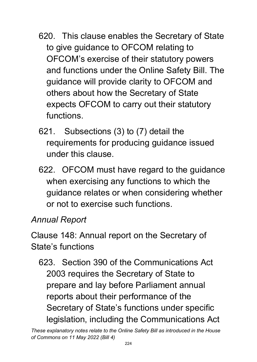- 620. This clause enables the Secretary of State to give guidance to OFCOM relating to OFCOM's exercise of their statutory powers and functions under the Online Safety Bill. The guidance will provide clarity to OFCOM and others about how the Secretary of State expects OFCOM to carry out their statutory functions.
- 621. Subsections (3) to (7) detail the requirements for producing guidance issued under this clause.
- 622. OFCOM must have regard to the guidance when exercising any functions to which the guidance relates or when considering whether or not to exercise such functions.

#### *Annual Report*

Clause 148: Annual report on the Secretary of State's functions

623. Section 390 of the Communications Act 2003 requires the Secretary of State to prepare and lay before Parliament annual reports about their performance of the Secretary of State's functions under specific legislation, including the Communications Act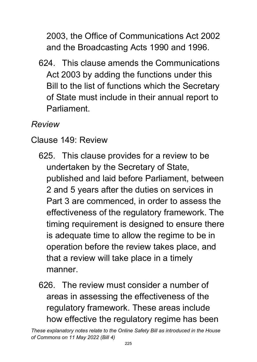2003, the Office of Communications Act 2002 and the Broadcasting Acts 1990 and 1996.

624. This clause amends the Communications Act 2003 by adding the functions under this Bill to the list of functions which the Secretary of State must include in their annual report to Parliament.

#### *Review*

- Clause 149: Review
	- 625. This clause provides for a review to be undertaken by the Secretary of State, published and laid before Parliament, between 2 and 5 years after the duties on services in Part 3 are commenced, in order to assess the effectiveness of the regulatory framework. The timing requirement is designed to ensure there is adequate time to allow the regime to be in operation before the review takes place, and that a review will take place in a timely manner.
	- 626. The review must consider a number of areas in assessing the effectiveness of the regulatory framework. These areas include how effective the regulatory regime has been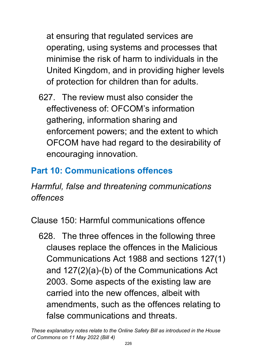at ensuring that regulated services are operating, using systems and processes that minimise the risk of harm to individuals in the United Kingdom, and in providing higher levels of protection for children than for adults.

627. The review must also consider the effectiveness of: OFCOM's information gathering, information sharing and enforcement powers; and the extent to which OFCOM have had regard to the desirability of encouraging innovation.

### **Part 10: Communications offences**

*Harmful, false and threatening communications offences*

Clause 150: Harmful communications offence

628. The three offences in the following three clauses replace the offences in the Malicious Communications Act 1988 and sections 127(1) and 127(2)(a)-(b) of the Communications Act 2003. Some aspects of the existing law are carried into the new offences, albeit with amendments, such as the offences relating to false communications and threats.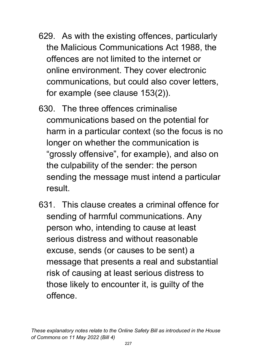- 629. As with the existing offences, particularly the Malicious Communications Act 1988, the offences are not limited to the internet or online environment. They cover electronic communications, but could also cover letters, for example (see clause 153(2)).
- 630. The three offences criminalise communications based on the potential for harm in a particular context (so the focus is no longer on whether the communication is "grossly offensive", for example), and also on the culpability of the sender: the person sending the message must intend a particular result.
- 631. This clause creates a criminal offence for sending of harmful communications. Any person who, intending to cause at least serious distress and without reasonable excuse, sends (or causes to be sent) a message that presents a real and substantial risk of causing at least serious distress to those likely to encounter it, is guilty of the offence.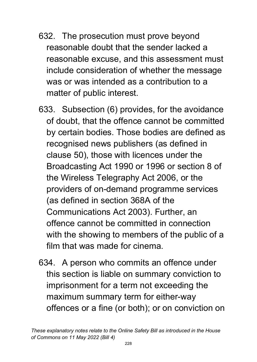- 632. The prosecution must prove beyond reasonable doubt that the sender lacked a reasonable excuse, and this assessment must include consideration of whether the message was or was intended as a contribution to a matter of public interest.
- 633. Subsection (6) provides, for the avoidance of doubt, that the offence cannot be committed by certain bodies. Those bodies are defined as recognised news publishers (as defined in clause 50), those with licences under the Broadcasting Act 1990 or 1996 or section 8 of the Wireless Telegraphy Act 2006, or the providers of on-demand programme services (as defined in section 368A of the Communications Act 2003). Further, an offence cannot be committed in connection with the showing to members of the public of a film that was made for cinema.
- 634. A person who commits an offence under this section is liable on summary conviction to imprisonment for a term not exceeding the maximum summary term for either-way offences or a fine (or both); or on conviction on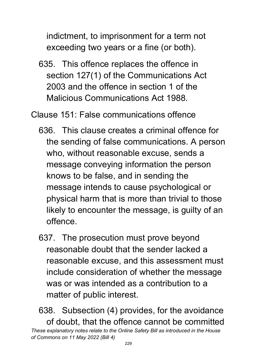indictment, to imprisonment for a term not exceeding two years or a fine (or both).

635. This offence replaces the offence in section 127(1) of the Communications Act 2003 and the offence in section 1 of the Malicious Communications Act 1988.

Clause 151: False communications offence

- 636. This clause creates a criminal offence for the sending of false communications. A person who, without reasonable excuse, sends a message conveying information the person knows to be false, and in sending the message intends to cause psychological or physical harm that is more than trivial to those likely to encounter the message, is guilty of an offence.
- 637. The prosecution must prove beyond reasonable doubt that the sender lacked a reasonable excuse, and this assessment must include consideration of whether the message was or was intended as a contribution to a matter of public interest.

*These explanatory notes relate to the Online Safety Bill as introduced in the House of Commons on 11 May 2022 (Bill 4)* 638. Subsection (4) provides, for the avoidance of doubt, that the offence cannot be committed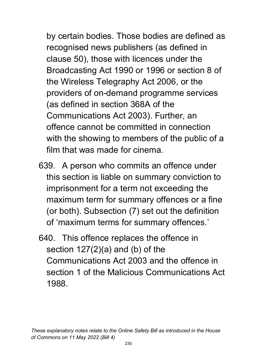by certain bodies. Those bodies are defined as recognised news publishers (as defined in clause 50), those with licences under the Broadcasting Act 1990 or 1996 or section 8 of the Wireless Telegraphy Act 2006, or the providers of on-demand programme services (as defined in section 368A of the Communications Act 2003). Further, an offence cannot be committed in connection with the showing to members of the public of a film that was made for cinema.

- 639. A person who commits an offence under this section is liable on summary conviction to imprisonment for a term not exceeding the maximum term for summary offences or a fine (or both). Subsection (7) set out the definition of 'maximum terms for summary offences.'
- 640. This offence replaces the offence in section 127(2)(a) and (b) of the Communications Act 2003 and the offence in section 1 of the Malicious Communications Act 1988.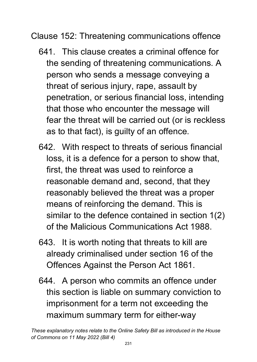Clause 152: Threatening communications offence

- 641. This clause creates a criminal offence for the sending of threatening communications. A person who sends a message conveying a threat of serious injury, rape, assault by penetration, or serious financial loss, intending that those who encounter the message will fear the threat will be carried out (or is reckless as to that fact), is guilty of an offence.
- 642. With respect to threats of serious financial loss, it is a defence for a person to show that, first, the threat was used to reinforce a reasonable demand and, second, that they reasonably believed the threat was a proper means of reinforcing the demand. This is similar to the defence contained in section 1(2) of the Malicious Communications Act 1988.
- 643. It is worth noting that threats to kill are already criminalised under section 16 of the Offences Against the Person Act 1861.
- 644. A person who commits an offence under this section is liable on summary conviction to imprisonment for a term not exceeding the maximum summary term for either-way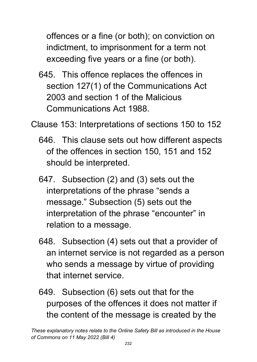offences or a fine (or both); on conviction on indictment, to imprisonment for a term not exceeding five years or a fine (or both).

645. This offence replaces the offences in section 127(1) of the Communications Act 2003 and section 1 of the Malicious Communications Act 1988.

Clause 153: Interpretations of sections 150 to 152

- 646. This clause sets out how different aspects of the offences in section 150, 151 and 152 should be interpreted.
- 647. Subsection (2) and (3) sets out the interpretations of the phrase "sends a message." Subsection (5) sets out the interpretation of the phrase "encounter" in relation to a message.
- 648. Subsection (4) sets out that a provider of an internet service is not regarded as a person who sends a message by virtue of providing that internet service.
- 649. Subsection (6) sets out that for the purposes of the offences it does not matter if the content of the message is created by the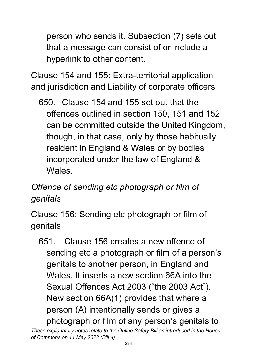person who sends it. Subsection (7) sets out that a message can consist of or include a hyperlink to other content.

Clause 154 and 155: Extra-territorial application and jurisdiction and Liability of corporate officers

650. Clause 154 and 155 set out that the offences outlined in section 150, 151 and 152 can be committed outside the United Kingdom, though, in that case, only by those habitually resident in England & Wales or by bodies incorporated under the law of England & Wales.

# *Offence of sending etc photograph or film of genitals*

Clause 156: Sending etc photograph or film of genitals

651. Clause 156 creates a new offence of sending etc a photograph or film of a person's genitals to another person, in England and Wales. It inserts a new section 66A into the Sexual Offences Act 2003 ("the 2003 Act"). New section 66A(1) provides that where a person (A) intentionally sends or gives a photograph or film of any person's genitals to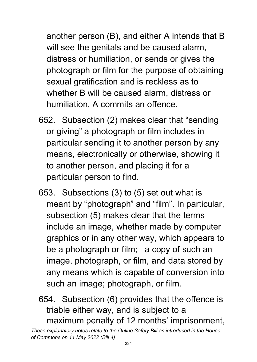another person (B), and either A intends that B will see the genitals and be caused alarm, distress or humiliation, or sends or gives the photograph or film for the purpose of obtaining sexual gratification and is reckless as to whether B will be caused alarm, distress or humiliation, A commits an offence.

- 652. Subsection (2) makes clear that "sending or giving" a photograph or film includes in particular sending it to another person by any means, electronically or otherwise, showing it to another person, and placing it for a particular person to find.
- 653. Subsections (3) to (5) set out what is meant by "photograph" and "film". In particular, subsection (5) makes clear that the terms include an image, whether made by computer graphics or in any other way, which appears to be a photograph or film; a copy of such an image, photograph, or film, and data stored by any means which is capable of conversion into such an image; photograph, or film.
- 654. Subsection (6) provides that the offence is triable either way, and is subject to a maximum penalty of 12 months' imprisonment,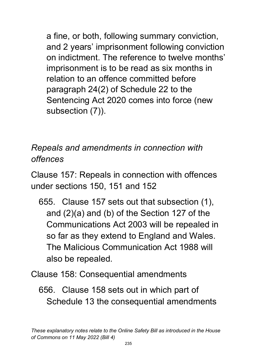a fine, or both, following summary conviction, and 2 years' imprisonment following conviction on indictment. The reference to twelve months' imprisonment is to be read as six months in relation to an offence committed before paragraph 24(2) of Schedule 22 to the Sentencing Act 2020 comes into force (new subsection (7)).

*Repeals and amendments in connection with offences*

Clause 157: Repeals in connection with offences under sections 150, 151 and 152

- 655. Clause 157 sets out that subsection (1), and (2)(a) and (b) of the Section 127 of the Communications Act 2003 will be repealed in so far as they extend to England and Wales. The Malicious Communication Act 1988 will also be repealed.
- Clause 158: Consequential amendments
	- 656. Clause 158 sets out in which part of Schedule 13 the consequential amendments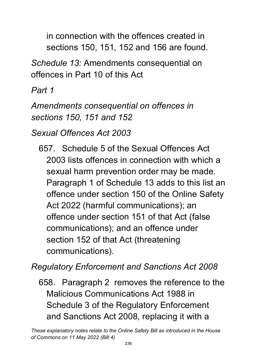in connection with the offences created in sections 150, 151, 152 and 156 are found.

*Schedule 13:* Amendments consequential on offences in Part 10 of this Act

*Part 1* 

*Amendments consequential on offences in sections 150, 151 and 152*

*Sexual Offences Act 2003*

657. Schedule 5 of the Sexual Offences Act 2003 lists offences in connection with which a sexual harm prevention order may be made. Paragraph 1 of Schedule 13 adds to this list an offence under section 150 of the Online Safety Act 2022 (harmful communications); an offence under section 151 of that Act (false communications); and an offence under section 152 of that Act (threatening communications).

*Regulatory Enforcement and Sanctions Act 2008*

658. Paragraph 2 removes the reference to the Malicious Communications Act 1988 in Schedule 3 of the Regulatory Enforcement and Sanctions Act 2008, replacing it with a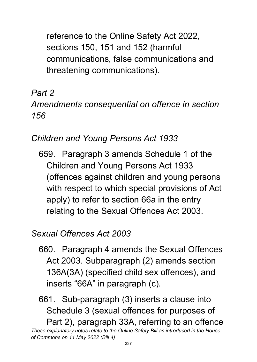reference to the Online Safety Act 2022, sections 150, 151 and 152 (harmful communications, false communications and threatening communications).

## *Part 2*

### *Amendments consequential on offence in section 156*

## *Children and Young Persons Act 1933*

659. Paragraph 3 amends Schedule 1 of the Children and Young Persons Act 1933 (offences against children and young persons with respect to which special provisions of Act apply) to refer to section 66a in the entry relating to the Sexual Offences Act 2003.

### *Sexual Offences Act 2003*

660. Paragraph 4 amends the Sexual Offences Act 2003. Subparagraph (2) amends section 136A(3A) (specified child sex offences), and inserts "66A" in paragraph (c).

*These explanatory notes relate to the Online Safety Bill as introduced in the House of Commons on 11 May 2022 (Bill 4)* 661. Sub-paragraph (3) inserts a clause into Schedule 3 (sexual offences for purposes of Part 2), paragraph 33A, referring to an offence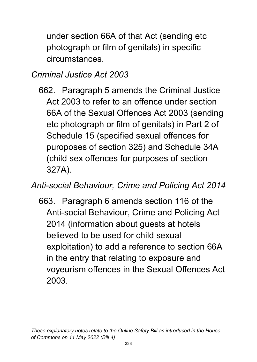under section 66A of that Act (sending etc photograph or film of genitals) in specific circumstances.

### *Criminal Justice Act 2003*

662. Paragraph 5 amends the Criminal Justice Act 2003 to refer to an offence under section 66A of the Sexual Offences Act 2003 (sending etc photograph or film of genitals) in Part 2 of Schedule 15 (specified sexual offences for puroposes of section 325) and Schedule 34A (child sex offences for purposes of section 327A).

#### *Anti-social Behaviour, Crime and Policing Act 2014*

663. Paragraph 6 amends section 116 of the Anti-social Behaviour, Crime and Policing Act 2014 (information about guests at hotels believed to be used for child sexual exploitation) to add a reference to section 66A in the entry that relating to exposure and voyeurism offences in the Sexual Offences Act 2003.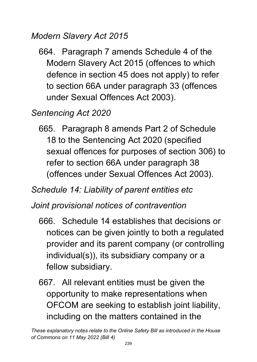#### *Modern Slavery Act 2015*

664. Paragraph 7 amends Schedule 4 of the Modern Slavery Act 2015 (offences to which defence in section 45 does not apply) to refer to section 66A under paragraph 33 (offences under Sexual Offences Act 2003).

#### *Sentencing Act 2020*

665. Paragraph 8 amends Part 2 of Schedule 18 to the Sentencing Act 2020 (specified sexual offences for purposes of section 306) to refer to section 66A under paragraph 38 (offences under Sexual Offences Act 2003).

#### *Schedule 14: Liability of parent entities etc*

#### *Joint provisional notices of contravention*

- 666. Schedule 14 establishes that decisions or notices can be given jointly to both a regulated provider and its parent company (or controlling individual(s)), its subsidiary company or a fellow subsidiary.
- 667. All relevant entities must be given the opportunity to make representations when OFCOM are seeking to establish joint liability, including on the matters contained in the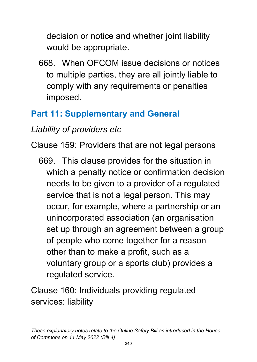decision or notice and whether joint liability would be appropriate.

668. When OFCOM issue decisions or notices to multiple parties, they are all jointly liable to comply with any requirements or penalties imposed.

# **Part 11: Supplementary and General**

# *Liability of providers etc*

Clause 159: Providers that are not legal persons

669. This clause provides for the situation in which a penalty notice or confirmation decision needs to be given to a provider of a regulated service that is not a legal person. This may occur, for example, where a partnership or an unincorporated association (an organisation set up through an agreement between a group of people who come together for a reason other than to make a profit, such as a voluntary group or a sports club) provides a regulated service.

Clause 160: Individuals providing regulated services: liability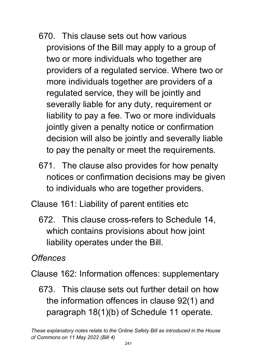- 670. This clause sets out how various provisions of the Bill may apply to a group of two or more individuals who together are providers of a regulated service. Where two or more individuals together are providers of a regulated service, they will be jointly and severally liable for any duty, requirement or liability to pay a fee. Two or more individuals jointly given a penalty notice or confirmation decision will also be jointly and severally liable to pay the penalty or meet the requirements.
- 671. The clause also provides for how penalty notices or confirmation decisions may be given to individuals who are together providers.
- Clause 161: Liability of parent entities etc
	- 672. This clause cross-refers to Schedule 14, which contains provisions about how joint liability operates under the Bill.

*Offences*

Clause 162: Information offences: supplementary

673. This clause sets out further detail on how the information offences in clause 92(1) and paragraph 18(1)(b) of Schedule 11 operate.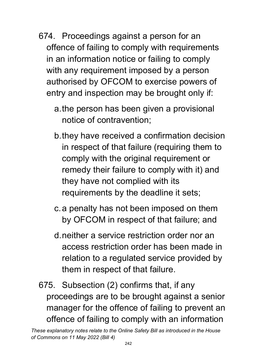- 674. Proceedings against a person for an offence of failing to comply with requirements in an information notice or failing to comply with any requirement imposed by a person authorised by OFCOM to exercise powers of entry and inspection may be brought only if:
	- a.the person has been given a provisional notice of contravention;
	- b.they have received a confirmation decision in respect of that failure (requiring them to comply with the original requirement or remedy their failure to comply with it) and they have not complied with its requirements by the deadline it sets;
	- c.a penalty has not been imposed on them by OFCOM in respect of that failure; and
	- d.neither a service restriction order nor an access restriction order has been made in relation to a regulated service provided by them in respect of that failure.
- 675. Subsection (2) confirms that, if any proceedings are to be brought against a senior manager for the offence of failing to prevent an offence of failing to comply with an information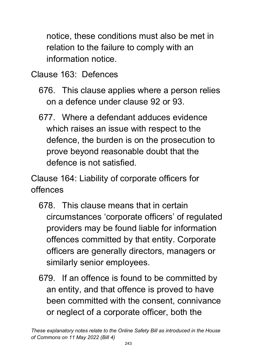notice, these conditions must also be met in relation to the failure to comply with an information notice.

Clause 163: Defences

- 676. This clause applies where a person relies on a defence under clause 92 or 93.
- 677. Where a defendant adduces evidence which raises an issue with respect to the defence, the burden is on the prosecution to prove beyond reasonable doubt that the defence is not satisfied.

Clause 164: Liability of corporate officers for offences

- 678. This clause means that in certain circumstances 'corporate officers' of regulated providers may be found liable for information offences committed by that entity. Corporate officers are generally directors, managers or similarly senior employees.
- 679. If an offence is found to be committed by an entity, and that offence is proved to have been committed with the consent, connivance or neglect of a corporate officer, both the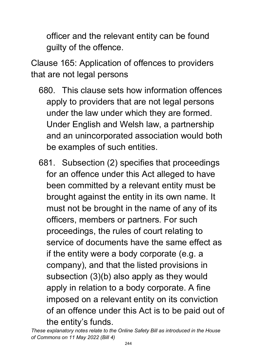officer and the relevant entity can be found guilty of the offence.

Clause 165: Application of offences to providers that are not legal persons

- 680. This clause sets how information offences apply to providers that are not legal persons under the law under which they are formed. Under English and Welsh law, a partnership and an unincorporated association would both be examples of such entities.
- 681. Subsection (2) specifies that proceedings for an offence under this Act alleged to have been committed by a relevant entity must be brought against the entity in its own name. It must not be brought in the name of any of its officers, members or partners. For such proceedings, the rules of court relating to service of documents have the same effect as if the entity were a body corporate (e.g. a company), and that the listed provisions in subsection (3)(b) also apply as they would apply in relation to a body corporate. A fine imposed on a relevant entity on its conviction of an offence under this Act is to be paid out of the entity's funds.

*These explanatory notes relate to the Online Safety Bill as introduced in the House of Commons on 11 May 2022 (Bill 4)*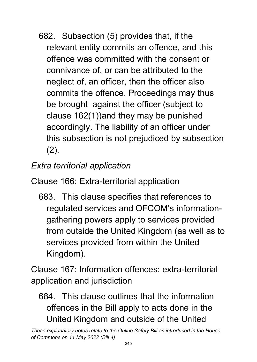682. Subsection (5) provides that, if the relevant entity commits an offence, and this offence was committed with the consent or connivance of, or can be attributed to the neglect of, an officer, then the officer also commits the offence. Proceedings may thus be brought against the officer (subject to clause 162(1))and they may be punished accordingly. The liability of an officer under this subsection is not prejudiced by subsection (2).

*Extra territorial application*

Clause 166: Extra-territorial application

683. This clause specifies that references to regulated services and OFCOM's informationgathering powers apply to services provided from outside the United Kingdom (as well as to services provided from within the United Kingdom).

Clause 167: Information offences: extra-territorial application and jurisdiction

684. This clause outlines that the information offences in the Bill apply to acts done in the United Kingdom and outside of the United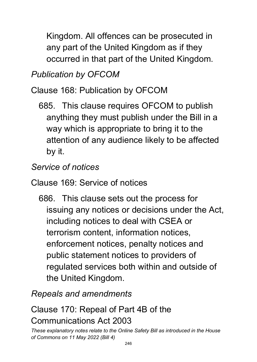Kingdom. All offences can be prosecuted in any part of the United Kingdom as if they occurred in that part of the United Kingdom.

### *Publication by OFCOM*

Clause 168: Publication by OFCOM

685. This clause requires OFCOM to publish anything they must publish under the Bill in a way which is appropriate to bring it to the attention of any audience likely to be affected by it.

# *Service of notices*

Clause 169: Service of notices

686. This clause sets out the process for issuing any notices or decisions under the Act, including notices to deal with CSEA or terrorism content, information notices, enforcement notices, penalty notices and public statement notices to providers of regulated services both within and outside of the United Kingdom.

*Repeals and amendments*

#### Clause 170: Repeal of Part 4B of the Communications Act 2003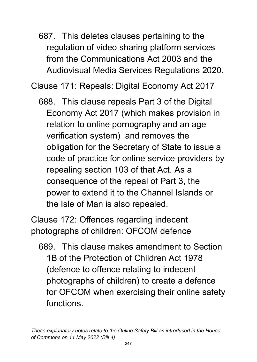687. This deletes clauses pertaining to the regulation of video sharing platform services from the Communications Act 2003 and the Audiovisual Media Services Regulations 2020.

Clause 171: Repeals: Digital Economy Act 2017

688. This clause repeals Part 3 of the Digital Economy Act 2017 (which makes provision in relation to online pornography and an age verification system) and removes the obligation for the Secretary of State to issue a code of practice for online service providers by repealing section 103 of that Act. As a consequence of the repeal of Part 3, the power to extend it to the Channel Islands or the Isle of Man is also repealed.

Clause 172: Offences regarding indecent photographs of children: OFCOM defence

689. This clause makes amendment to Section 1B of the Protection of Children Act 1978 (defence to offence relating to indecent photographs of children) to create a defence for OFCOM when exercising their online safety functions.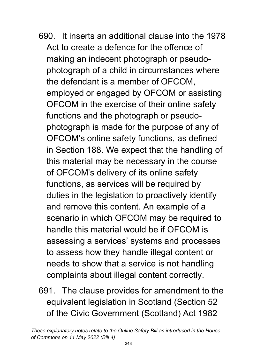- 690. It inserts an additional clause into the 1978 Act to create a defence for the offence of making an indecent photograph or pseudophotograph of a child in circumstances where the defendant is a member of OFCOM, employed or engaged by OFCOM or assisting OFCOM in the exercise of their online safety functions and the photograph or pseudophotograph is made for the purpose of any of OFCOM's online safety functions, as defined in Section 188. We expect that the handling of this material may be necessary in the course of OFCOM's delivery of its online safety functions, as services will be required by duties in the legislation to proactively identify and remove this content. An example of a scenario in which OFCOM may be required to handle this material would be if OFCOM is assessing a services' systems and processes to assess how they handle illegal content or needs to show that a service is not handling complaints about illegal content correctly.
- 691. The clause provides for amendment to the equivalent legislation in Scotland (Section 52 of the Civic Government (Scotland) Act 1982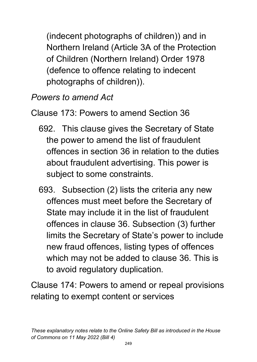(indecent photographs of children)) and in Northern Ireland (Article 3A of the Protection of Children (Northern Ireland) Order 1978 (defence to offence relating to indecent photographs of children)).

*Powers to amend Act*

Clause 173: Powers to amend Section 36

- 692. This clause gives the Secretary of State the power to amend the list of fraudulent offences in section 36 in relation to the duties about fraudulent advertising. This power is subject to some constraints.
- 693. Subsection (2) lists the criteria any new offences must meet before the Secretary of State may include it in the list of fraudulent offences in clause 36. Subsection (3) further limits the Secretary of State's power to include new fraud offences, listing types of offences which may not be added to clause 36. This is to avoid regulatory duplication.

Clause 174: Powers to amend or repeal provisions relating to exempt content or services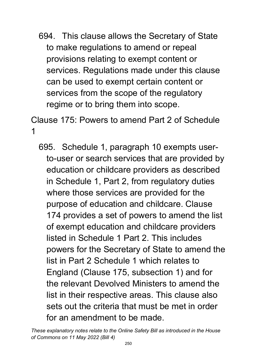694. This clause allows the Secretary of State to make regulations to amend or repeal provisions relating to exempt content or services. Regulations made under this clause can be used to exempt certain content or services from the scope of the regulatory regime or to bring them into scope.

Clause 175: Powers to amend Part 2 of Schedule 1

695. Schedule 1, paragraph 10 exempts userto-user or search services that are provided by education or childcare providers as described in Schedule 1, Part 2, from regulatory duties where those services are provided for the purpose of education and childcare. Clause 174 provides a set of powers to amend the list of exempt education and childcare providers listed in Schedule 1 Part 2. This includes powers for the Secretary of State to amend the list in Part 2 Schedule 1 which relates to England (Clause 175, subsection 1) and for the relevant Devolved Ministers to amend the list in their respective areas. This clause also sets out the criteria that must be met in order for an amendment to be made.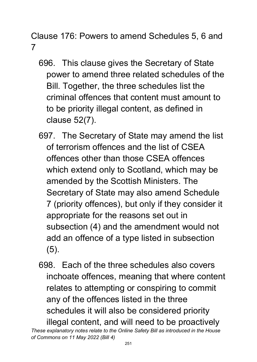Clause 176: Powers to amend Schedules 5, 6 and 7

- 696. This clause gives the Secretary of State power to amend three related schedules of the Bill. Together, the three schedules list the criminal offences that content must amount to to be priority illegal content, as defined in clause 52(7).
- 697. The Secretary of State may amend the list of terrorism offences and the list of CSEA offences other than those CSEA offences which extend only to Scotland, which may be amended by the Scottish Ministers. The Secretary of State may also amend Schedule 7 (priority offences), but only if they consider it appropriate for the reasons set out in subsection (4) and the amendment would not add an offence of a type listed in subsection (5).
- 698. Each of the three schedules also covers inchoate offences, meaning that where content relates to attempting or conspiring to commit any of the offences listed in the three schedules it will also be considered priority illegal content, and will need to be proactively

*These explanatory notes relate to the Online Safety Bill as introduced in the House of Commons on 11 May 2022 (Bill 4)*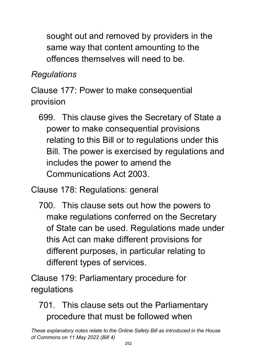sought out and removed by providers in the same way that content amounting to the offences themselves will need to be.

# *Regulations*

Clause 177: Power to make consequential provision

699. This clause gives the Secretary of State a power to make consequential provisions relating to this Bill or to regulations under this Bill. The power is exercised by regulations and includes the power to amend the Communications Act 2003.

Clause 178: Regulations: general

700. This clause sets out how the powers to make regulations conferred on the Secretary of State can be used. Regulations made under this Act can make different provisions for different purposes, in particular relating to different types of services.

Clause 179: Parliamentary procedure for regulations

## 701. This clause sets out the Parliamentary procedure that must be followed when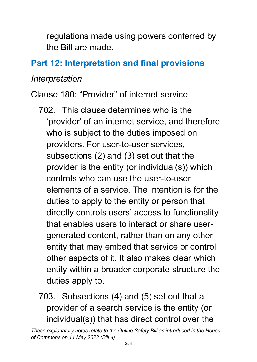regulations made using powers conferred by the Bill are made.

## **Part 12: Interpretation and final provisions**

#### *Interpretation*

Clause 180: "Provider" of internet service

- 702. This clause determines who is the 'provider' of an internet service, and therefore who is subject to the duties imposed on providers. For user-to-user services, subsections (2) and (3) set out that the provider is the entity (or individual(s)) which controls who can use the user-to-user elements of a service. The intention is for the duties to apply to the entity or person that directly controls users' access to functionality that enables users to interact or share usergenerated content, rather than on any other entity that may embed that service or control other aspects of it. It also makes clear which entity within a broader corporate structure the duties apply to.
- 703. Subsections (4) and (5) set out that a provider of a search service is the entity (or individual(s)) that has direct control over the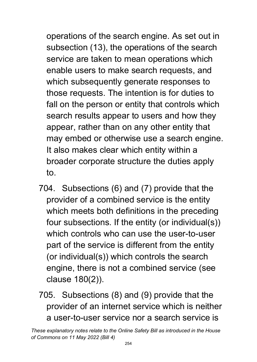operations of the search engine. As set out in subsection (13), the operations of the search service are taken to mean operations which enable users to make search requests, and which subsequently generate responses to those requests. The intention is for duties to fall on the person or entity that controls which search results appear to users and how they appear, rather than on any other entity that may embed or otherwise use a search engine. It also makes clear which entity within a broader corporate structure the duties apply to.

- 704. Subsections (6) and (7) provide that the provider of a combined service is the entity which meets both definitions in the preceding four subsections. If the entity (or individual(s)) which controls who can use the user-to-user part of the service is different from the entity (or individual(s)) which controls the search engine, there is not a combined service (see clause 180(2)).
- 705. Subsections (8) and (9) provide that the provider of an internet service which is neither a user-to-user service nor a search service is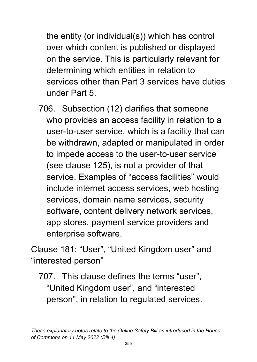the entity (or individual(s)) which has control over which content is published or displayed on the service. This is particularly relevant for determining which entities in relation to services other than Part 3 services have duties under Part 5.

706. Subsection (12) clarifies that someone who provides an access facility in relation to a user-to-user service, which is a facility that can be withdrawn, adapted or manipulated in order to impede access to the user-to-user service (see clause 125), is not a provider of that service. Examples of "access facilities" would include internet access services, web hosting services, domain name services, security software, content delivery network services, app stores, payment service providers and enterprise software.

Clause 181: "User", "United Kingdom user" and "interested person"

707. This clause defines the terms "user", "United Kingdom user", and "interested person", in relation to regulated services.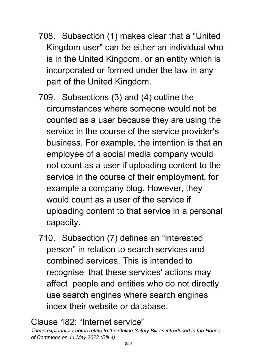- 708. Subsection (1) makes clear that a "United Kingdom user" can be either an individual who is in the United Kingdom, or an entity which is incorporated or formed under the law in any part of the United Kingdom.
- 709. Subsections (3) and (4) outline the circumstances where someone would not be counted as a user because they are using the service in the course of the service provider's business. For example, the intention is that an employee of a social media company would not count as a user if uploading content to the service in the course of their employment, for example a company blog. However, they would count as a user of the service if uploading content to that service in a personal capacity.
- 710. Subsection (7) defines an "interested person" in relation to search services and combined services. This is intended to recognise that these services' actions may affect people and entities who do not directly use search engines where search engines index their website or database.

#### Clause 182: "Internet service"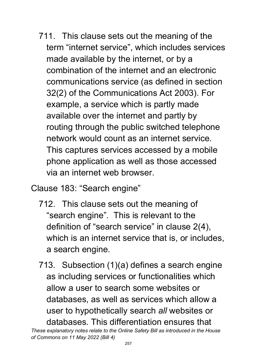711. This clause sets out the meaning of the term "internet service", which includes services made available by the internet, or by a combination of the internet and an electronic communications service (as defined in section 32(2) of the Communications Act 2003). For example, a service which is partly made available over the internet and partly by routing through the public switched telephone network would count as an internet service. This captures services accessed by a mobile phone application as well as those accessed via an internet web browser.

Clause 183: "Search engine"

- 712. This clause sets out the meaning of "search engine". This is relevant to the definition of "search service" in clause 2(4), which is an internet service that is, or includes, a search engine.
- 713. Subsection (1)(a) defines a search engine as including services or functionalities which allow a user to search some websites or databases, as well as services which allow a user to hypothetically search *all* websites or databases. This differentiation ensures that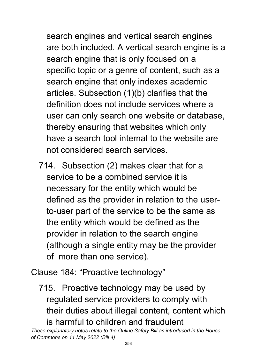search engines and vertical search engines are both included. A vertical search engine is a search engine that is only focused on a specific topic or a genre of content, such as a search engine that only indexes academic articles. Subsection (1)(b) clarifies that the definition does not include services where a user can only search one website or database, thereby ensuring that websites which only have a search tool internal to the website are not considered search services.

714. Subsection (2) makes clear that for a service to be a combined service it is necessary for the entity which would be defined as the provider in relation to the userto-user part of the service to be the same as the entity which would be defined as the provider in relation to the search engine (although a single entity may be the provider of more than one service).

Clause 184: "Proactive technology"

715. Proactive technology may be used by regulated service providers to comply with their duties about illegal content, content which is harmful to children and fraudulent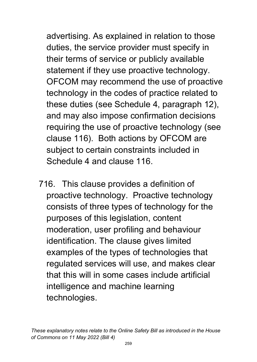advertising. As explained in relation to those duties, the service provider must specify in their terms of service or publicly available statement if they use proactive technology. OFCOM may recommend the use of proactive technology in the codes of practice related to these duties (see Schedule 4, paragraph 12), and may also impose confirmation decisions requiring the use of proactive technology (see clause 116). Both actions by OFCOM are subject to certain constraints included in Schedule 4 and clause 116.

716. This clause provides a definition of proactive technology. Proactive technology consists of three types of technology for the purposes of this legislation, content moderation, user profiling and behaviour identification. The clause gives limited examples of the types of technologies that regulated services will use, and makes clear that this will in some cases include artificial intelligence and machine learning technologies.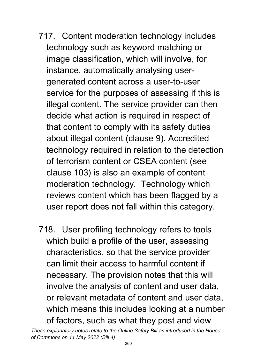- 717. Content moderation technology includes technology such as keyword matching or image classification, which will involve, for instance, automatically analysing usergenerated content across a user-to-user service for the purposes of assessing if this is illegal content. The service provider can then decide what action is required in respect of that content to comply with its safety duties about illegal content (clause 9). Accredited technology required in relation to the detection of terrorism content or CSEA content (see clause 103) is also an example of content moderation technology. Technology which reviews content which has been flagged by a user report does not fall within this category.
- 718. User profiling technology refers to tools which build a profile of the user, assessing characteristics, so that the service provider can limit their access to harmful content if necessary. The provision notes that this will involve the analysis of content and user data, or relevant metadata of content and user data, which means this includes looking at a number of factors, such as what they post and view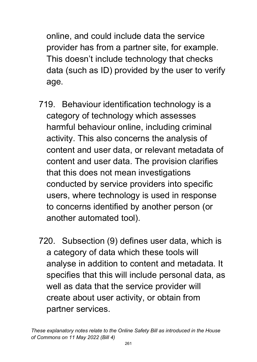online, and could include data the service provider has from a partner site, for example. This doesn't include technology that checks data (such as ID) provided by the user to verify age.

- 719. Behaviour identification technology is a category of technology which assesses harmful behaviour online, including criminal activity. This also concerns the analysis of content and user data, or relevant metadata of content and user data. The provision clarifies that this does not mean investigations conducted by service providers into specific users, where technology is used in response to concerns identified by another person (or another automated tool).
- 720. Subsection (9) defines user data, which is a category of data which these tools will analyse in addition to content and metadata. It specifies that this will include personal data, as well as data that the service provider will create about user activity, or obtain from partner services.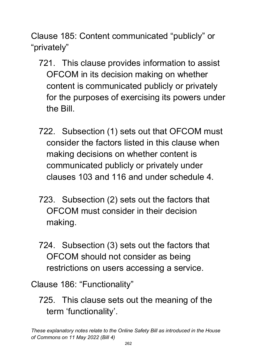Clause 185: Content communicated "publicly" or "privately"

- 721. This clause provides information to assist OFCOM in its decision making on whether content is communicated publicly or privately for the purposes of exercising its powers under the Bill.
- 722. Subsection (1) sets out that OFCOM must consider the factors listed in this clause when making decisions on whether content is communicated publicly or privately under clauses 103 and 116 and under schedule 4.
- 723. Subsection (2) sets out the factors that OFCOM must consider in their decision making.
- 724. Subsection (3) sets out the factors that OFCOM should not consider as being restrictions on users accessing a service.

Clause 186: "Functionality"

725. This clause sets out the meaning of the term 'functionality'.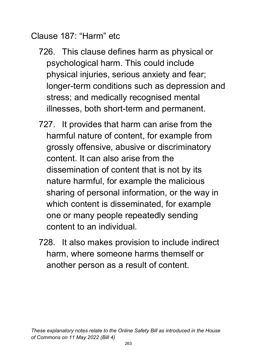Clause 187: "Harm" etc

- 726. This clause defines harm as physical or psychological harm. This could include physical injuries, serious anxiety and fear; longer-term conditions such as depression and stress; and medically recognised mental illnesses, both short-term and permanent.
- 727. It provides that harm can arise from the harmful nature of content, for example from grossly offensive, abusive or discriminatory content. It can also arise from the dissemination of content that is not by its nature harmful, for example the malicious sharing of personal information, or the way in which content is disseminated, for example one or many people repeatedly sending content to an individual.
- 728. It also makes provision to include indirect harm, where someone harms themself or another person as a result of content.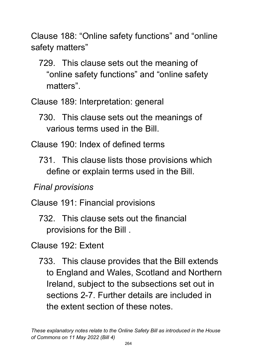Clause 188: "Online safety functions" and "online safety matters"

729. This clause sets out the meaning of "online safety functions" and "online safety matters".

Clause 189: Interpretation: general

730. This clause sets out the meanings of various terms used in the Bill.

Clause 190: Index of defined terms

731. This clause lists those provisions which define or explain terms used in the Bill.

*Final provisions*

Clause 191: Financial provisions

732. This clause sets out the financial provisions for the Bill .

Clause 192: Extent

733. This clause provides that the Bill extends to England and Wales, Scotland and Northern Ireland, subject to the subsections set out in sections 2-7. Further details are included in the extent section of these notes.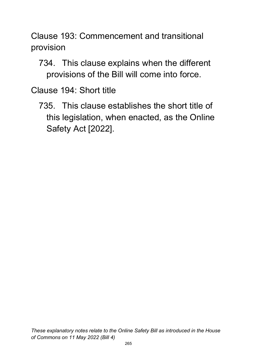Clause 193: Commencement and transitional provision

734. This clause explains when the different provisions of the Bill will come into force.

Clause 194: Short title

735. This clause establishes the short title of this legislation, when enacted, as the Online Safety Act [2022].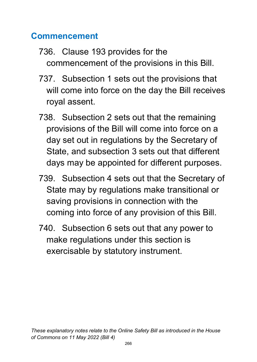### **Commencement**

- 736. Clause 193 provides for the commencement of the provisions in this Bill.
- 737. Subsection 1 sets out the provisions that will come into force on the day the Bill receives royal assent.
- 738. Subsection 2 sets out that the remaining provisions of the Bill will come into force on a day set out in regulations by the Secretary of State, and subsection 3 sets out that different days may be appointed for different purposes.
- 739. Subsection 4 sets out that the Secretary of State may by regulations make transitional or saving provisions in connection with the coming into force of any provision of this Bill.
- 740. Subsection 6 sets out that any power to make regulations under this section is exercisable by statutory instrument.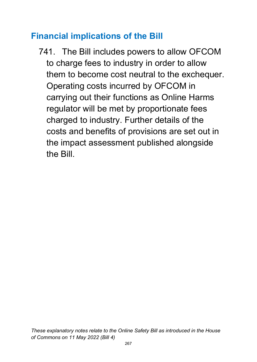### **Financial implications of the Bill**

741. The Bill includes powers to allow OFCOM to charge fees to industry in order to allow them to become cost neutral to the exchequer. Operating costs incurred by OFCOM in carrying out their functions as Online Harms regulator will be met by proportionate fees charged to industry. Further details of the costs and benefits of provisions are set out in the impact assessment published alongside the Bill.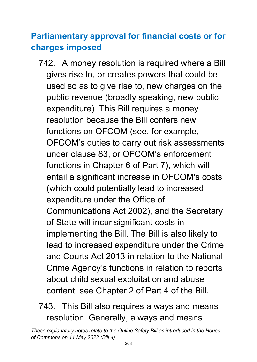# **Parliamentary approval for financial costs or for charges imposed**

- 742. A money resolution is required where a Bill gives rise to, or creates powers that could be used so as to give rise to, new charges on the public revenue (broadly speaking, new public expenditure). This Bill requires a money resolution because the Bill confers new functions on OFCOM (see, for example, OFCOM's duties to carry out risk assessments under clause 83, or OFCOM's enforcement functions in Chapter 6 of Part 7), which will entail a significant increase in OFCOM's costs (which could potentially lead to increased expenditure under the Office of Communications Act 2002), and the Secretary of State will incur significant costs in implementing the Bill. The Bill is also likely to lead to increased expenditure under the Crime and Courts Act 2013 in relation to the National Crime Agency's functions in relation to reports about child sexual exploitation and abuse content: see Chapter 2 of Part 4 of the Bill.
- 743. This Bill also requires a ways and means resolution. Generally, a ways and means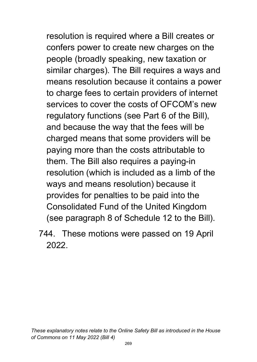resolution is required where a Bill creates or confers power to create new charges on the people (broadly speaking, new taxation or similar charges). The Bill requires a ways and means resolution because it contains a power to charge fees to certain providers of internet services to cover the costs of OFCOM's new regulatory functions (see Part 6 of the Bill), and because the way that the fees will be charged means that some providers will be paying more than the costs attributable to them. The Bill also requires a paying-in resolution (which is included as a limb of the ways and means resolution) because it provides for penalties to be paid into the Consolidated Fund of the United Kingdom (see paragraph 8 of Schedule 12 to the Bill).

744. These motions were passed on 19 April 2022.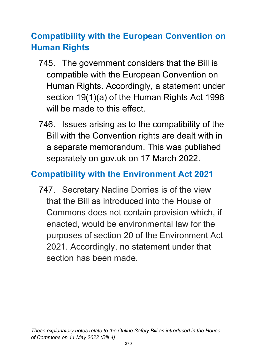# **Compatibility with the European Convention on Human Rights**

- 745. The government considers that the Bill is compatible with the European Convention on Human Rights. Accordingly, a statement under section 19(1)(a) of the Human Rights Act 1998 will be made to this effect.
- 746. Issues arising as to the compatibility of the Bill with the Convention rights are dealt with in a separate memorandum. This was published separately on gov.uk on 17 March 2022.

### **Compatibility with the Environment Act 2021**

747. Secretary Nadine Dorries is of the view that the Bill as introduced into the House of Commons does not contain provision which, if enacted, would be environmental law for the purposes of section 20 of the Environment Act 2021. Accordingly, no statement under that section has been made.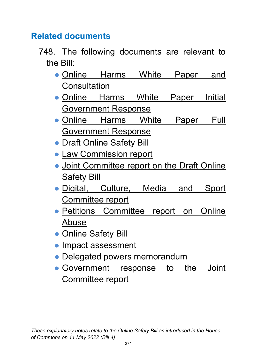### **Related documents**

- 748. The following documents are relevant to the Bill:
	- Online Harms White Paper and **[Consultation](https://assets.publishing.service.gov.uk/government/uploads/system/uploads/attachment_data/file/793360/Online_Harms_White_Paper.pdf)**
	- Online Harms White Paper Initial [Government Response](https://www.gov.uk/government/consultations/online-harms-white-paper/public-feedback/online-harms-white-paper-initial-consultation-response)
	- Online Harms White Paper Full [Government Response](https://www.gov.uk/government/consultations/online-harms-white-paper/outcome/online-harms-white-paper-full-government-response)
	- [Draft Online Safety Bill](https://assets.publishing.service.gov.uk/government/uploads/system/uploads/attachment_data/file/985033/Draft_Online_Safety_Bill_Bookmarked.pdf)
	- [Law Commission report](https://s3-eu-west-2.amazonaws.com/lawcom-prod-storage-11jsxou24uy7q/uploads/2021/07/Modernising-Communications-Offences-2021-Law-Com-No-399.pdf)
	- Joint Committee report on the Draft Online [Safety Bill](https://committees.parliament.uk/publications/8206/documents/84092/default/)
	- Digital, Culture, Media and Sport [Committee report](https://committees.parliament.uk/publications/8609/documents/86961/default/)
	- Petitions Committee report on Online [Abuse](https://committees.parliament.uk/publications/8669/documents/89002/default/)
	- Online Safety Bill
	- Impact assessment
	- Delegated powers memorandum
	- Government response to the Joint Committee report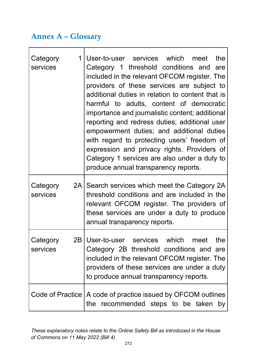#### **Annex A – Glossary**

| $1 \mid$<br>Category<br>services | User-to-user services which meet<br>the<br>Category 1 threshold conditions and are<br>included in the relevant OFCOM register. The<br>providers of these services are subject to<br>additional duties in relation to content that is<br>harmful to adults, content of democratic<br>importance and journalistic content; additional<br>reporting and redress duties; additional user<br>empowerment duties; and additional duties<br>with regard to protecting users' freedom of<br>expression and privacy rights. Providers of<br>Category 1 services are also under a duty to<br>produce annual transparency reports. |  |  |  |  |  |
|----------------------------------|-------------------------------------------------------------------------------------------------------------------------------------------------------------------------------------------------------------------------------------------------------------------------------------------------------------------------------------------------------------------------------------------------------------------------------------------------------------------------------------------------------------------------------------------------------------------------------------------------------------------------|--|--|--|--|--|
| Category<br>services             | 2A Search services which meet the Category 2A<br>threshold conditions and are included in the<br>relevant OFCOM register. The providers of<br>these services are under a duty to produce<br>annual transparency reports.                                                                                                                                                                                                                                                                                                                                                                                                |  |  |  |  |  |
| Category<br>services             | 2B User-to-user services which<br>the<br>meet<br>Category 2B threshold conditions and are<br>included in the relevant OFCOM register. The<br>providers of these services are under a duty<br>to produce annual transparency reports.                                                                                                                                                                                                                                                                                                                                                                                    |  |  |  |  |  |
|                                  | Code of Practice   A code of practice issued by OFCOM outlines<br>the recommended steps to be taken by                                                                                                                                                                                                                                                                                                                                                                                                                                                                                                                  |  |  |  |  |  |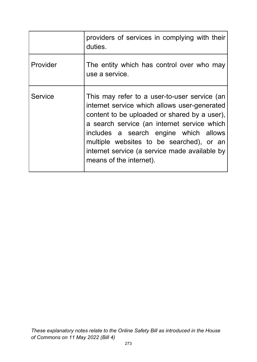|          | providers of services in complying with their<br>duties.                                                                                                                                                                                                                                                                                                     |
|----------|--------------------------------------------------------------------------------------------------------------------------------------------------------------------------------------------------------------------------------------------------------------------------------------------------------------------------------------------------------------|
| Provider | The entity which has control over who may<br>use a service.                                                                                                                                                                                                                                                                                                  |
| Service  | This may refer to a user-to-user service (an<br>internet service which allows user-generated<br>content to be uploaded or shared by a user),<br>a search service (an internet service which<br>includes a search engine which allows<br>multiple websites to be searched), or an<br>internet service (a service made available by<br>means of the internet). |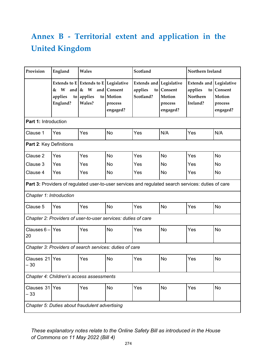# **Annex B - Territorial extent and application in the United Kingdom**

| Provision                                      | England                                                                                            | Wales                                                                           |                                                 | Scotland                                               |                                             | Northern Ireland                                                         |                                             |  |  |
|------------------------------------------------|----------------------------------------------------------------------------------------------------|---------------------------------------------------------------------------------|-------------------------------------------------|--------------------------------------------------------|---------------------------------------------|--------------------------------------------------------------------------|---------------------------------------------|--|--|
|                                                | W<br>&<br>applies<br>England?                                                                      | Extends to $E$ Extends to $E$ Legislative<br>and $\&$ W<br>to applies<br>Wales? | and Consent<br>to Motion<br>process<br>engaged? | <b>Extends and Legislative</b><br>applies<br>Scotland? | to Consent<br>Motion<br>process<br>engaged? | <b>Extends and Legislative</b><br>applies<br><b>Northern</b><br>Ireland? | to Consent<br>Motion<br>process<br>engaged? |  |  |
| <b>Part 1: Introduction</b>                    |                                                                                                    |                                                                                 |                                                 |                                                        |                                             |                                                                          |                                             |  |  |
| Clause 1                                       | Yes                                                                                                | Yes                                                                             | <b>No</b>                                       | Yes                                                    | N/A                                         | Yes                                                                      | N/A                                         |  |  |
| Part 2: Key Definitions                        |                                                                                                    |                                                                                 |                                                 |                                                        |                                             |                                                                          |                                             |  |  |
| Clause 2                                       | Yes                                                                                                | Yes                                                                             | <b>No</b>                                       | Yes                                                    | No                                          | Yes                                                                      | <b>No</b>                                   |  |  |
| Clause 3                                       | Yes                                                                                                | Yes                                                                             | No                                              | Yes                                                    | No                                          | Yes                                                                      | No                                          |  |  |
| Clause 4                                       | Yes                                                                                                | Yes                                                                             | No                                              | Yes                                                    | No                                          | Yes                                                                      | No                                          |  |  |
|                                                | Part 3: Providers of regulated user-to-user services and regulated search services: duties of care |                                                                                 |                                                 |                                                        |                                             |                                                                          |                                             |  |  |
| Chapter 1: Introduction                        |                                                                                                    |                                                                                 |                                                 |                                                        |                                             |                                                                          |                                             |  |  |
| Clause 5                                       | Yes                                                                                                | Yes                                                                             | <b>No</b>                                       | Yes                                                    | <b>No</b>                                   | Yes                                                                      | <b>No</b>                                   |  |  |
|                                                | Chapter 2: Providers of user-to-user services: duties of care                                      |                                                                                 |                                                 |                                                        |                                             |                                                                          |                                             |  |  |
| Clauses 6 – Yes<br>20                          |                                                                                                    | Yes                                                                             | <b>No</b>                                       | Yes                                                    | <b>No</b>                                   | Yes                                                                      | No                                          |  |  |
|                                                | Chapter 3: Providers of search services: duties of care                                            |                                                                                 |                                                 |                                                        |                                             |                                                                          |                                             |  |  |
| Clauses 21 Yes<br>$-30$                        |                                                                                                    | Yes                                                                             | <b>No</b>                                       | Yes                                                    | No                                          | Yes                                                                      | No                                          |  |  |
|                                                | Chapter 4: Children's access assessments                                                           |                                                                                 |                                                 |                                                        |                                             |                                                                          |                                             |  |  |
| Clauses 31 Yes<br>- 33                         |                                                                                                    | Yes                                                                             | <b>No</b>                                       | Yes                                                    | <b>No</b>                                   | Yes                                                                      | <b>No</b>                                   |  |  |
| Chapter 5: Duties about fraudulent advertising |                                                                                                    |                                                                                 |                                                 |                                                        |                                             |                                                                          |                                             |  |  |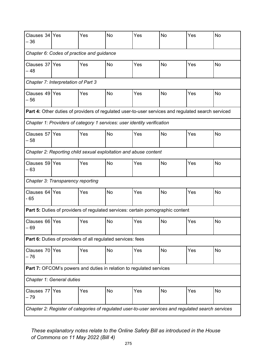| Clauses 34 Yes<br>- 36                                                                             |                                   | Yes | <b>No</b>                                                   | Yes                                                                                                | <b>No</b> | Yes | <b>No</b> |  |  |  |
|----------------------------------------------------------------------------------------------------|-----------------------------------|-----|-------------------------------------------------------------|----------------------------------------------------------------------------------------------------|-----------|-----|-----------|--|--|--|
| Chapter 6: Codes of practice and guidance                                                          |                                   |     |                                                             |                                                                                                    |           |     |           |  |  |  |
| Clauses 37 Yes<br>- 48                                                                             |                                   | Yes | <b>No</b>                                                   | Yes                                                                                                | No        | Yes | No        |  |  |  |
| Chapter 7: Interpretation of Part 3                                                                |                                   |     |                                                             |                                                                                                    |           |     |           |  |  |  |
| Clauses 49 Yes<br>- 56                                                                             |                                   | Yes | <b>No</b>                                                   | Yes                                                                                                | No        | Yes | <b>No</b> |  |  |  |
|                                                                                                    |                                   |     |                                                             | Part 4: Other duties of providers of regulated user-to-user services and regulated search serviced |           |     |           |  |  |  |
|                                                                                                    |                                   |     |                                                             | Chapter 1: Providers of category 1 services: user identity verification                            |           |     |           |  |  |  |
| Clauses 57 Yes<br>- 58                                                                             |                                   | Yes | <b>No</b>                                                   | Yes                                                                                                | <b>No</b> | Yes | No        |  |  |  |
|                                                                                                    |                                   |     |                                                             | Chapter 2: Reporting child sexual exploitation and abuse content                                   |           |     |           |  |  |  |
| Clauses 59 Yes<br>$-63$                                                                            |                                   | Yes | <b>No</b>                                                   | Yes                                                                                                | No        | Yes | No        |  |  |  |
|                                                                                                    | Chapter 3: Transparency reporting |     |                                                             |                                                                                                    |           |     |           |  |  |  |
| Clauses 64 Yes<br>$-65$                                                                            |                                   | Yes | <b>No</b>                                                   | Yes                                                                                                | No        | Yes | No        |  |  |  |
|                                                                                                    |                                   |     |                                                             | <b>Part 5:</b> Duties of providers of regulated services: certain pornographic content             |           |     |           |  |  |  |
| Clauses 66 Yes<br>$-69$                                                                            |                                   | Yes | No                                                          | Yes                                                                                                | No        | Yes | No        |  |  |  |
|                                                                                                    |                                   |     | Part 6: Duties of providers of all regulated services: fees |                                                                                                    |           |     |           |  |  |  |
| Clauses 70 Yes<br>- 76                                                                             |                                   | Yes | <b>No</b>                                                   | Yes                                                                                                | <b>No</b> | Yes | <b>No</b> |  |  |  |
| Part 7: OFCOM's powers and duties in relation to regulated services                                |                                   |     |                                                             |                                                                                                    |           |     |           |  |  |  |
|                                                                                                    | Chapter 1: General duties         |     |                                                             |                                                                                                    |           |     |           |  |  |  |
| Clauses 77<br>– 79                                                                                 | Yes                               | Yes | <b>No</b>                                                   | Yes                                                                                                | No        | Yes | <b>No</b> |  |  |  |
| Chapter 2: Register of categories of regulated user-to-user services and regulated search services |                                   |     |                                                             |                                                                                                    |           |     |           |  |  |  |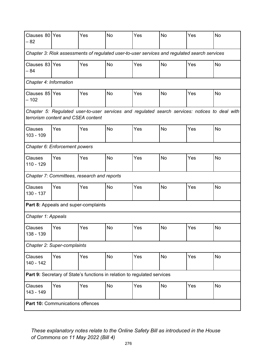| Clauses 80 Yes<br>- 82                                                                                                               |                                                                                              | Yes                                         | <b>No</b> | Yes                                                                      | <b>No</b> | Yes | <b>No</b> |  |  |  |  |
|--------------------------------------------------------------------------------------------------------------------------------------|----------------------------------------------------------------------------------------------|---------------------------------------------|-----------|--------------------------------------------------------------------------|-----------|-----|-----------|--|--|--|--|
|                                                                                                                                      | Chapter 3: Risk assessments of regulated user-to-user services and regulated search services |                                             |           |                                                                          |           |     |           |  |  |  |  |
| Clauses 83 Yes<br>$-84$                                                                                                              |                                                                                              | Yes                                         | No        | Yes                                                                      | <b>No</b> | Yes | No        |  |  |  |  |
|                                                                                                                                      | Chapter 4: Information                                                                       |                                             |           |                                                                          |           |     |           |  |  |  |  |
| Clauses 85 Yes<br>$-102$                                                                                                             |                                                                                              | Yes                                         | <b>No</b> | Yes                                                                      | <b>No</b> | Yes | <b>No</b> |  |  |  |  |
| Chapter 5: Regulated user-to-user services and regulated search services: notices to deal with<br>terrorism content and CSEA content |                                                                                              |                                             |           |                                                                          |           |     |           |  |  |  |  |
| <b>Clauses</b><br>$103 - 109$                                                                                                        | Yes                                                                                          | Yes                                         | <b>No</b> | Yes                                                                      | <b>No</b> | Yes | <b>No</b> |  |  |  |  |
|                                                                                                                                      | Chapter 6: Enforcement powers                                                                |                                             |           |                                                                          |           |     |           |  |  |  |  |
| <b>Clauses</b><br>$110 - 129$                                                                                                        | Yes                                                                                          | Yes                                         | <b>No</b> | Yes                                                                      | <b>No</b> | Yes | <b>No</b> |  |  |  |  |
|                                                                                                                                      |                                                                                              | Chapter 7: Committees, research and reports |           |                                                                          |           |     |           |  |  |  |  |
| Clauses<br>130 - 137                                                                                                                 | Yes                                                                                          | Yes                                         | <b>No</b> | Yes                                                                      | <b>No</b> | Yes | No        |  |  |  |  |
|                                                                                                                                      |                                                                                              | Part 8: Appeals and super-complaints        |           |                                                                          |           |     |           |  |  |  |  |
| Chapter 1: Appeals                                                                                                                   |                                                                                              |                                             |           |                                                                          |           |     |           |  |  |  |  |
| Clauses<br>138 - 139                                                                                                                 | Yes                                                                                          | Yes                                         | No        | Yes                                                                      | No        | Yes | No        |  |  |  |  |
|                                                                                                                                      | Chapter 2: Super-complaints                                                                  |                                             |           |                                                                          |           |     |           |  |  |  |  |
| Clauses<br>140 - 142                                                                                                                 | Yes                                                                                          | Yes                                         | No        | Yes                                                                      | <b>No</b> | Yes | <b>No</b> |  |  |  |  |
|                                                                                                                                      |                                                                                              |                                             |           | Part 9: Secretary of State's functions in relation to regulated services |           |     |           |  |  |  |  |
| Clauses<br>143 - 149                                                                                                                 | Yes                                                                                          | Yes                                         | <b>No</b> | Yes                                                                      | <b>No</b> | Yes | <b>No</b> |  |  |  |  |
| Part 10: Communications offences                                                                                                     |                                                                                              |                                             |           |                                                                          |           |     |           |  |  |  |  |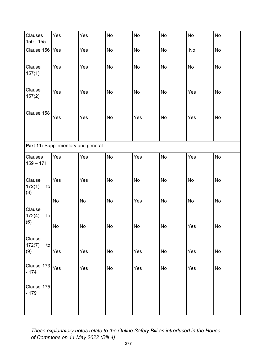| Clauses<br>150 - 155          | Yes                                | Yes                          | <b>No</b>     | <b>No</b> | <b>No</b>                    | No  | <b>No</b> |
|-------------------------------|------------------------------------|------------------------------|---------------|-----------|------------------------------|-----|-----------|
| Clause 156                    | Yes                                | Yes                          | No            | No        | No                           | No  | No        |
| Clause<br>157(1)              | Yes                                | Yes                          | No            | No        | <b>No</b>                    | No  | No        |
| Clause<br>157(2)              | Yes                                | Yes                          | No            | No        | No                           | Yes | No        |
| Clause 158                    | Yes                                | Yes                          | <b>No</b>     | Yes       | No                           | Yes | No        |
|                               | Part 11: Supplementary and general |                              |               |           |                              |     |           |
| Clauses<br>$159 - 171$        | Yes                                | Yes                          | <b>No</b>     | Yes       | <b>No</b>                    | Yes | <b>No</b> |
| Clause<br>172(1)<br>to<br>(3) | Yes                                | Yes                          | <b>No</b>     | No        | No                           | No  | No        |
| Clause<br>172(4)<br>to        | <b>No</b>                          | $\operatorname{\mathsf{No}}$ | No            | Yes       | No                           | No  | No        |
| (6)                           | No                                 | No                           | $\mathsf{No}$ | No        | $\operatorname{\mathsf{No}}$ | Yes | No        |
| Clause<br>172(7)<br>to        |                                    |                              |               |           |                              |     |           |
| (9)                           | Yes                                | Yes                          | No            | Yes       | No                           | Yes | No        |
| Clause 173<br>$-174$          | Yes                                | Yes                          | No            | Yes       | No                           | Yes | No        |
| Clause 175<br>$-179$          |                                    |                              |               |           |                              |     |           |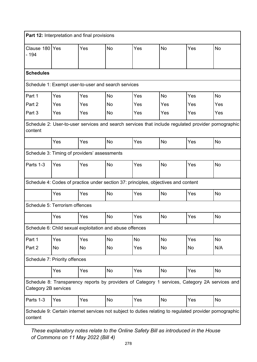| Part 12: Interpretation and final provisions                                                                           |                                                          |     |           |                                                                                    |           |     |                                                                                                    |  |  |  |  |
|------------------------------------------------------------------------------------------------------------------------|----------------------------------------------------------|-----|-----------|------------------------------------------------------------------------------------|-----------|-----|----------------------------------------------------------------------------------------------------|--|--|--|--|
| Clause 180 Yes<br>$-194$                                                                                               |                                                          | Yes | <b>No</b> | Yes                                                                                | <b>No</b> | Yes | <b>No</b>                                                                                          |  |  |  |  |
| <b>Schedules</b>                                                                                                       |                                                          |     |           |                                                                                    |           |     |                                                                                                    |  |  |  |  |
| Schedule 1: Exempt user-to-user and search services                                                                    |                                                          |     |           |                                                                                    |           |     |                                                                                                    |  |  |  |  |
| Part 1                                                                                                                 | Yes                                                      | Yes | <b>No</b> | Yes                                                                                | No        | Yes | <b>No</b>                                                                                          |  |  |  |  |
| Part 2                                                                                                                 | Yes                                                      | Yes | No        | Yes                                                                                | Yes       | Yes | Yes                                                                                                |  |  |  |  |
| Part 3                                                                                                                 | Yes                                                      | Yes | No        | Yes                                                                                | Yes       | Yes | Yes                                                                                                |  |  |  |  |
| content                                                                                                                |                                                          |     |           |                                                                                    |           |     | Schedule 2: User-to-user services and search services that include regulated provider pornographic |  |  |  |  |
|                                                                                                                        | Yes                                                      | Yes | <b>No</b> | Yes                                                                                | No        | Yes | No                                                                                                 |  |  |  |  |
|                                                                                                                        | Schedule 3: Timing of providers' assessments             |     |           |                                                                                    |           |     |                                                                                                    |  |  |  |  |
| Parts 1-3                                                                                                              | Yes                                                      | Yes | <b>No</b> | Yes                                                                                | <b>No</b> | Yes | No                                                                                                 |  |  |  |  |
|                                                                                                                        |                                                          |     |           | Schedule 4: Codes of practice under section 37: principles, objectives and content |           |     |                                                                                                    |  |  |  |  |
|                                                                                                                        | Yes                                                      | Yes | <b>No</b> | Yes                                                                                | No        | Yes | <b>No</b>                                                                                          |  |  |  |  |
|                                                                                                                        | Schedule 5: Terrorism offences                           |     |           |                                                                                    |           |     |                                                                                                    |  |  |  |  |
|                                                                                                                        | Yes                                                      | Yes | <b>No</b> | Yes                                                                                | No        | Yes | No                                                                                                 |  |  |  |  |
|                                                                                                                        | Schedule 6: Child sexual exploitation and abuse offences |     |           |                                                                                    |           |     |                                                                                                    |  |  |  |  |
| Part 1                                                                                                                 | Yes                                                      | Yes | No        | No                                                                                 | No        | Yes | No                                                                                                 |  |  |  |  |
| Part 2                                                                                                                 | No                                                       | No  | No        | Yes                                                                                | No        | No  | N/A                                                                                                |  |  |  |  |
|                                                                                                                        | Schedule 7: Priority offences                            |     |           |                                                                                    |           |     |                                                                                                    |  |  |  |  |
|                                                                                                                        | Yes                                                      | Yes | No        | Yes                                                                                | No        | Yes | No                                                                                                 |  |  |  |  |
| Schedule 8: Transparency reports by providers of Category 1 services, Category 2A services and<br>Category 2B services |                                                          |     |           |                                                                                    |           |     |                                                                                                    |  |  |  |  |
| Parts 1-3                                                                                                              | Yes                                                      | Yes | <b>No</b> | Yes                                                                                | No        | Yes | <b>No</b>                                                                                          |  |  |  |  |
| Schedule 9: Certain internet services not subject to duties relating to regulated provider pornographic<br>content     |                                                          |     |           |                                                                                    |           |     |                                                                                                    |  |  |  |  |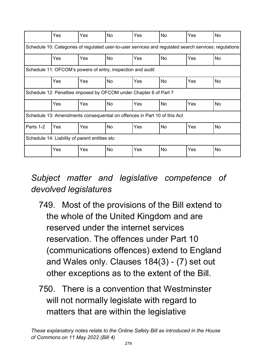|                                                                                                       | Yes                                                                      | Yes | <b>No</b> | Yes        | <b>No</b> | Yes | <b>No</b> |  |  |
|-------------------------------------------------------------------------------------------------------|--------------------------------------------------------------------------|-----|-----------|------------|-----------|-----|-----------|--|--|
| Schedule 10: Categories of regulated user-to-user services and regulated search services: regulations |                                                                          |     |           |            |           |     |           |  |  |
|                                                                                                       | Yes                                                                      | Yes | <b>No</b> | Yes        | <b>No</b> | Yes | <b>No</b> |  |  |
|                                                                                                       | Schedule 11: OFCOM's powers of entry, inspection and audit               |     |           |            |           |     |           |  |  |
|                                                                                                       | Yes                                                                      | Yes | <b>No</b> | <b>Yes</b> | <b>No</b> | Yes | <b>No</b> |  |  |
|                                                                                                       | Schedule 12: Penalties imposed by OFCOM under Chapter 6 of Part 7        |     |           |            |           |     |           |  |  |
|                                                                                                       | Yes                                                                      | Yes | <b>No</b> | Yes        | <b>No</b> | Yes | <b>No</b> |  |  |
|                                                                                                       | Schedule 13: Amendments consequential on offences in Part 10 of this Act |     |           |            |           |     |           |  |  |
| Parts 1-2                                                                                             | Yes                                                                      | Yes | No        | Yes        | No        | Yes | No        |  |  |
| Schedule 14: Liability of parent entities etc                                                         |                                                                          |     |           |            |           |     |           |  |  |
|                                                                                                       | Yes                                                                      | Yes | No        | Yes        | No        | Yes | No        |  |  |

## *Subject matter and legislative competence of devolved legislatures*

- 749. Most of the provisions of the Bill extend to the whole of the United Kingdom and are reserved under the internet services reservation. The offences under Part 10 (communications offences) extend to England and Wales only. Clauses 184(3) - (7) set out other exceptions as to the extent of the Bill.
- 750. There is a convention that Westminster will not normally legislate with regard to matters that are within the legislative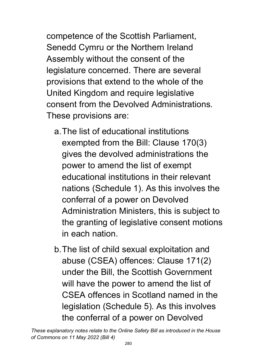competence of the Scottish Parliament, Senedd Cymru or the Northern Ireland Assembly without the consent of the legislature concerned. There are several provisions that extend to the whole of the United Kingdom and require legislative consent from the Devolved Administrations. These provisions are:

- a.The list of educational institutions exempted from the Bill: Clause 170(3) gives the devolved administrations the power to amend the list of exempt educational institutions in their relevant nations (Schedule 1). As this involves the conferral of a power on Devolved Administration Ministers, this is subject to the granting of legislative consent motions in each nation.
- b.The list of child sexual exploitation and abuse (CSEA) offences: Clause 171(2) under the Bill, the Scottish Government will have the power to amend the list of CSEA offences in Scotland named in the legislation (Schedule 5). As this involves the conferral of a power on Devolved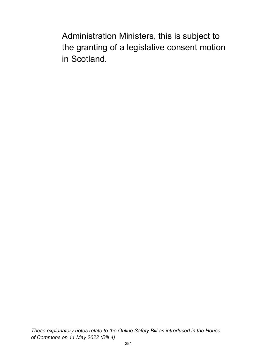Administration Ministers, this is subject to the granting of a legislative consent motion in Scotland.